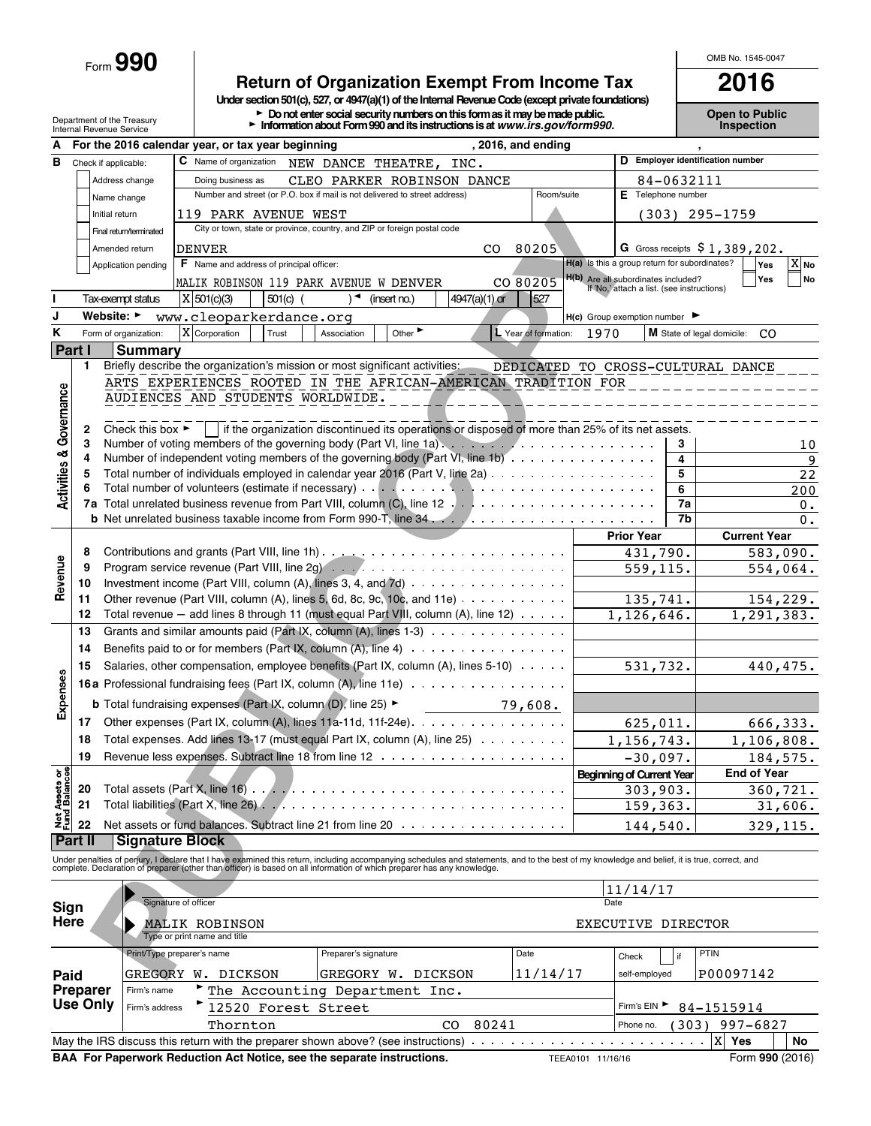Form **990**

# **Return of Organization Exempt From Income Tax**<br>
Under section 501(c), 527, or 4947(a)(1) of the Internal Revenue Code (except private foundations)

Department of the Treasury **Depen to Public Numbers Performance on the School Constitution and Public Constitution of the School Depen to Public Constitution about Form 990 and its instructions is at www.***irs.gov/form990* 

OMB No. 1545-0047

| Α                         |                                |                                                                   | For the 2016 calendar year, or tax year beginning                    |            |                                                                                                                                                                                                                                   |                 | , 2016, and ending   |                                                                                   |                    |            |                                           |  |  |  |  |
|---------------------------|--------------------------------|-------------------------------------------------------------------|----------------------------------------------------------------------|------------|-----------------------------------------------------------------------------------------------------------------------------------------------------------------------------------------------------------------------------------|-----------------|----------------------|-----------------------------------------------------------------------------------|--------------------|------------|-------------------------------------------|--|--|--|--|
| в                         | Check if applicable:           |                                                                   | <b>C</b> Name of organization                                        |            | NEW DANCE THEATRE,                                                                                                                                                                                                                | INC.            |                      |                                                                                   |                    |            | D Employer identification number          |  |  |  |  |
|                           |                                | Address change<br>Doing business as<br>CLEO PARKER ROBINSON DANCE |                                                                      |            |                                                                                                                                                                                                                                   |                 |                      |                                                                                   |                    | 84-0632111 |                                           |  |  |  |  |
|                           |                                | Name change                                                       |                                                                      |            | Number and street (or P.O. box if mail is not delivered to street address)                                                                                                                                                        |                 | Room/suite           |                                                                                   | E Telephone number |            |                                           |  |  |  |  |
|                           | Initial return                 |                                                                   | 119 PARK AVENUE WEST                                                 |            |                                                                                                                                                                                                                                   |                 |                      |                                                                                   |                    |            | $(303)$ 295-1759                          |  |  |  |  |
|                           |                                | Final return/terminated                                           |                                                                      |            | City or town, state or province, country, and ZIP or foreign postal code                                                                                                                                                          |                 |                      |                                                                                   |                    |            |                                           |  |  |  |  |
|                           |                                | Amended return                                                    | <b>DENVER</b>                                                        |            |                                                                                                                                                                                                                                   | CO              | 80205                |                                                                                   |                    |            | G Gross receipts $$1,389,202$ .           |  |  |  |  |
|                           |                                | Application pending                                               | F Name and address of principal officer:                             |            |                                                                                                                                                                                                                                   |                 |                      | H(a) Is this a group return for subordinates?                                     |                    |            | $X_{N0}$<br>Yes                           |  |  |  |  |
|                           |                                |                                                                   |                                                                      |            | MALIK ROBINSON 119 PARK AVENUE W DENVER                                                                                                                                                                                           |                 | CO 80205             | H(b) Are all subordinates included?<br>If 'No,' attach a list. (see instructions) |                    |            | Yes<br> No                                |  |  |  |  |
|                           |                                | Tax-exempt status                                                 | X 501(c)(3)                                                          | $501(c)$ ( | (insert no.)                                                                                                                                                                                                                      | $4947(a)(1)$ or | 527                  |                                                                                   |                    |            |                                           |  |  |  |  |
| J                         | Website: $\blacktriangleright$ |                                                                   | www.cleoparkerdance.org                                              |            |                                                                                                                                                                                                                                   |                 |                      | $H(c)$ Group exemption number $\blacktriangleright$                               |                    |            |                                           |  |  |  |  |
| Κ                         |                                | Form of organization:                                             | X Corporation                                                        | Trust      | Other $\blacktriangleright$<br>Association                                                                                                                                                                                        |                 | L Year of formation: | 1970                                                                              |                    |            | M State of legal domicile:<br>$_{\rm CO}$ |  |  |  |  |
|                           | Part I                         | <b>Summary</b>                                                    |                                                                      |            |                                                                                                                                                                                                                                   |                 |                      |                                                                                   |                    |            |                                           |  |  |  |  |
|                           | 1                              |                                                                   |                                                                      |            | Briefly describe the organization's mission or most significant activities:                                                                                                                                                       |                 |                      |                                                                                   |                    |            | DEDICATED TO CROSS-CULTURAL DANCE         |  |  |  |  |
|                           |                                |                                                                   |                                                                      |            | ARTS EXPERIENCES ROOTED IN THE AFRICAN-AMERICAN TRADITION FOR                                                                                                                                                                     |                 |                      |                                                                                   |                    |            |                                           |  |  |  |  |
| Governance                |                                |                                                                   | AUDIENCES AND STUDENTS WORLDWIDE.                                    |            |                                                                                                                                                                                                                                   |                 |                      |                                                                                   |                    |            |                                           |  |  |  |  |
|                           |                                |                                                                   |                                                                      |            |                                                                                                                                                                                                                                   |                 |                      |                                                                                   |                    |            |                                           |  |  |  |  |
|                           | 2                              | Check this box $\blacktriangleright$                              |                                                                      |            | if the organization discontinued its operations or disposed of more than 25% of its net assets.                                                                                                                                   |                 |                      |                                                                                   |                    |            |                                           |  |  |  |  |
|                           | 3                              |                                                                   |                                                                      |            |                                                                                                                                                                                                                                   |                 |                      |                                                                                   |                    | 3          | 10                                        |  |  |  |  |
|                           |                                |                                                                   |                                                                      |            | Number of independent voting members of the governing body (Part VI, line 1b) $\ldots$                                                                                                                                            |                 |                      |                                                                                   |                    | 4          | 9                                         |  |  |  |  |
| <b>Activities &amp;</b>   | 5                              |                                                                   |                                                                      |            |                                                                                                                                                                                                                                   |                 |                      |                                                                                   |                    | 5<br>6     | 22                                        |  |  |  |  |
|                           |                                |                                                                   |                                                                      |            |                                                                                                                                                                                                                                   |                 |                      |                                                                                   |                    | 7a         | 200<br>0.                                 |  |  |  |  |
|                           |                                |                                                                   |                                                                      |            |                                                                                                                                                                                                                                   |                 |                      |                                                                                   |                    | 7b         | 0.                                        |  |  |  |  |
|                           |                                |                                                                   |                                                                      |            |                                                                                                                                                                                                                                   |                 |                      |                                                                                   | <b>Prior Year</b>  |            | <b>Current Year</b>                       |  |  |  |  |
| Revenue                   | 8                              |                                                                   |                                                                      |            |                                                                                                                                                                                                                                   |                 |                      |                                                                                   | 431,790.           |            | 583,090.                                  |  |  |  |  |
|                           | 9                              |                                                                   |                                                                      |            |                                                                                                                                                                                                                                   |                 |                      |                                                                                   | 559,115.           |            | 554,064.                                  |  |  |  |  |
|                           | 10                             |                                                                   |                                                                      |            | Investment income (Part VIII, column (A), lines 3, 4, and $7d$ ) $\cdots$                                                                                                                                                         |                 |                      |                                                                                   |                    |            |                                           |  |  |  |  |
|                           | 11                             |                                                                   |                                                                      |            | Other revenue (Part VIII, column (A), lines 5, 6d, 8c, 9c, 10c, and 11e) $\cdots \cdots \cdots$                                                                                                                                   |                 |                      |                                                                                   | 135,741.           |            | 154,229.                                  |  |  |  |  |
|                           | 12                             |                                                                   |                                                                      |            | Total revenue $-$ add lines 8 through 11 (must equal Part VIII, column (A), line 12) $\ldots \ldots$                                                                                                                              |                 |                      |                                                                                   | 1,126,646.         |            | 1,291,383.                                |  |  |  |  |
|                           | 13                             |                                                                   |                                                                      |            | Grants and similar amounts paid (Part IX, column (A), lines 1-3)                                                                                                                                                                  |                 |                      |                                                                                   |                    |            |                                           |  |  |  |  |
|                           | 14                             |                                                                   |                                                                      |            | Benefits paid to or for members (Part IX, column (A), line $4) \ldots \ldots \ldots \ldots \ldots \ldots$                                                                                                                         |                 |                      |                                                                                   |                    |            |                                           |  |  |  |  |
|                           | 15                             |                                                                   |                                                                      |            | Salaries, other compensation, employee benefits (Part IX, column (A), lines 5-10)                                                                                                                                                 |                 |                      | 531,732.                                                                          |                    |            | 440,475.                                  |  |  |  |  |
| Expenses                  |                                |                                                                   |                                                                      |            | <b>16a</b> Professional fundraising fees (Part IX, column (A), line 11e)                                                                                                                                                          |                 |                      |                                                                                   |                    |            |                                           |  |  |  |  |
|                           |                                |                                                                   | <b>b</b> Total fundraising expenses (Part IX, column (D), line 25) ► |            |                                                                                                                                                                                                                                   |                 | 79,608.              |                                                                                   |                    |            |                                           |  |  |  |  |
|                           | 17                             |                                                                   |                                                                      |            | Other expenses (Part IX, column (A), lines 11a-11d, 11f-24e).                                                                                                                                                                     |                 |                      |                                                                                   | 625,011.           |            | 666,333.                                  |  |  |  |  |
|                           | 18                             |                                                                   |                                                                      |            | Total expenses. Add lines 13-17 (must equal Part IX, column (A), line 25)                                                                                                                                                         |                 |                      | 1,156,743.                                                                        | 1, 106, 808.       |            |                                           |  |  |  |  |
|                           | 19                             |                                                                   |                                                                      |            | $-30,097.$                                                                                                                                                                                                                        |                 | 184,575.             |                                                                                   |                    |            |                                           |  |  |  |  |
| 50                        |                                |                                                                   |                                                                      |            |                                                                                                                                                                                                                                   |                 |                      | <b>Beginning of Current Year</b>                                                  |                    |            | <b>End of Year</b>                        |  |  |  |  |
| Net Assets<br>Fund Balanc | 20                             |                                                                   | Total assets (Part X, line $16$ ) $\ldots$ $\ldots$ $\ldots$         |            |                                                                                                                                                                                                                                   |                 |                      |                                                                                   | 303,903.           |            | 360,721.                                  |  |  |  |  |
|                           | 21                             |                                                                   | Total liabilities (Part X, line 26).                                 |            |                                                                                                                                                                                                                                   |                 |                      |                                                                                   | 159,363.           |            | 31,606.                                   |  |  |  |  |
|                           | 22                             |                                                                   |                                                                      |            | Net assets or fund balances. Subtract line 21 from line 20                                                                                                                                                                        |                 |                      |                                                                                   | 144,540.           |            | 329,115.                                  |  |  |  |  |
|                           | <b>Part II</b>                 | <b>Signature Block</b>                                            |                                                                      |            |                                                                                                                                                                                                                                   |                 |                      |                                                                                   |                    |            |                                           |  |  |  |  |
|                           |                                |                                                                   |                                                                      |            |                                                                                                                                                                                                                                   |                 |                      |                                                                                   |                    |            |                                           |  |  |  |  |
|                           |                                |                                                                   |                                                                      |            | Under penalties of perjury, I declare that I have examined this return, including accompanying schedules and statements, and to the best of my knowledge and belief, it is true, correct, and<br>complete. Declaration of prepare |                 |                      |                                                                                   |                    |            |                                           |  |  |  |  |
|                           |                                |                                                                   |                                                                      |            |                                                                                                                                                                                                                                   |                 |                      |                                                                                   | 11/14/17           |            |                                           |  |  |  |  |
| Sign                      |                                |                                                                   | Signature of officer                                                 |            |                                                                                                                                                                                                                                   |                 |                      | Date                                                                              |                    |            |                                           |  |  |  |  |
| Here                      |                                |                                                                   | MALIK ROBINSON                                                       |            |                                                                                                                                                                                                                                   |                 |                      | EXECUTIVE DIRECTOR                                                                |                    |            |                                           |  |  |  |  |
|                           |                                |                                                                   | Type or print name and title                                         |            |                                                                                                                                                                                                                                   |                 |                      |                                                                                   |                    |            |                                           |  |  |  |  |
|                           |                                |                                                                   | Print/Type preparer's name                                           |            | Preparer's signature                                                                                                                                                                                                              |                 | Date                 |                                                                                   | Check              | if         | PTIN                                      |  |  |  |  |
| Paid                      |                                |                                                                   | GREGORY W. DICKSON                                                   |            | GREGORY W. DICKSON                                                                                                                                                                                                                |                 | 11/14/17             |                                                                                   | self-employed      |            | P00097142                                 |  |  |  |  |
|                           | <b>Preparer</b>                | Firm's name                                                       |                                                                      |            | The Accounting Department Inc.                                                                                                                                                                                                    |                 |                      |                                                                                   |                    |            |                                           |  |  |  |  |
|                           | <b>Use Only</b>                | Firm's address                                                    | 12520 Forest Street                                                  |            |                                                                                                                                                                                                                                   |                 |                      |                                                                                   | Firm's EIN ▶       |            | 84-1515914                                |  |  |  |  |
|                           |                                |                                                                   | Thornton                                                             |            |                                                                                                                                                                                                                                   | 80241<br>CO     |                      |                                                                                   | Phone no.          | 303)       | 997-6827                                  |  |  |  |  |
|                           |                                |                                                                   |                                                                      |            | May the IRS discuss this return with the preparer shown above? (see instructions)                                                                                                                                                 |                 |                      |                                                                                   |                    |            | $\mathbf X$<br>Yes<br>No                  |  |  |  |  |
|                           |                                |                                                                   |                                                                      |            | BAA For Paperwork Reduction Act Notice, see the separate instructions.                                                                                                                                                            |                 |                      | TEEA0101 11/16/16                                                                 |                    |            | Form 990 (2016)                           |  |  |  |  |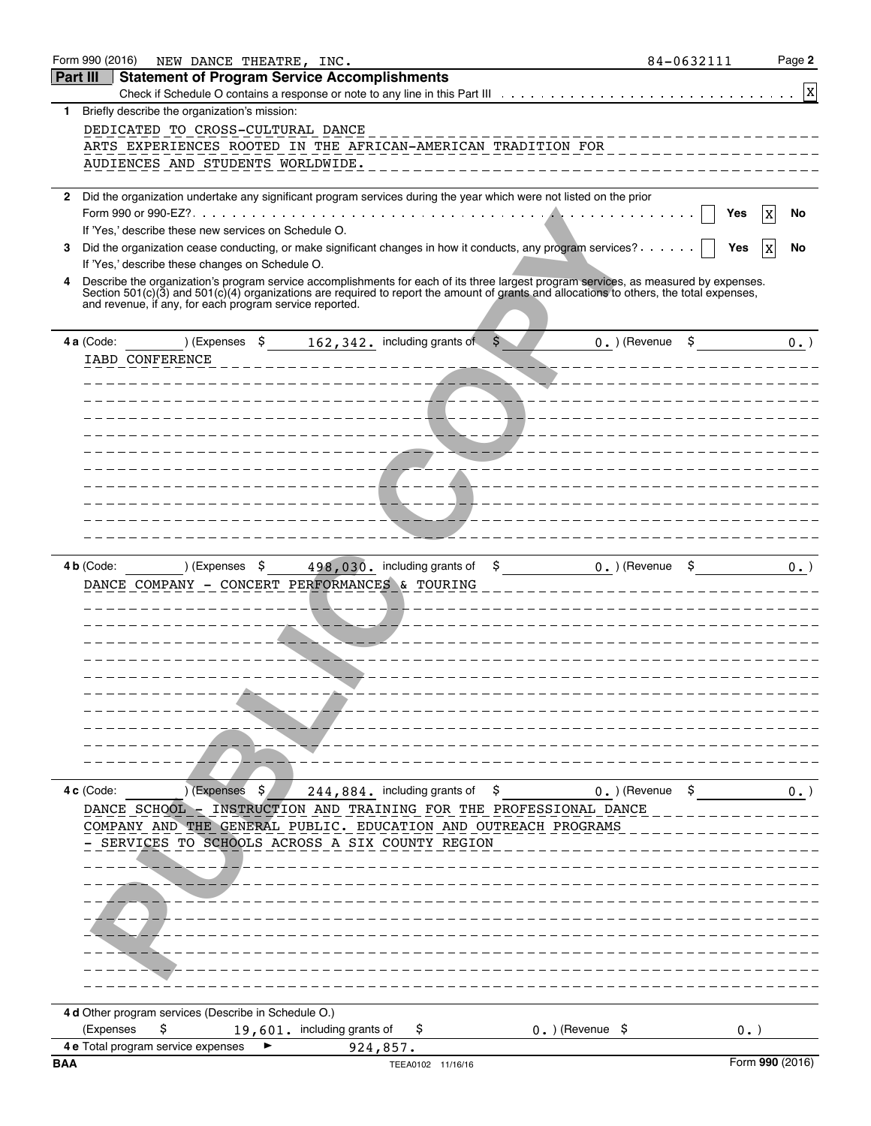|            | Form 990 (2016)<br>NEW DANCE THEATRE, INC.                                                                                                                                                          | 84-0632111 | Page 2                   |
|------------|-----------------------------------------------------------------------------------------------------------------------------------------------------------------------------------------------------|------------|--------------------------|
| Part III   | <b>Statement of Program Service Accomplishments</b>                                                                                                                                                 |            |                          |
|            |                                                                                                                                                                                                     |            | $\mathbf{x}$             |
| 1.         | Briefly describe the organization's mission:                                                                                                                                                        |            |                          |
|            | DEDICATED TO CROSS-CULTURAL DANCE                                                                                                                                                                   |            |                          |
|            | ARTS EXPERIENCES ROOTED IN THE AFRICAN-AMERICAN TRADITION FOR ________                                                                                                                              |            |                          |
|            | AUDIENCES AND STUDENTS WORLDWIDE.                                                                                                                                                                   |            |                          |
|            |                                                                                                                                                                                                     |            |                          |
| 2          | Did the organization undertake any significant program services during the year which were not listed on the prior                                                                                  |            |                          |
|            |                                                                                                                                                                                                     |            | Yes<br>No                |
|            | If 'Yes,' describe these new services on Schedule O.                                                                                                                                                |            |                          |
| 3          | Did the organization cease conducting, or make significant changes in how it conducts, any program services?                                                                                        |            | Yes<br>No<br>$\mathbf x$ |
| 4          | If 'Yes,' describe these changes on Schedule O.<br>Describe the organization's program service accomplishments for each of its three largest program services, as measured by expenses.             |            |                          |
|            | Section 501(c)(3) and 501(c)(4) organizations are required to report the amount of grants and allocations to others, the total expenses,<br>and revenue, if any, for each program service reported. |            |                          |
|            | ) (Expenses $\,$ \$ 162, 342. including grants of $\,$ \$<br>$0.$ ) (Revenue<br>4 a (Code:                                                                                                          | \$         | $0.$ )                   |
|            | IABD CONFERENCE                                                                                                                                                                                     |            |                          |
|            |                                                                                                                                                                                                     |            |                          |
|            |                                                                                                                                                                                                     |            |                          |
|            |                                                                                                                                                                                                     |            |                          |
|            |                                                                                                                                                                                                     |            |                          |
|            |                                                                                                                                                                                                     |            |                          |
|            | - - - - - - - - - - - - -<br>---------                                                                                                                                                              |            |                          |
|            |                                                                                                                                                                                                     |            |                          |
|            | $- - - - - -$                                                                                                                                                                                       |            |                          |
|            |                                                                                                                                                                                                     |            |                          |
|            |                                                                                                                                                                                                     |            |                          |
|            |                                                                                                                                                                                                     |            |                          |
|            | 4 b (Code:<br>498,030. including grants of<br>\$<br>$0.$ ) (Revenue<br>) (Expenses \$                                                                                                               |            | $0.$ )                   |
|            | DANCE COMPANY - CONCERT PERFORMANCES & TOURING                                                                                                                                                      |            |                          |
|            |                                                                                                                                                                                                     |            |                          |
|            |                                                                                                                                                                                                     |            |                          |
|            |                                                                                                                                                                                                     |            |                          |
|            |                                                                                                                                                                                                     |            |                          |
|            |                                                                                                                                                                                                     |            |                          |
|            |                                                                                                                                                                                                     |            |                          |
|            |                                                                                                                                                                                                     |            |                          |
|            |                                                                                                                                                                                                     |            |                          |
|            |                                                                                                                                                                                                     |            |                          |
|            |                                                                                                                                                                                                     |            |                          |
|            |                                                                                                                                                                                                     |            |                          |
|            | $0.$ ) (Revenue $\zeta$<br>$244,884.$ including grants of $\zeta$<br>4 c (Code:<br>$(Ex^{2})$ (Expenses $\frac{1}{2}$                                                                               |            | $0.$ )                   |
|            | DANCE SCHOOL - INSTRUCTION AND TRAINING FOR THE PROFESSIONAL DANCE                                                                                                                                  |            |                          |
|            | COMPANY AND THE GENERAL PUBLIC. EDUCATION AND OUTREACH PROGRAMS                                                                                                                                     |            |                          |
|            | - SERVICES TO SCHOOLS ACROSS A SIX COUNTY REGION                                                                                                                                                    |            |                          |
|            | _____________________                                                                                                                                                                               |            |                          |
|            | ___________________________                                                                                                                                                                         |            |                          |
|            |                                                                                                                                                                                                     |            |                          |
|            |                                                                                                                                                                                                     |            |                          |
|            | ------------                                                                                                                                                                                        |            |                          |
|            | ----------                                                                                                                                                                                          |            |                          |
|            |                                                                                                                                                                                                     |            |                          |
|            |                                                                                                                                                                                                     |            |                          |
|            |                                                                                                                                                                                                     |            |                          |
|            | 4 d Other program services (Describe in Schedule O.)                                                                                                                                                |            |                          |
|            | (Expenses<br>\$<br>19,601. including grants of<br>$0.$ ) (Revenue $$$<br>Ş.                                                                                                                         |            | $0.$ )                   |
|            | 4 e Total program service expenses<br>924,857.                                                                                                                                                      |            |                          |
| <b>BAA</b> | TEEA0102 11/16/16                                                                                                                                                                                   |            | Form 990 (2016)          |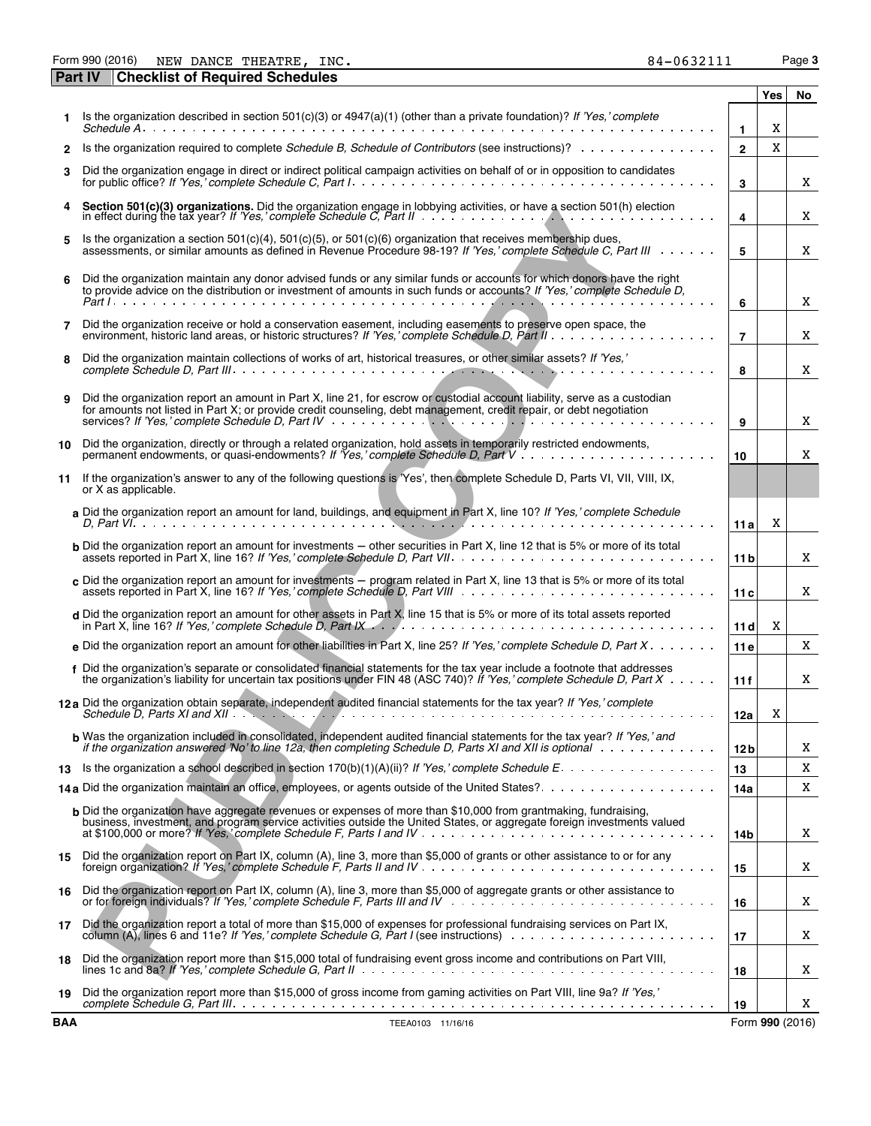Form 990 (2016) Page **3** NEW DANCE THEATRE, INC. 84-0632111

|              | <b>Checklist of Required Schedules</b><br><b>Part IV</b>                                                                                                                                                                                                                                                                                                                                                                    |                                |                 |    |
|--------------|-----------------------------------------------------------------------------------------------------------------------------------------------------------------------------------------------------------------------------------------------------------------------------------------------------------------------------------------------------------------------------------------------------------------------------|--------------------------------|-----------------|----|
|              |                                                                                                                                                                                                                                                                                                                                                                                                                             |                                | Yes             | No |
|              | Is the organization described in section 501(c)(3) or $4947(a)(1)$ (other than a private foundation)? If 'Yes,' complete                                                                                                                                                                                                                                                                                                    |                                | X               |    |
| $\mathbf{2}$ | Is the organization required to complete Schedule B. Schedule of Contributors (see instructions)?                                                                                                                                                                                                                                                                                                                           | $\mathbf{1}$<br>$\overline{2}$ | X               |    |
|              |                                                                                                                                                                                                                                                                                                                                                                                                                             |                                |                 |    |
| 3            | Did the organization engage in direct or indirect political campaign activities on behalf of or in opposition to candidates                                                                                                                                                                                                                                                                                                 | 3                              |                 | X  |
| 4            | Section 501(c)(3) organizations. Did the organization engage in lobbying activities, or have a section 501(h) election in effect during the tax year? If 'Yes,' complete Schedule C, Part II                                                                                                                                                                                                                                | 4                              |                 | X  |
| 5            | Is the organization a section $501(c)(4)$ , $501(c)(5)$ , or $501(c)(6)$ organization that receives membership dues,<br>assessments, or similar amounts as defined in Hevenue Procedure 98-19? If 'Yes,' complete Schedule C, Part III                                                                                                                                                                                      | 5                              |                 | X  |
| 6            | Did the organization maintain any donor advised funds or any similar funds or accounts for which donors have the right<br>to provide advice on the distribution or investment of amounts in such funds or accounts? If 'Yes,' complete Schedule D,                                                                                                                                                                          | 6                              |                 | X  |
| 7            | Did the organization receive or hold a conservation easement, including easements to preserve open space, the                                                                                                                                                                                                                                                                                                               | $\overline{7}$                 |                 | X  |
| 8            | Did the organization maintain collections of works of art, historical treasures, or other similar assets? If 'Yes,'                                                                                                                                                                                                                                                                                                         | 8                              |                 | X  |
| 9            | Did the organization report an amount in Part X, line 21, for escrow or custodial account liability, serve as a custodian<br>for amounts not listed in Part X; or provide credit counseling, debt management, credit repair, or debt negotiation<br>services? If 'Yes,' complete Schedule D, Part IV $\ldots$ , $\ldots$ , $\ldots$ , $\ldots$ , $\ldots$ , $\ldots$ , $\ldots$ , $\ldots$ , $\ldots$ , $\ldots$ , $\ldots$ | 9                              |                 | X  |
| 10           | Did the organization, directly or through a related organization, hold assets in temporarily restricted endowments,                                                                                                                                                                                                                                                                                                         | 10                             |                 | X  |
| 11           | If the organization's answer to any of the following questions is "Yes', then complete Schedule D, Parts VI, VII, VIII, IX,<br>or X as applicable.                                                                                                                                                                                                                                                                          |                                |                 |    |
|              | a Did the organization report an amount for land, buildings, and equipment in Part X, line 10? If 'Yes,' complete Schedule                                                                                                                                                                                                                                                                                                  | 11 a                           | X               |    |
|              | <b>b</b> Did the organization report an amount for investments – other securities in Part X, line 12 that is 5% or more of its total                                                                                                                                                                                                                                                                                        | 11 <sub>b</sub>                |                 | X  |
|              | c Did the organization report an amount for investments - program related in Part X, line 13 that is 5% or more of its total                                                                                                                                                                                                                                                                                                | 11c                            |                 | X  |
|              | d Did the organization report an amount for other assets in Part X, line 15 that is 5% or more of its total assets reported                                                                                                                                                                                                                                                                                                 | 11 dl                          | X               |    |
|              | e Did the organization report an amount for other liabilities in Part X, line 25? If 'Yes,' complete Schedule D, Part X                                                                                                                                                                                                                                                                                                     | 11e                            |                 | X  |
|              | f Did the organization's separate or consolidated financial statements for the tax year include a footnote that addresses<br>the organization's liability for uncertain tax positions under FIN 48 (ASC 740)? If 'Yes,' complete Schedule D. Part $X \cdot \cdot \cdot$ .                                                                                                                                                   | 11f                            |                 | X  |
|              | 12a Did the organization obtain separate, independent audited financial statements for the tax year? If 'Yes,' complete                                                                                                                                                                                                                                                                                                     | 12a                            | X               |    |
|              | <b>b</b> Was the organization included in consolidated, independent audited financial statements for the tax year? If 'Yes,' and<br>if the organization answered 'No' to line 12a, then completing Schedule D, Parts XI and XII is optional $\cdots \cdots \cdots$                                                                                                                                                          | 12 b                           |                 | X  |
| 13           |                                                                                                                                                                                                                                                                                                                                                                                                                             | 13                             |                 | X  |
|              |                                                                                                                                                                                                                                                                                                                                                                                                                             | 14a                            |                 | X  |
|              | b Did the organization have aggregate revenues or expenses of more than \$10,000 from grantmaking, fundraising,<br>business, investment, and program service activities outside the United States, or aggregate foreign investments valued                                                                                                                                                                                  | 14b                            |                 | X  |
| 15           | Did the organization report on Part IX, column (A), line 3, more than \$5,000 of grants or other assistance to or for any                                                                                                                                                                                                                                                                                                   | 15                             |                 | X  |
| 16           | Did the organization report on Part IX, column (A), line 3, more than \$5,000 of aggregate grants or other assistance to                                                                                                                                                                                                                                                                                                    |                                |                 |    |
| 17           | Did the organization report a total of more than \$15,000 of expenses for professional fundraising services on Part IX,                                                                                                                                                                                                                                                                                                     | 16                             |                 | X  |
| 18           | column (A), lines 6 and 11e? If 'Yes,' complete Schedule G, Part I (see instructions)<br>Did the organization report more than \$15,000 total of fundraising event gross income and contributions on Part VIII,                                                                                                                                                                                                             | 17                             |                 | X  |
| 19           | Did the organization report more than \$15,000 of gross income from gaming activities on Part VIII, line 9a? If 'Yes,'                                                                                                                                                                                                                                                                                                      | 18                             |                 | X  |
|              |                                                                                                                                                                                                                                                                                                                                                                                                                             | 19                             |                 | X  |
| <b>BAA</b>   | TEEA0103 11/16/16                                                                                                                                                                                                                                                                                                                                                                                                           |                                | Form 990 (2016) |    |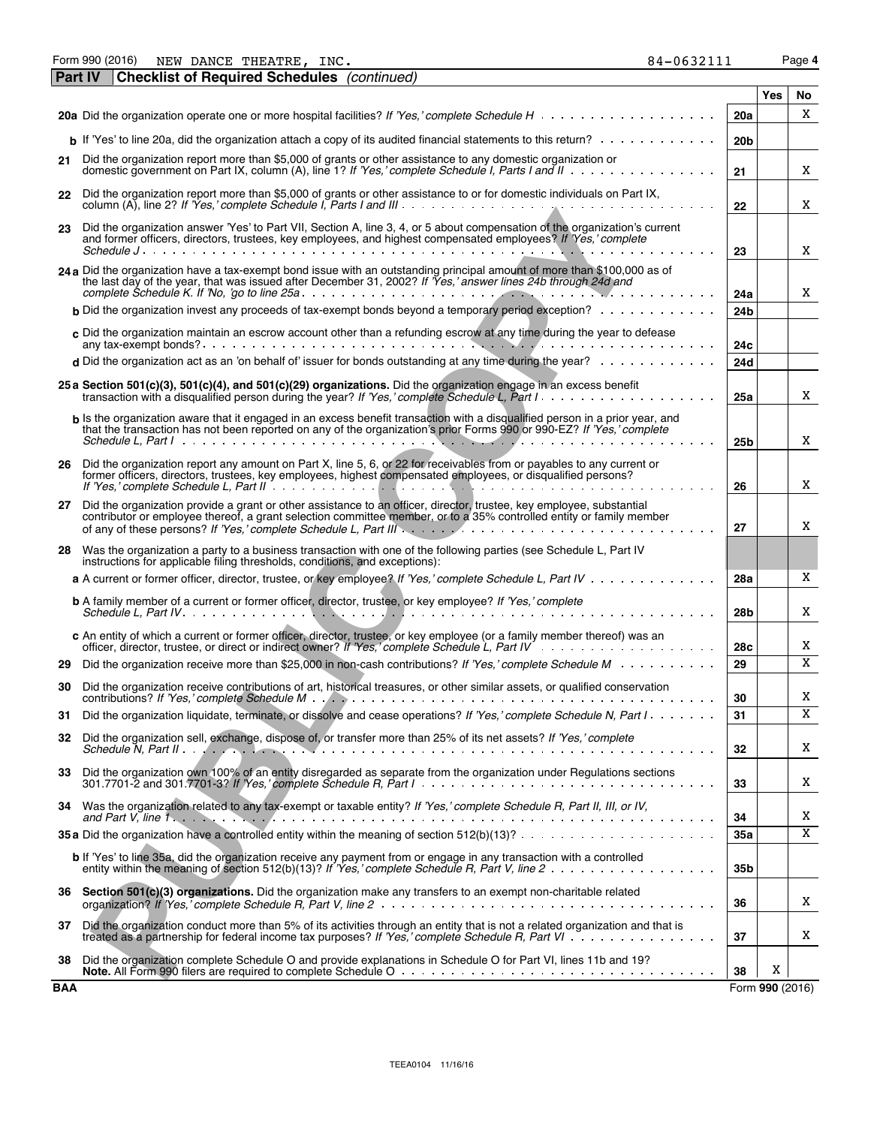Form 990 (2016) Page **4** NEW DANCE THEATRE, INC. 84-0632111

|            | <b>Checklist of Required Schedules</b> (continued)<br>Part IV                                                                                                                                                                                         |                 |                 |    |
|------------|-------------------------------------------------------------------------------------------------------------------------------------------------------------------------------------------------------------------------------------------------------|-----------------|-----------------|----|
|            |                                                                                                                                                                                                                                                       |                 | <b>Yes</b>      | No |
|            |                                                                                                                                                                                                                                                       | 20a             |                 | X  |
|            | <b>b</b> If 'Yes' to line 20a, did the organization attach a copy of its audited financial statements to this return?                                                                                                                                 | 20 <sub>b</sub> |                 |    |
| 21         | Did the organization report more than \$5,000 of grants or other assistance to any domestic organization or<br>domestic government on Part IX, column (A), line 1? If Yes, complete Schedule I, Parts I and II                                        | 21              |                 | X  |
|            | 22 Did the organization report more than \$5,000 of grants or other assistance to or for domestic individuals on Part IX,                                                                                                                             | 22              |                 | X  |
| 23         | Did the organization answer 'Yes' to Part VII, Section A, line 3, 4, or 5 about compensation of the organization's current<br>and former officers, directors, trustees, key employees, and highest compensated employees? If 'Yes,' complete          |                 |                 |    |
|            |                                                                                                                                                                                                                                                       | 23              |                 | X  |
|            | 24 a Did the organization have a tax-exempt bond issue with an outstanding principal amount of more than \$100,000 as of<br>the last day of the year, that was issued after December 31, 2002? If Yes,' answer lines 24b through 24d and              | 24a             |                 | X  |
|            | <b>b</b> Did the organization invest any proceeds of tax-exempt bonds beyond a temporary period exception? $\ldots \ldots \ldots$                                                                                                                     | 24b             |                 |    |
|            | c Did the organization maintain an escrow account other than a refunding escrow at any time during the year to defease                                                                                                                                | 24 <sub>c</sub> |                 |    |
|            | d Did the organization act as an 'on behalf of' issuer for bonds outstanding at any time during the year?                                                                                                                                             | 24d             |                 |    |
|            | 25 a Section 501(c)(3), 501(c)(4), and 501(c)(29) organizations. Did the organization engage in an excess benefit<br>transaction with a disqualified person during the year? If 'Yes,' complete Schedule L, Part I.                                   | 25a             |                 | X  |
|            | b Is the organization aware that it engaged in an excess benefit transaction with a disqualified person in a prior year, and<br>that the transaction has not been reported on any of the organization's prior Forms 990 or 990-EZ? If 'Yes,' complete |                 |                 |    |
|            |                                                                                                                                                                                                                                                       | 25 <sub>b</sub> |                 | X  |
|            | 26 Did the organization report any amount on Part X, line 5, 6, or 22 for receivables from or payables to any current or<br>former officers, directors, trustees, key employees, highest compensated employees, or disqualified persons?              | 26              |                 | X  |
| 27         | Did the organization provide a grant or other assistance to an officer, director, trustee, key employee, substantial<br>contributor or employee thereof, a grant selection committee member, or to a 35% controlled entity or family member           | 27              |                 | X  |
|            | 28 Was the organization a party to a business transaction with one of the following parties (see Schedule L, Part IV<br>instructions for applicable filing thresholds, conditions, and exceptions):                                                   |                 |                 |    |
|            | a A current or former officer, director, trustee, or key employee? If 'Yes,' complete Schedule L, Part IV                                                                                                                                             | 28a             |                 | X  |
|            | <b>b</b> A family member of a current or former officer, director, trustee, or key employee? If 'Yes,' complete                                                                                                                                       | 28b             |                 | X  |
|            | c An entity of which a current or former officer, director, trustee, or key employee (or a family member thereof) was an                                                                                                                              | 28c             |                 | X  |
| 29         | Did the organization receive more than \$25,000 in non-cash contributions? If 'Yes,' complete Schedule M                                                                                                                                              | 29              |                 | X  |
| 30         | Did the organization receive contributions of art, historical treasures, or other similar assets, or qualified conservation                                                                                                                           | 30              |                 | X  |
| 31         | Did the organization liquidate, terminate, or dissolve and cease operations? If 'Yes,' complete Schedule N, Part I.                                                                                                                                   | 31              |                 | X  |
| 32         | Did the organization sell, exchange, dispose of, or transfer more than 25% of its net assets? If 'Yes,' complete                                                                                                                                      | 32              |                 | X  |
| 33         | Did the organization own 100% of an entity disregarded as separate from the organization under Regulations sections                                                                                                                                   | 33              |                 | X  |
| 34         | Was the organization related to any tax-exempt or taxable entity? If 'Yes,' complete Schedule R, Part II, III, or IV,                                                                                                                                 | 34              |                 | X  |
|            |                                                                                                                                                                                                                                                       | 35a             |                 | X  |
|            | b If 'Yes' to line 35a, did the organization receive any payment from or engage in any transaction with a controlled                                                                                                                                  | 35b             |                 |    |
| 36         | Section 501(c)(3) organizations. Did the organization make any transfers to an exempt non-charitable related                                                                                                                                          | 36              |                 | X  |
| 37         | Did the organization conduct more than 5% of its activities through an entity that is not a related organization and that is<br>treated as a partnership for federal income tax purposes? If 'Yes,' complete Schedule R, Part VI                      | 37              |                 | X  |
| 38         | Did the organization complete Schedule O and provide explanations in Schedule O for Part VI, lines 11b and 19?                                                                                                                                        | 38              | $\mathbf X$     |    |
| <b>BAA</b> |                                                                                                                                                                                                                                                       |                 | Form 990 (2016) |    |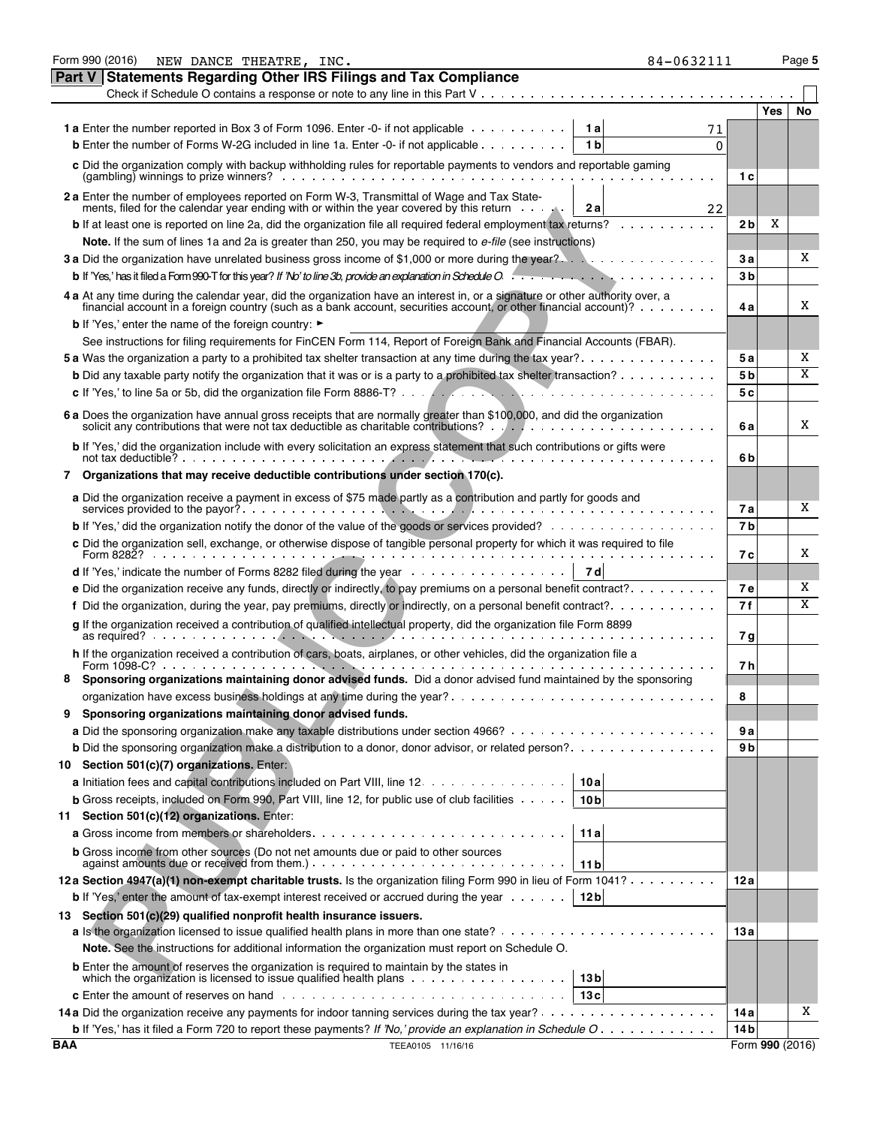|        | Form 990 (2016)<br>84-0632111<br>NEW DANCE THEATRE, INC.                                                                                                                                                                                                                       |                |                 | Page 5 |
|--------|--------------------------------------------------------------------------------------------------------------------------------------------------------------------------------------------------------------------------------------------------------------------------------|----------------|-----------------|--------|
| Part V | <b>Statements Regarding Other IRS Filings and Tax Compliance</b>                                                                                                                                                                                                               |                |                 |        |
|        | Check if Schedule O contains a response or note to any line in this Part $V_1, \ldots, \ldots, \ldots, \ldots, \ldots, \ldots, \ldots, \ldots$                                                                                                                                 |                |                 |        |
|        |                                                                                                                                                                                                                                                                                |                | <b>Yes</b>      | No     |
|        | <b>1a</b> Enter the number reported in Box 3 of Form 1096. Enter -0- if not applicable<br>1al<br>71                                                                                                                                                                            |                |                 |        |
|        | <b>b</b> Enter the number of Forms W-2G included in line 1a. Enter -0- if not applicable<br>1 <sub>b</sub><br>$\mathbf{0}$                                                                                                                                                     |                |                 |        |
|        | c Did the organization comply with backup withholding rules for reportable payments to vendors and reportable gaming<br>(gambling) winnings to prize winners? $\cdots$ , , , , , , ,                                                                                           | 1 c            |                 |        |
|        | 2 a Enter the number of employees reported on Form W-3, Transmittal of Wage and Tax State-<br>ments, filed for the calendar year ending with or within the year covered by this return<br>2 a<br>22                                                                            |                |                 |        |
|        | <b>b</b> If at least one is reported on line 2a, did the organization file all required federal employment tax returns?                                                                                                                                                        | 2 <sub>b</sub> | Χ               |        |
|        | Note. If the sum of lines 1a and 2a is greater than 250, you may be required to e-file (see instructions)                                                                                                                                                                      |                |                 |        |
|        |                                                                                                                                                                                                                                                                                | 3 а            |                 | X      |
|        | <b>b</b> If 'Yes,' has it filed a Form 990-T for this year? If 'No' to line 3b, provide an explanation in Schedule O                                                                                                                                                           | 3 <sub>b</sub> |                 |        |
|        | 4 a At any time during the calendar year, did the organization have an interest in, or a signature or other authority over, a                                                                                                                                                  |                |                 |        |
|        | financial account in a foreign country (such as a bank account, securities account, or other financial account)?                                                                                                                                                               | 4 a            |                 | X      |
|        | <b>b</b> If 'Yes,' enter the name of the foreign country: ►                                                                                                                                                                                                                    |                |                 |        |
|        | See instructions for filing requirements for FinCEN Form 114, Report of Foreign Bank and Financial Accounts (FBAR).                                                                                                                                                            |                |                 |        |
|        | 5 a Was the organization a party to a prohibited tax shelter transaction at any time during the tax year?                                                                                                                                                                      | <b>5a</b>      |                 | X      |
|        | <b>b</b> Did any taxable party notify the organization that it was or is a party to a prohibited tax shelter transaction?                                                                                                                                                      | 5 <sub>b</sub> |                 | X      |
|        |                                                                                                                                                                                                                                                                                | 5с             |                 |        |
|        | 6 a Does the organization have annual gross receipts that are normally greater than \$100,000, and did the organization<br>solicit any contributions that were not tax deductible as charitable contributions? $\ldots$ , $\ldots$ , $\ldots$ , $\ldots$ , $\ldots$ , $\ldots$ | 6а             |                 | X      |
|        | b If 'Yes,' did the organization include with every solicitation an express statement that such contributions or gifts were                                                                                                                                                    |                |                 |        |
| 7      | Organizations that may receive deductible contributions under section 170(c).                                                                                                                                                                                                  | 6 b            |                 |        |
|        | a Did the organization receive a payment in excess of \$75 made partly as a contribution and partly for goods and                                                                                                                                                              |                |                 |        |
|        |                                                                                                                                                                                                                                                                                | 7а             |                 | X      |
|        | <b>b</b> If 'Yes,' did the organization notify the donor of the value of the goods or services provided?                                                                                                                                                                       | 7b             |                 |        |
|        | c Did the organization sell, exchange, or otherwise dispose of tangible personal property for which it was required to file                                                                                                                                                    | 7 с            |                 | X      |
|        | <b>d</b> If 'Yes,' indicate the number of Forms 8282 filed during the year $\ldots \ldots \ldots \ldots \ldots$<br>7 dl                                                                                                                                                        |                |                 |        |
|        | e Did the organization receive any funds, directly or indirectly, to pay premiums on a personal benefit contract?                                                                                                                                                              | <b>7e</b>      |                 | X      |
|        | f Did the organization, during the year, pay premiums, directly or indirectly, on a personal benefit contract?                                                                                                                                                                 | 7f             |                 | X      |
|        | g If the organization received a contribution of qualified intellectual property, did the organization file Form 8899                                                                                                                                                          |                |                 |        |
|        |                                                                                                                                                                                                                                                                                | 7 g            |                 |        |
|        | h If the organization received a contribution of cars, boats, airplanes, or other vehicles, did the organization file a                                                                                                                                                        | 7 h            |                 |        |
|        | Sponsoring organizations maintaining donor advised funds. Did a donor advised fund maintained by the sponsoring                                                                                                                                                                |                |                 |        |
|        |                                                                                                                                                                                                                                                                                | 8              |                 |        |
| 9      | Sponsoring organizations maintaining donor advised funds.                                                                                                                                                                                                                      |                |                 |        |
|        |                                                                                                                                                                                                                                                                                | 9а             |                 |        |
|        | <b>b</b> Did the sponsoring organization make a distribution to a donor, donor advisor, or related person?.                                                                                                                                                                    | 9 b            |                 |        |
|        | 10 Section 501(c)(7) organizations. Enter:                                                                                                                                                                                                                                     |                |                 |        |
|        | 10 a<br><b>a</b> Initiation fees and capital contributions included on Part VIII, line 12.                                                                                                                                                                                     |                |                 |        |
|        | <b>b</b> Gross receipts, included on Form 990, Part VIII, line 12, for public use of club facilities $\cdots$ .<br>10 <sub>b</sub>                                                                                                                                             |                |                 |        |
| 11.    | Section 501(c)(12) organizations. Enter:                                                                                                                                                                                                                                       |                |                 |        |
|        | 11 a                                                                                                                                                                                                                                                                           |                |                 |        |
|        | <b>b</b> Gross income from other sources (Do not net amounts due or paid to other sources<br>against amounts due or received from them.) $\ldots \ldots \ldots \ldots \ldots \ldots \ldots \ldots \ldots \ldots \ldots$<br>11 <sub>b</sub>                                     |                |                 |        |
|        | 12a Section 4947(a)(1) non-exempt charitable trusts. Is the organization filing Form 990 in lieu of Form 1041?                                                                                                                                                                 | 12 a           |                 |        |
|        | <b>b</b> If 'Yes,' enter the amount of tax-exempt interest received or accrued during the year $\dots$<br>12 bl                                                                                                                                                                |                |                 |        |
| 13.    | Section 501(c)(29) qualified nonprofit health insurance issuers.                                                                                                                                                                                                               |                |                 |        |
|        |                                                                                                                                                                                                                                                                                | 13 a           |                 |        |
|        | <b>Note.</b> See the instructions for additional information the organization must report on Schedule O.                                                                                                                                                                       |                |                 |        |
|        | <b>b</b> Enter the amount of reserves the organization is required to maintain by the states in                                                                                                                                                                                |                |                 |        |
|        | 13 <sub>b</sub>                                                                                                                                                                                                                                                                |                |                 |        |
|        | 13c                                                                                                                                                                                                                                                                            |                |                 |        |
|        |                                                                                                                                                                                                                                                                                | 14 a           |                 | X      |
|        | <b>b</b> If 'Yes,' has it filed a Form 720 to report these payments? If 'No,' provide an explanation in Schedule $0 \cdot \cdot \cdot \cdot \cdot \cdot \cdot \cdot \cdot$                                                                                                     | 14 b           |                 |        |
| BAA    | TEEA0105 11/16/16                                                                                                                                                                                                                                                              |                | Form 990 (2016) |        |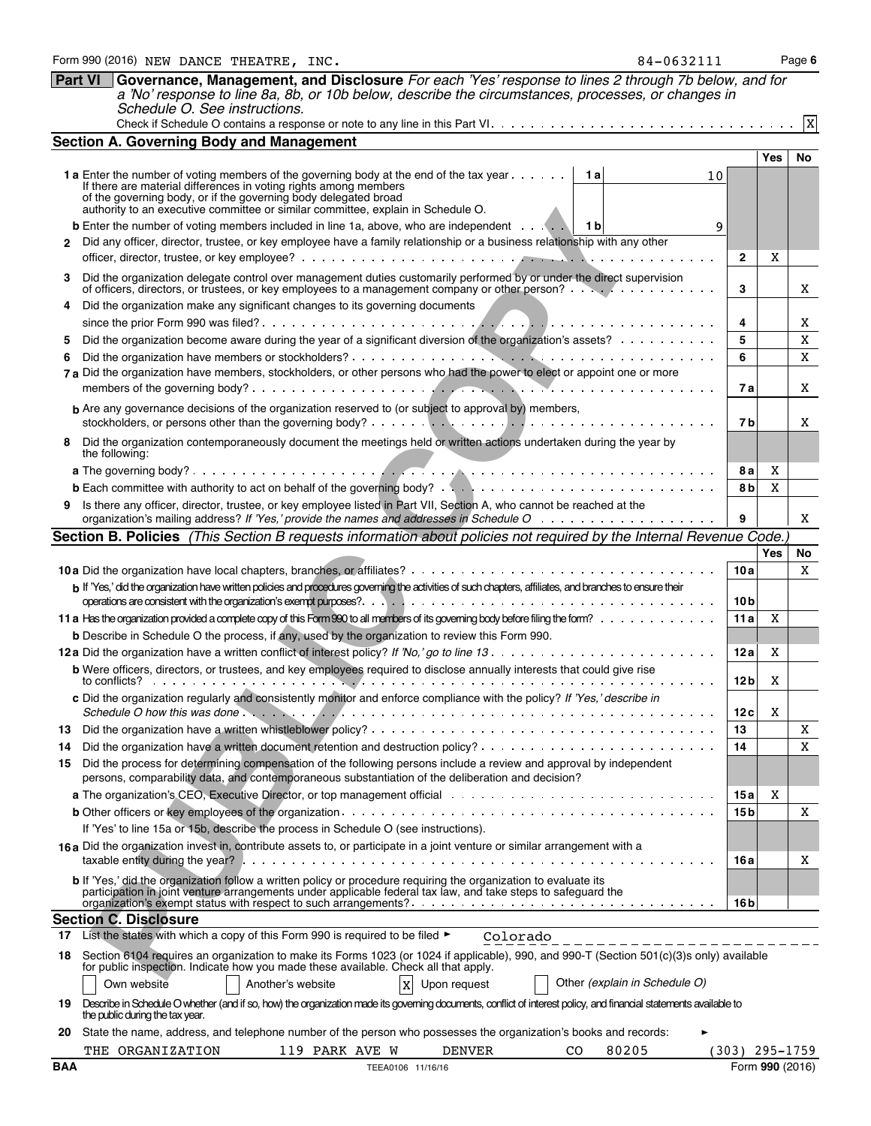|            | <b>Part VI</b> Governance, Management, and Disclosure For each 'Yes' response to lines 2 through 7b below, and for<br>a 'No' response to line 8a, 8b, or 10b below, describe the circumstances, processes, or changes in                                                                                                               |                  |                 |          |
|------------|----------------------------------------------------------------------------------------------------------------------------------------------------------------------------------------------------------------------------------------------------------------------------------------------------------------------------------------|------------------|-----------------|----------|
|            | Schedule O. See instructions.                                                                                                                                                                                                                                                                                                          |                  |                 | X        |
|            | <b>Section A. Governing Body and Management</b>                                                                                                                                                                                                                                                                                        |                  |                 |          |
|            |                                                                                                                                                                                                                                                                                                                                        |                  | <b>Yes</b>      | No       |
|            | <b>1 a</b> Enter the number of voting members of the governing body at the end of the tax year<br>1 a<br>10<br>If there are material differences in voting rights among members<br>of the governing body, or if the governing body delegated broad<br>authority to an executive committee or similar committee, explain in Schedule O. |                  |                 |          |
| 2          | <b>b</b> Enter the number of voting members included in line 1a, above, who are independent<br>1 b<br>9<br>Did any officer, director, trustee, or key employee have a family relationship or a business relationship with any other                                                                                                    | $\overline{2}$   | X               |          |
| з          | Did the organization delegate control over management duties customarily performed by or under the direct supervision<br>of officers, directors, or trustees, or key employees to a management company or other person?                                                                                                                | 3                |                 | X        |
|            | Did the organization make any significant changes to its governing documents                                                                                                                                                                                                                                                           | 4                |                 | X        |
| 5          | Did the organization become aware during the year of a significant diversion of the organization's assets?                                                                                                                                                                                                                             | 5<br>6           |                 | X<br>X   |
|            | 7 a Did the organization have members, stockholders, or other persons who had the power to elect or appoint one or more                                                                                                                                                                                                                | 7а               |                 | X        |
|            | <b>b</b> Are any governance decisions of the organization reserved to (or subject to approval by) members,                                                                                                                                                                                                                             | 7 b              |                 | X        |
|            | Did the organization contemporaneously document the meetings held or written actions undertaken during the year by<br>the following:                                                                                                                                                                                                   |                  |                 |          |
|            |                                                                                                                                                                                                                                                                                                                                        | 8а<br>8 b        | Χ<br>X          |          |
|            | Is there any officer, director, trustee, or key employee listed in Part VII, Section A, who cannot be reached at the                                                                                                                                                                                                                   |                  |                 |          |
|            |                                                                                                                                                                                                                                                                                                                                        |                  |                 | X        |
|            | Section B. Policies (This Section B requests information about policies not required by the Internal Revenue Code.                                                                                                                                                                                                                     |                  | <b>Yes</b>      |          |
|            |                                                                                                                                                                                                                                                                                                                                        | 10a              |                 | No.<br>X |
|            | b If 'Yes,' did the organization have written policies and procedures governing the activities of such chapters, affiliates, and branches to ensure their                                                                                                                                                                              |                  |                 |          |
|            |                                                                                                                                                                                                                                                                                                                                        | 10 <sub>b</sub>  |                 |          |
|            |                                                                                                                                                                                                                                                                                                                                        | 11a              | X               |          |
|            | <b>b</b> Describe in Schedule O the process, if any, used by the organization to review this Form 990.                                                                                                                                                                                                                                 |                  |                 |          |
|            |                                                                                                                                                                                                                                                                                                                                        | 12 a             | Χ               |          |
|            | <b>b</b> Were officers, directors, or trustees, and key employees required to disclose annually interests that could give rise<br>to conflicts?<br>the contract of the contract of the contract of the contract of the contract of the contract of the contract of                                                                     | 12 <sub>b</sub>  | X               |          |
|            | c Did the organization regularly and consistently monitor and enforce compliance with the policy? If 'Yes,' describe in                                                                                                                                                                                                                | 12c              | X               |          |
| 13<br>14   |                                                                                                                                                                                                                                                                                                                                        | 13<br>14         |                 | X<br>X   |
| 15         | Did the process for determining compensation of the following persons include a review and approval by independent<br>persons, comparability data, and contemporaneous substantiation of the deliberation and decision?                                                                                                                |                  |                 |          |
|            |                                                                                                                                                                                                                                                                                                                                        | 15 a<br>15 b     | Χ               |          |
|            | If 'Yes' to line 15a or 15b, describe the process in Schedule O (see instructions).                                                                                                                                                                                                                                                    |                  |                 | X        |
|            | 16a Did the organization invest in, contribute assets to, or participate in a joint venture or similar arrangement with a<br>taxable entity during the year?<br>a dia kaominina mpikambana amin'ny fivondronan-kaominin'i Communistra dia kaominina mpikambana amin'ny fivondr                                                         | 16 a             |                 | X        |
|            | b If 'Yes,' did the organization follow a written policy or procedure requiring the organization to evaluate its<br>participation in joint venture arrangements under applicable federal tax law, and take steps to safeguard the                                                                                                      | 16 b             |                 |          |
|            | <b>Section C. Disclosure</b>                                                                                                                                                                                                                                                                                                           |                  |                 |          |
| 17         | List the states with which a copy of this Form 990 is required to be filed ►<br>Colorado                                                                                                                                                                                                                                               |                  |                 |          |
| 18         | Section 6104 requires an organization to make its Forms 1023 (or 1024 if applicable), 990, and 990-T (Section 501(c)(3)s only) available<br>for public inspection. Indicate how you made these available. Check all that apply.                                                                                                        |                  |                 |          |
|            | Other (explain in Schedule O)<br>Own website<br>Another's website<br>$\mathbf x$<br>Upon request                                                                                                                                                                                                                                       |                  |                 |          |
| 19.        | Describe in Schedule O whether (and if so, how) the organization made its governing documents, conflict of interest policy, and financial statements available to<br>the public during the tax year.                                                                                                                                   |                  |                 |          |
| 20         | State the name, address, and telephone number of the person who possesses the organization's books and records:                                                                                                                                                                                                                        |                  |                 |          |
|            | 80205<br>THE ORGANIZATION<br>119 PARK AVE W<br><b>DENVER</b><br>CO                                                                                                                                                                                                                                                                     | $(303)$ 295-1759 | Form 990 (2016) |          |
| <b>BAA</b> | TEEA0106 11/16/16                                                                                                                                                                                                                                                                                                                      |                  |                 |          |

Form 990 (2016) Page **6** NEW DANCE THEATRE, INC. 84-0632111

**r**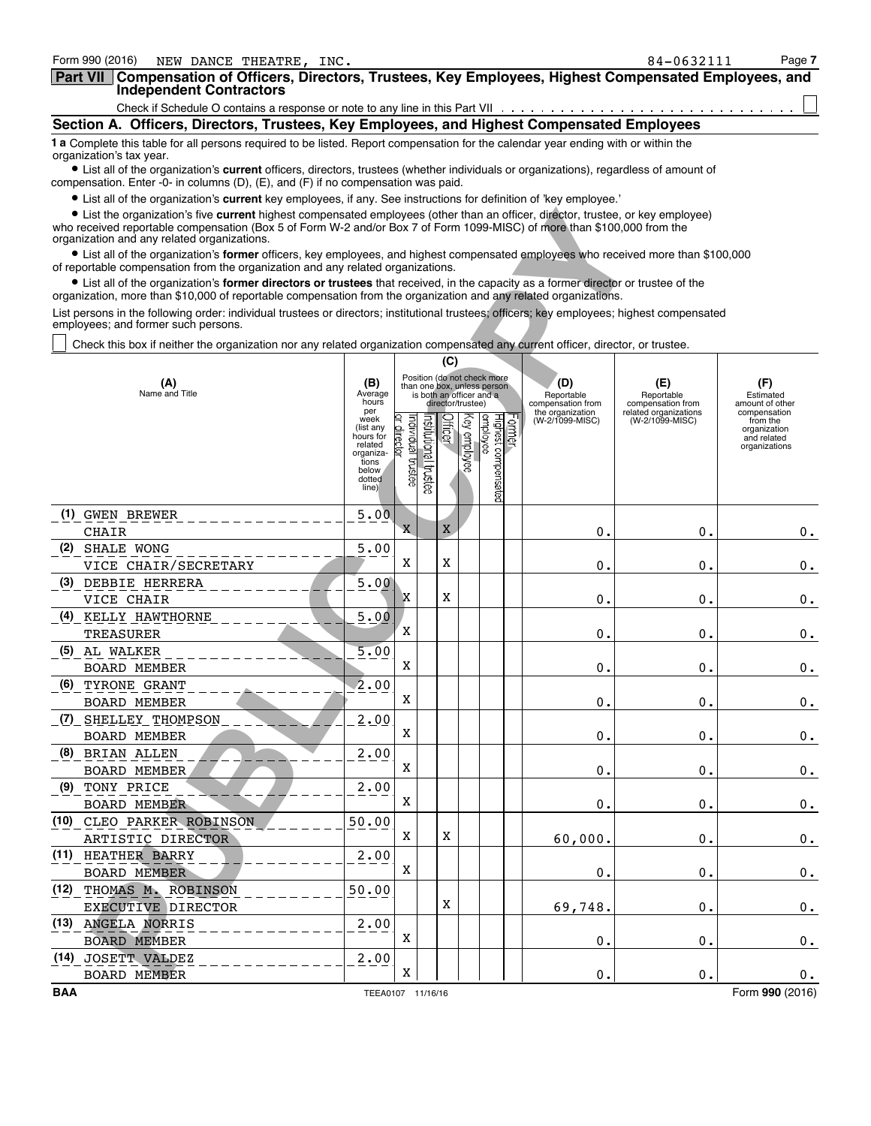| Form 990 (2016)<br>NEW DANCE THEATRE, INC.                                                                                                                                                                                                                                                                                                                                                                                       | 84-0632111 | Page 7 |
|----------------------------------------------------------------------------------------------------------------------------------------------------------------------------------------------------------------------------------------------------------------------------------------------------------------------------------------------------------------------------------------------------------------------------------|------------|--------|
| Compensation of Officers, Directors, Trustees, Key Employees, Highest Compensated Employees, and<br><b>Part VII</b><br><b>Independent Contractors</b>                                                                                                                                                                                                                                                                            |            |        |
|                                                                                                                                                                                                                                                                                                                                                                                                                                  |            |        |
| Section A. Officers, Directors, Trustees, Key Employees, and Highest Compensated Employees                                                                                                                                                                                                                                                                                                                                       |            |        |
| 1 a Complete this table for all persons required to be listed. Report compensation for the calendar year ending with or within the<br>organization's tax year.<br>• List all of the organization's current officers, directors, trustees (whether individuals or organizations), regardless of amount of<br>compensation. Enter -0- in columns $(D)$ , $(E)$ , and $(F)$ if no compensation was paid.                            |            |        |
| • List all of the organization's current key employees, if any. See instructions for definition of 'key employee.'<br>• List the organization's five current highest compensated employees (other than an officer, director, trustee, or key employee)<br>who received reportable compensation (Box 5 of Form W-2 and/or Box 7 of Form 1099-MISC) of more than \$100,000 from the<br>organization and any related organizations. |            |        |
| • List all of the organization's former officers, key employees, and highest compensated employees who received more than \$100,000<br>of reportable compensation from the organization and any related organizations.                                                                                                                                                                                                           |            |        |

| (B)             |                                                                                                         |                                              |                                           |                                                                                                                                        |                     |                                               | (D)                                                                                                     | (E)                                                                           | (F)                                                                                                                                                                                                                                                                                                                                                                                                                                                                                                                                                                                                                                                                                                                                                                                                                                                                                                                                                                                                                             |
|-----------------|---------------------------------------------------------------------------------------------------------|----------------------------------------------|-------------------------------------------|----------------------------------------------------------------------------------------------------------------------------------------|---------------------|-----------------------------------------------|---------------------------------------------------------------------------------------------------------|-------------------------------------------------------------------------------|---------------------------------------------------------------------------------------------------------------------------------------------------------------------------------------------------------------------------------------------------------------------------------------------------------------------------------------------------------------------------------------------------------------------------------------------------------------------------------------------------------------------------------------------------------------------------------------------------------------------------------------------------------------------------------------------------------------------------------------------------------------------------------------------------------------------------------------------------------------------------------------------------------------------------------------------------------------------------------------------------------------------------------|
| hours           |                                                                                                         |                                              |                                           |                                                                                                                                        |                     |                                               | compensation from                                                                                       | compensation from                                                             | Estimated<br>amount of other                                                                                                                                                                                                                                                                                                                                                                                                                                                                                                                                                                                                                                                                                                                                                                                                                                                                                                                                                                                                    |
| week            |                                                                                                         |                                              |                                           |                                                                                                                                        |                     |                                               | (W-2/1099-MISC)                                                                                         | (W-2/1099-MISC)                                                               | compensation<br>from the                                                                                                                                                                                                                                                                                                                                                                                                                                                                                                                                                                                                                                                                                                                                                                                                                                                                                                                                                                                                        |
| hours for       |                                                                                                         |                                              |                                           |                                                                                                                                        |                     |                                               |                                                                                                         |                                                                               | organization<br>and related                                                                                                                                                                                                                                                                                                                                                                                                                                                                                                                                                                                                                                                                                                                                                                                                                                                                                                                                                                                                     |
| organiza-       |                                                                                                         |                                              |                                           |                                                                                                                                        |                     |                                               |                                                                                                         |                                                                               | organizations                                                                                                                                                                                                                                                                                                                                                                                                                                                                                                                                                                                                                                                                                                                                                                                                                                                                                                                                                                                                                   |
| below<br>dotted |                                                                                                         |                                              |                                           |                                                                                                                                        |                     |                                               |                                                                                                         |                                                                               |                                                                                                                                                                                                                                                                                                                                                                                                                                                                                                                                                                                                                                                                                                                                                                                                                                                                                                                                                                                                                                 |
| line)           |                                                                                                         |                                              |                                           |                                                                                                                                        |                     |                                               |                                                                                                         |                                                                               |                                                                                                                                                                                                                                                                                                                                                                                                                                                                                                                                                                                                                                                                                                                                                                                                                                                                                                                                                                                                                                 |
|                 |                                                                                                         |                                              |                                           |                                                                                                                                        |                     |                                               |                                                                                                         |                                                                               |                                                                                                                                                                                                                                                                                                                                                                                                                                                                                                                                                                                                                                                                                                                                                                                                                                                                                                                                                                                                                                 |
|                 | X                                                                                                       |                                              | X                                         |                                                                                                                                        |                     |                                               | 0.                                                                                                      | 0.                                                                            | $0$ .                                                                                                                                                                                                                                                                                                                                                                                                                                                                                                                                                                                                                                                                                                                                                                                                                                                                                                                                                                                                                           |
| 5.00            |                                                                                                         |                                              |                                           |                                                                                                                                        |                     |                                               |                                                                                                         |                                                                               |                                                                                                                                                                                                                                                                                                                                                                                                                                                                                                                                                                                                                                                                                                                                                                                                                                                                                                                                                                                                                                 |
|                 | X                                                                                                       |                                              | X                                         |                                                                                                                                        |                     |                                               | 0.                                                                                                      | 0.                                                                            | $\boldsymbol{0}$ .                                                                                                                                                                                                                                                                                                                                                                                                                                                                                                                                                                                                                                                                                                                                                                                                                                                                                                                                                                                                              |
| 5.00            |                                                                                                         |                                              |                                           |                                                                                                                                        |                     |                                               |                                                                                                         |                                                                               |                                                                                                                                                                                                                                                                                                                                                                                                                                                                                                                                                                                                                                                                                                                                                                                                                                                                                                                                                                                                                                 |
|                 |                                                                                                         |                                              |                                           |                                                                                                                                        |                     |                                               | 0.                                                                                                      | 0.                                                                            | $\boldsymbol{0}$ .                                                                                                                                                                                                                                                                                                                                                                                                                                                                                                                                                                                                                                                                                                                                                                                                                                                                                                                                                                                                              |
| 5.00            |                                                                                                         |                                              |                                           |                                                                                                                                        |                     |                                               |                                                                                                         |                                                                               |                                                                                                                                                                                                                                                                                                                                                                                                                                                                                                                                                                                                                                                                                                                                                                                                                                                                                                                                                                                                                                 |
|                 |                                                                                                         |                                              |                                           |                                                                                                                                        |                     |                                               | 0.                                                                                                      | 0.                                                                            | $\boldsymbol{0}$ .                                                                                                                                                                                                                                                                                                                                                                                                                                                                                                                                                                                                                                                                                                                                                                                                                                                                                                                                                                                                              |
|                 |                                                                                                         |                                              |                                           |                                                                                                                                        |                     |                                               |                                                                                                         |                                                                               |                                                                                                                                                                                                                                                                                                                                                                                                                                                                                                                                                                                                                                                                                                                                                                                                                                                                                                                                                                                                                                 |
|                 |                                                                                                         |                                              |                                           |                                                                                                                                        |                     |                                               |                                                                                                         |                                                                               | $\boldsymbol{0}$ .                                                                                                                                                                                                                                                                                                                                                                                                                                                                                                                                                                                                                                                                                                                                                                                                                                                                                                                                                                                                              |
|                 |                                                                                                         |                                              |                                           |                                                                                                                                        |                     |                                               |                                                                                                         |                                                                               |                                                                                                                                                                                                                                                                                                                                                                                                                                                                                                                                                                                                                                                                                                                                                                                                                                                                                                                                                                                                                                 |
|                 |                                                                                                         |                                              |                                           |                                                                                                                                        |                     |                                               |                                                                                                         |                                                                               | $\boldsymbol{0}$ .                                                                                                                                                                                                                                                                                                                                                                                                                                                                                                                                                                                                                                                                                                                                                                                                                                                                                                                                                                                                              |
|                 |                                                                                                         |                                              |                                           |                                                                                                                                        |                     |                                               |                                                                                                         |                                                                               | $\boldsymbol{0}$ .                                                                                                                                                                                                                                                                                                                                                                                                                                                                                                                                                                                                                                                                                                                                                                                                                                                                                                                                                                                                              |
|                 |                                                                                                         |                                              |                                           |                                                                                                                                        |                     |                                               |                                                                                                         |                                                                               |                                                                                                                                                                                                                                                                                                                                                                                                                                                                                                                                                                                                                                                                                                                                                                                                                                                                                                                                                                                                                                 |
|                 | X                                                                                                       |                                              |                                           |                                                                                                                                        |                     |                                               |                                                                                                         |                                                                               | $0$ .                                                                                                                                                                                                                                                                                                                                                                                                                                                                                                                                                                                                                                                                                                                                                                                                                                                                                                                                                                                                                           |
| 2.00            |                                                                                                         |                                              |                                           |                                                                                                                                        |                     |                                               |                                                                                                         |                                                                               |                                                                                                                                                                                                                                                                                                                                                                                                                                                                                                                                                                                                                                                                                                                                                                                                                                                                                                                                                                                                                                 |
|                 | X                                                                                                       |                                              |                                           |                                                                                                                                        |                     |                                               | о.                                                                                                      | 0.                                                                            | $0$ .                                                                                                                                                                                                                                                                                                                                                                                                                                                                                                                                                                                                                                                                                                                                                                                                                                                                                                                                                                                                                           |
| 50.00           |                                                                                                         |                                              |                                           |                                                                                                                                        |                     |                                               |                                                                                                         |                                                                               |                                                                                                                                                                                                                                                                                                                                                                                                                                                                                                                                                                                                                                                                                                                                                                                                                                                                                                                                                                                                                                 |
|                 | X                                                                                                       |                                              | X                                         |                                                                                                                                        |                     |                                               | 60,000.                                                                                                 | 0.                                                                            | $0$ .                                                                                                                                                                                                                                                                                                                                                                                                                                                                                                                                                                                                                                                                                                                                                                                                                                                                                                                                                                                                                           |
| 2.00            |                                                                                                         |                                              |                                           |                                                                                                                                        |                     |                                               |                                                                                                         |                                                                               |                                                                                                                                                                                                                                                                                                                                                                                                                                                                                                                                                                                                                                                                                                                                                                                                                                                                                                                                                                                                                                 |
|                 |                                                                                                         |                                              |                                           |                                                                                                                                        |                     |                                               | 0.                                                                                                      | 0.                                                                            | $\boldsymbol{0}$ .                                                                                                                                                                                                                                                                                                                                                                                                                                                                                                                                                                                                                                                                                                                                                                                                                                                                                                                                                                                                              |
| 50.00           |                                                                                                         |                                              |                                           |                                                                                                                                        |                     |                                               |                                                                                                         |                                                                               |                                                                                                                                                                                                                                                                                                                                                                                                                                                                                                                                                                                                                                                                                                                                                                                                                                                                                                                                                                                                                                 |
|                 |                                                                                                         |                                              |                                           |                                                                                                                                        |                     |                                               |                                                                                                         |                                                                               | $\boldsymbol{0}$ .                                                                                                                                                                                                                                                                                                                                                                                                                                                                                                                                                                                                                                                                                                                                                                                                                                                                                                                                                                                                              |
|                 |                                                                                                         |                                              |                                           |                                                                                                                                        |                     |                                               |                                                                                                         |                                                                               |                                                                                                                                                                                                                                                                                                                                                                                                                                                                                                                                                                                                                                                                                                                                                                                                                                                                                                                                                                                                                                 |
|                 |                                                                                                         |                                              |                                           |                                                                                                                                        |                     |                                               |                                                                                                         |                                                                               | $\boldsymbol{0}$ .                                                                                                                                                                                                                                                                                                                                                                                                                                                                                                                                                                                                                                                                                                                                                                                                                                                                                                                                                                                                              |
|                 | X                                                                                                       |                                              |                                           |                                                                                                                                        |                     |                                               |                                                                                                         |                                                                               | $0$ .                                                                                                                                                                                                                                                                                                                                                                                                                                                                                                                                                                                                                                                                                                                                                                                                                                                                                                                                                                                                                           |
|                 |                                                                                                         |                                              |                                           |                                                                                                                                        |                     |                                               |                                                                                                         |                                                                               | Form 990 (2016)                                                                                                                                                                                                                                                                                                                                                                                                                                                                                                                                                                                                                                                                                                                                                                                                                                                                                                                                                                                                                 |
|                 | Average<br>per<br>(list any<br>related<br>tions<br>5.00<br>5.00<br>2.00<br>2.00<br>2.00<br>2.00<br>2.00 | director.<br>X<br>X<br>X<br>X<br>X<br>X<br>X | ndividual trustee<br>nstitutional trustee | of reportable compensation from the organization and any related organizations.<br><b><i>Afteer</i></b><br>X<br>X<br>TEEA0107 11/16/16 | (C)<br>key employee | is both an officer and a<br>director/trustee) | Position (do not check more<br>than one box, unless person<br>Former<br>Highest compensated<br>employee | Reportable<br>the organization<br>0.<br>0.<br>0.<br>0.<br>69,748.<br>0.<br>0. | • List the organization's five current highest compensated employees (other than an officer, director, trustee, or key employee)<br>who received reportable compensation (Box 5 of Form W-2 and/or Box 7 of Form 1099-MISC) of more than \$100,000 from the<br>• List all of the organization's former officers, key employees, and highest compensated employees who received more than \$100,000<br>• List all of the organization's former directors or trustees that received, in the capacity as a former director or trustee of the<br>organization, more than \$10,000 of reportable compensation from the organization and any related organizations.<br>List persons in the following order: individual trustees or directors; institutional trustees; officers; key employees; highest compensated<br>Check this box if neither the organization nor any related organization compensated any current officer, director, or trustee.<br>Reportable<br>related organizations<br>0.<br>0.<br>0.<br>0.<br>0.<br>0.<br>0. |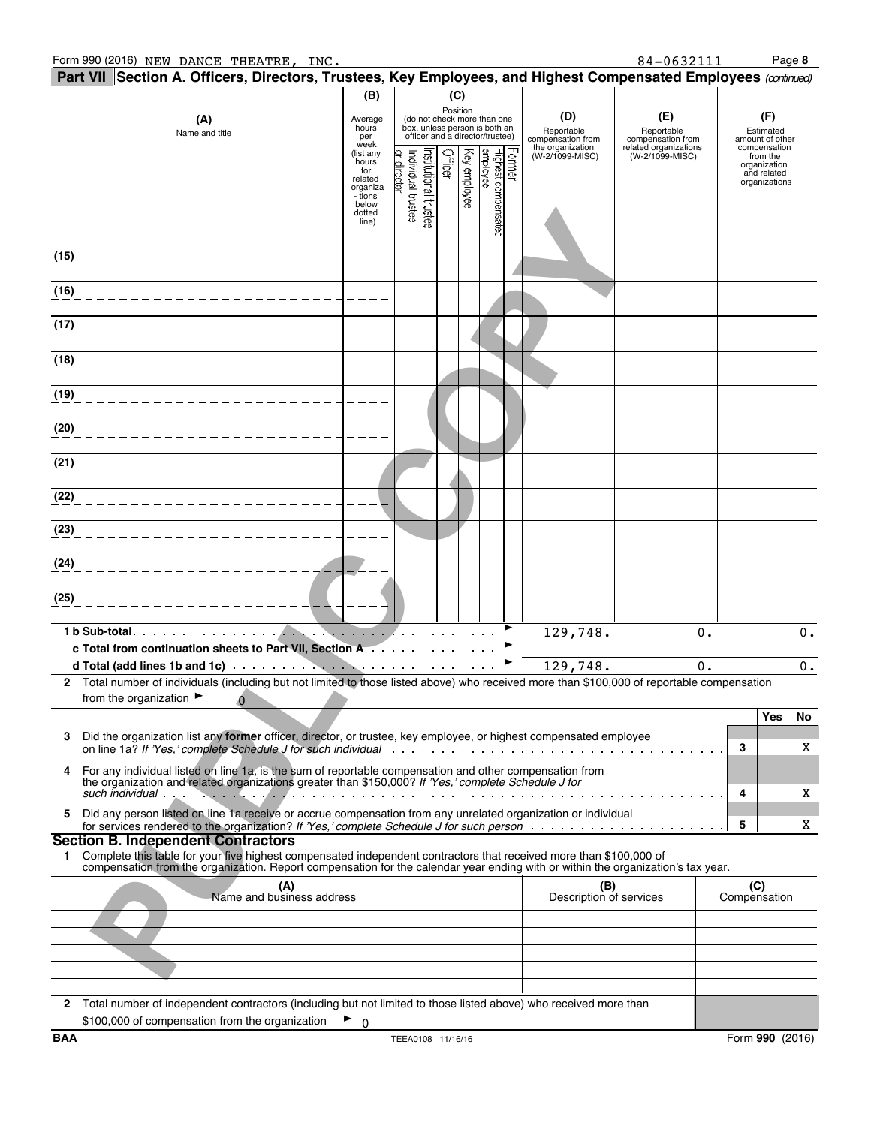|              | Part VII Section A. Officers, Directors, Trustees, Key Employees, and Highest Compensated Employees (continued)                                                                                                                                          |                                 |                               |                      |                 |              |                                                                                                 |                    |                                        |                                          |              |                                          |       |
|--------------|----------------------------------------------------------------------------------------------------------------------------------------------------------------------------------------------------------------------------------------------------------|---------------------------------|-------------------------------|----------------------|-----------------|--------------|-------------------------------------------------------------------------------------------------|--------------------|----------------------------------------|------------------------------------------|--------------|------------------------------------------|-------|
|              |                                                                                                                                                                                                                                                          | (B)                             |                               |                      | (C)<br>Position |              |                                                                                                 |                    |                                        |                                          |              |                                          |       |
|              | (A)<br>Name and title                                                                                                                                                                                                                                    | Average<br>hours<br>per<br>week |                               |                      |                 |              | (do not check more than one<br>box, unless person is both an<br>officer and a director/trustee) |                    | (D)<br>Reportable<br>compensation from | (E)<br>Reportable<br>compensation from   |              | (F)<br>Estimated<br>amount of other      |       |
|              |                                                                                                                                                                                                                                                          | (list any<br>hours              |                               |                      | Officer         |              | employee                                                                                        | crmer <sup>1</sup> | the organization<br>(W-2/1099-MISC)    | related organizations<br>(W-2/1099-MISC) |              | compensation<br>from the<br>organization |       |
|              |                                                                                                                                                                                                                                                          | for<br>related<br>organiza      | ndividual trustee<br>director | nstitutional trustee |                 | Key employee |                                                                                                 |                    |                                        |                                          |              | and related<br>organizations             |       |
|              |                                                                                                                                                                                                                                                          | - tions<br>below                |                               |                      |                 |              |                                                                                                 |                    |                                        |                                          |              |                                          |       |
|              |                                                                                                                                                                                                                                                          | dotted<br>line)                 |                               |                      |                 |              | Highest compensated                                                                             |                    |                                        |                                          |              |                                          |       |
| (15)         |                                                                                                                                                                                                                                                          |                                 |                               |                      |                 |              |                                                                                                 |                    |                                        |                                          |              |                                          |       |
| (16)         |                                                                                                                                                                                                                                                          |                                 |                               |                      |                 |              |                                                                                                 |                    |                                        |                                          |              |                                          |       |
| (17)         |                                                                                                                                                                                                                                                          |                                 |                               |                      |                 |              |                                                                                                 |                    |                                        |                                          |              |                                          |       |
| (18)         |                                                                                                                                                                                                                                                          |                                 |                               |                      |                 |              |                                                                                                 |                    |                                        |                                          |              |                                          |       |
| (19)         |                                                                                                                                                                                                                                                          |                                 |                               |                      |                 |              |                                                                                                 |                    |                                        |                                          |              |                                          |       |
| (20)         |                                                                                                                                                                                                                                                          |                                 |                               |                      |                 |              |                                                                                                 |                    |                                        |                                          |              |                                          |       |
| (21)         |                                                                                                                                                                                                                                                          |                                 |                               |                      |                 |              |                                                                                                 |                    |                                        |                                          |              |                                          |       |
| (22)         |                                                                                                                                                                                                                                                          |                                 |                               |                      |                 |              |                                                                                                 |                    |                                        |                                          |              |                                          |       |
| (23)         |                                                                                                                                                                                                                                                          |                                 |                               |                      |                 |              |                                                                                                 |                    |                                        |                                          |              |                                          |       |
|              |                                                                                                                                                                                                                                                          |                                 |                               |                      |                 |              |                                                                                                 |                    |                                        |                                          |              |                                          |       |
| (24)         |                                                                                                                                                                                                                                                          |                                 |                               |                      |                 |              |                                                                                                 |                    |                                        |                                          |              |                                          |       |
| (25)         |                                                                                                                                                                                                                                                          |                                 |                               |                      |                 |              |                                                                                                 |                    |                                        |                                          |              |                                          |       |
|              | c Total from continuation sheets to Part VII, Section A                                                                                                                                                                                                  |                                 |                               |                      |                 |              |                                                                                                 |                    | 129,748.                               | 0.                                       |              |                                          | $0$ . |
|              |                                                                                                                                                                                                                                                          |                                 |                               |                      |                 |              |                                                                                                 |                    | 129,748.                               | $0$ .                                    |              |                                          | 0.    |
| 2.           | Total number of individuals (including but not limited to those listed above) who received more than \$100,000 of reportable compensation<br>from the organization $\blacktriangleright$<br>$\mathbf 0$                                                  |                                 |                               |                      |                 |              |                                                                                                 |                    |                                        |                                          |              |                                          |       |
|              |                                                                                                                                                                                                                                                          |                                 |                               |                      |                 |              |                                                                                                 |                    |                                        |                                          |              | Yes                                      | No    |
| 3            | Did the organization list any former officer, director, or trustee, key employee, or highest compensated employee                                                                                                                                        |                                 |                               |                      |                 |              |                                                                                                 |                    |                                        |                                          | 3            |                                          | X     |
| 4            | For any individual listed on line 1a, is the sum of reportable compensation and other compensation from<br>the organization and related organizations greater than \$150,000? If 'Yes,' complete Schedule J for                                          |                                 |                               |                      |                 |              |                                                                                                 |                    |                                        |                                          | 4            |                                          | X     |
| 5.           | Did any person listed on line 1a receive or accrue compensation from any unrelated organization or individual                                                                                                                                            |                                 |                               |                      |                 |              |                                                                                                 |                    |                                        |                                          | 5            |                                          | X     |
|              | <b>Section B. Independent Contractors</b>                                                                                                                                                                                                                |                                 |                               |                      |                 |              |                                                                                                 |                    |                                        |                                          |              |                                          |       |
|              | 1 Complete this table for your five highest compensated independent contractors that received more than \$100,000 of<br>compensation from the organization. Report compensation for the calendar year ending with or within the organization's tax year. |                                 |                               |                      |                 |              |                                                                                                 |                    |                                        |                                          |              |                                          |       |
|              | (A)<br>Name and business address                                                                                                                                                                                                                         |                                 |                               |                      |                 |              |                                                                                                 |                    | (B)<br>Description of services         |                                          | Compensation | (C)                                      |       |
|              |                                                                                                                                                                                                                                                          |                                 |                               |                      |                 |              |                                                                                                 |                    |                                        |                                          |              |                                          |       |
|              |                                                                                                                                                                                                                                                          |                                 |                               |                      |                 |              |                                                                                                 |                    |                                        |                                          |              |                                          |       |
|              |                                                                                                                                                                                                                                                          |                                 |                               |                      |                 |              |                                                                                                 |                    |                                        |                                          |              |                                          |       |
| $\mathbf{2}$ | Total number of independent contractors (including but not limited to those listed above) who received more than                                                                                                                                         |                                 |                               |                      |                 |              |                                                                                                 |                    |                                        |                                          |              |                                          |       |
|              | \$100,000 of compensation from the organization                                                                                                                                                                                                          | $\overline{0}$                  |                               |                      |                 |              |                                                                                                 |                    |                                        |                                          |              |                                          |       |
| <b>BAA</b>   |                                                                                                                                                                                                                                                          |                                 | TEEA0108 11/16/16             |                      |                 |              |                                                                                                 |                    |                                        |                                          |              | Form 990 (2016)                          |       |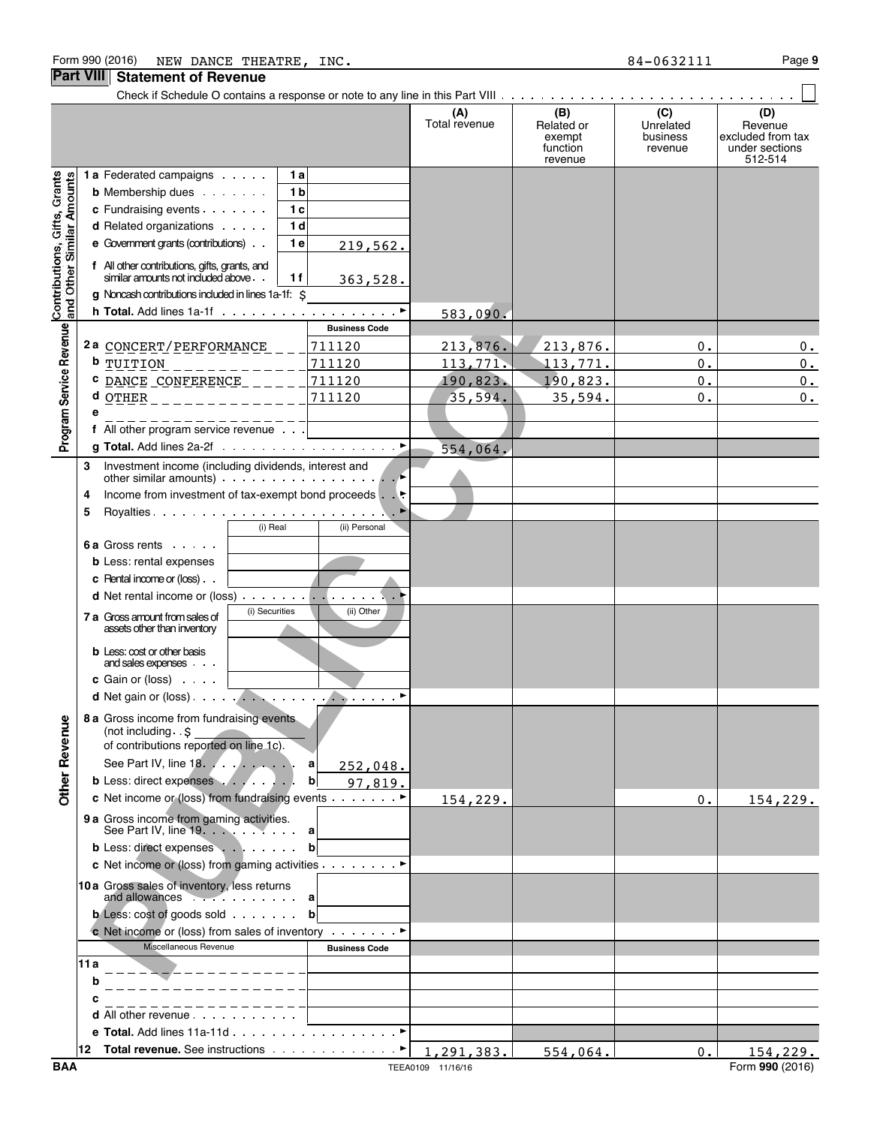#### **(A) (B) (C) (D)** Total revenue Related or Unrelated Revenue<br>exempt business excluded from exempt business excluded from tax<br>function the revenue under sections function revenue under sections revenue 512-514 Contributions, Gifts, Grants<br>and Other Similar Amounts **1 a** Federated campaigns **1 a b** Membership dues **1 b c** Fundraising events **1 c PUBLIC COPY d** Related organizations **1 d e** Government grants (contributions) **1 e** 219,562. **f** All other contributions, gifts, grants, and similar amounts not included above **1 f** 363,528. **g** Noncash contributions included in lines 1a-1f: \$ **h Total.** Add lines 1a-1f (a) and a contract of a metal of  $\triangleright$ 583,090. Program Service Revenue **Business Code 2 a** CONCERT/PERFORMANCE 711120 213,876. 213,876. 0. 0. **b** <u>TUITION \_\_\_\_\_\_\_\_\_\_\_ 711120 | 113,771. | 113,771. | 0. | 0.</u> **c** DANCE CONFERENCE 711120 190,823. 190,823. 0. 0. **d** OTHER 711120 35,594. 35,594. 0. 0.**e f** All other program service revenue **g Total.** Add lines 2a-2f  $\ldots \ldots \ldots \ldots \ldots \ldots \ldots$ 554,064. **3** Investment income (including dividends, interest and other similar amounts)  $\ldots$   $\ldots$   $\ldots$   $\ldots$   $\ldots$ **4** Income from investment of tax-exempt bond proceeds . G **5** Royalties Government Construction of the Lines of the Lines of Lines of Lines of Lines of Lines of Lines of Lines of Lines of Lines of Lines of Lines of Lines of Lines of Lines of Lines of Lines of Lines of Lines of Li (i) Real (ii) Personal **6 a** Gross rents **b** Less: rental expenses **c** Rental income or (loss) **d** Net rental income or (loss) God Constant Constant Constant Constant Constant Constant Constant Constant Constant Constant Constant Constant Constant Constant Constant Constant Constant Constant Constant Constant Consta **7 a** Gross amount from sales of (i) Securities (ii) Other assets other than inventory **b** Less: cost or other basis and sales expenses **c** Gain or (loss) **d** Net gain or (loss) God Contains God Contains Contains Contains Contains Contains Contains Contains Contains Contains Contains Contains Contains Contains Contains Contains Contains Contains Contains Contains Contains Co **8 a** Gross income from fundraising events **Other Revenue** (not including  $\Im$ of contributions reported on line 1c). See Part IV, line 18 **a** 252,048. **b** Less: direct expenses **bb** 97,819. **c** Net income or (loss) from fundraising events  $\dots$  ∴ ∴ ∴ ► 154,229. **9 a** Gross income from gaming activities. See Part IV, line 19. **. . . . . . . . . . a b** Less: direct expenses **b b c** Net income or (loss) from gaming activities . . . . . . . . ▶ **10a** Gross sales of inventory, less returns and allowances **a b** Less: cost of goods sold **bc bc b c** Net income or (loss) from sales of inventory Constant P Miscellaneous Revenue **Business Code 11a b**  $- - - -$ **c d** All other revenue **e Total.** Add lines 11a-11d . . . . . . . . . . . . . . . . . ▶ **12 Total revenue.** See instructions **Gives** Gives Constant Protein Protein 1,291,383. 554,064. 0. 154,229

Check if Schedule O contains a response or note to any line in this Part VIII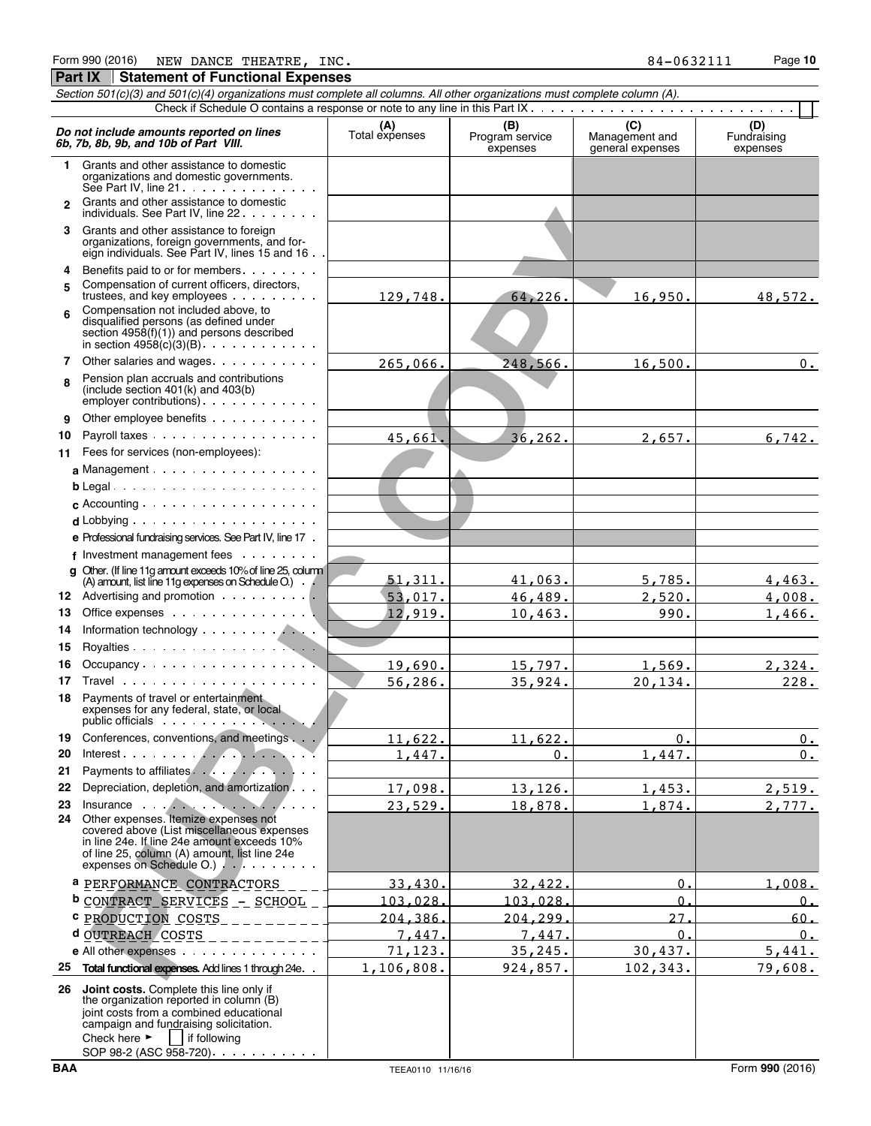|             | Section 501(c)(3) and 501(c)(4) organizations must complete all columns. All other organizations must complete column (A).                                                                                                                                             |                       |                                    |                                           |                                |
|-------------|------------------------------------------------------------------------------------------------------------------------------------------------------------------------------------------------------------------------------------------------------------------------|-----------------------|------------------------------------|-------------------------------------------|--------------------------------|
|             |                                                                                                                                                                                                                                                                        |                       |                                    |                                           |                                |
|             | Do not include amounts reported on lines<br>6b, 7b, 8b, 9b, and 10b of Part VIII.                                                                                                                                                                                      | (A)<br>Total expenses | (B)<br>Program service<br>expenses | (C)<br>Management and<br>general expenses | (D)<br>Fundraising<br>expenses |
| $\mathbf 1$ | Grants and other assistance to domestic<br>organizations and domestic governments.<br>See Part IV, line 21.                                                                                                                                                            |                       |                                    |                                           |                                |
| 2           | Grants and other assistance to domestic<br>individuals. See Part IV, line 22                                                                                                                                                                                           |                       |                                    |                                           |                                |
|             | 3 Grants and other assistance to foreign<br>organizations, foreign governments, and for-<br>eign individuals. See Part IV, lines 15 and 16.                                                                                                                            |                       |                                    |                                           |                                |
| 4<br>5      | Benefits paid to or for members.<br>Compensation of current officers, directors,                                                                                                                                                                                       |                       |                                    |                                           |                                |
|             | trustees, and key employees<br>Compensation not included above, to                                                                                                                                                                                                     | 129,748.              | 64,226.                            | 16,950.                                   | 48,572.                        |
| 6           | disqualified persons (as defined under<br>section $4958(f)(1)$ and persons described<br>in section $4958(c)(3)(B)$ .                                                                                                                                                   |                       |                                    |                                           |                                |
| 7           | Other salaries and wages                                                                                                                                                                                                                                               | 265,066.              | 248,566.                           | 16,500.                                   | $0_{\bullet}$                  |
| 8           | Pension plan accruals and contributions<br>(include section $401(k)$ and $403(b)$ )<br>$\epsilon$ employer contributions) $\ldots$ $\ldots$ .                                                                                                                          |                       |                                    |                                           |                                |
| 9           | Other employee benefits                                                                                                                                                                                                                                                |                       |                                    |                                           |                                |
| 10          | Payroll taxes                                                                                                                                                                                                                                                          | 45,661.               | 36, 262.                           | 2,657.                                    | 6,742.                         |
| 11          | Fees for services (non-employees):<br>a Management $\cdots$ $\cdots$ $\cdots$ $\cdots$ $\cdots$                                                                                                                                                                        |                       |                                    |                                           |                                |
|             | $b$ Legal                                                                                                                                                                                                                                                              |                       |                                    |                                           |                                |
|             |                                                                                                                                                                                                                                                                        |                       |                                    |                                           |                                |
|             | $d$ Lobbying $\cdots$ $\cdots$ $\cdots$ $\cdots$ $\cdots$ $\cdots$ $\cdots$                                                                                                                                                                                            |                       |                                    |                                           |                                |
|             | e Professional fundraising services. See Part IV, line 17.                                                                                                                                                                                                             |                       |                                    |                                           |                                |
|             | $f$ Investment management fees $\ldots$ ,                                                                                                                                                                                                                              |                       |                                    |                                           |                                |
|             | g Other. (If line 11g amount exceeds 10% of line 25, column)                                                                                                                                                                                                           | <u>51,311.</u>        | 41,063.                            | 5,785.                                    | 4,463.                         |
|             | (A) amount, list line 11g expenses on Schedule O.) $\qquad$<br>12 Advertising and promotion                                                                                                                                                                            | 53,017.               | 46,489.                            | 2,520.                                    | 4,008.                         |
| 13          |                                                                                                                                                                                                                                                                        | 12,919.               | 10,463.                            | 990.                                      | 1,466.                         |
| 14          | Information technology expansion of the state of the state of the state of the state of the state of the state of the state of the state of the state of the state of the state of the state of the state of the state of the                                          |                       |                                    |                                           |                                |
| 15          |                                                                                                                                                                                                                                                                        |                       |                                    |                                           |                                |
| 16          |                                                                                                                                                                                                                                                                        | 19,690.               | 15,797.                            | 1,569.                                    | 2,324.                         |
| 17          |                                                                                                                                                                                                                                                                        | 56,286.               | 35,924.                            | 20,134.                                   | 228.                           |
| 18          | Payments of travel or entertainment<br>expenses for any federal, state, or local                                                                                                                                                                                       |                       |                                    |                                           |                                |
| 19          | Conferences, conventions, and meetings.                                                                                                                                                                                                                                | 11,622.               | 11,622.                            | 0.                                        | 0.                             |
| 20          | Payments to affiliates                                                                                                                                                                                                                                                 | 1,447.                | $0$ .                              | 1,447.                                    | $0_{\cdot}$                    |
| 21<br>22    | Depreciation, depletion, and amortization                                                                                                                                                                                                                              | 17,098.               | 13, 126.                           | 1,453.                                    | 2,519.                         |
| 23          | Insurance in the contract of the contract of the contract of the contract of the contract of the contract of the contract of the contract of the contract of the contract of the contract of the contract of the contract of t                                         | 23,529.               | 18,878.                            | 1,874.                                    | 2,777.                         |
| 24          | Other expenses. Itemize expenses not<br>covered above (List miscellaneous expenses<br>in line 24e. If line 24e amount exceeds 10%<br>of line 25, column (A) amount, list line 24e<br>expenses on Schedule O.)                                                          |                       |                                    |                                           |                                |
|             | a PERFORMANCE CONTRACTORS                                                                                                                                                                                                                                              | 33.430.               | 32.422.                            | $\overline{0}$ .                          | 1,008.                         |
|             | <b>b</b> CONTRACT SERVICES - SCHOOL                                                                                                                                                                                                                                    | 103.028.              | 103.028.                           | $\Omega$ .                                | 0.                             |
|             | C PRODUCTION COSTS__________                                                                                                                                                                                                                                           | 204,386.              | 204,299.                           | 27.                                       | 60.                            |
|             | $d$ OUTREACH COSTS ___________                                                                                                                                                                                                                                         | 7.447.                | 7.447.                             | $\mathbf{0}$ .                            | 0.                             |
|             | e All other expenses                                                                                                                                                                                                                                                   | 71,123.               | 35, 245.                           | 30,437.                                   | 5,441.                         |
| 25          | Total functional expenses. Add lines 1 through 24e.                                                                                                                                                                                                                    | 1,106,808.            | 924,857.                           | 102, 343.                                 | 79,608.                        |
| 26          | Joint costs. Complete this line only if<br>the organization reported in column (B)<br>joint costs from a combined educational<br>campaign and fundraising solicitation.<br>Check here $\blacktriangleright$<br>if following<br>$\mathbf{1}$<br>SOP 98-2 (ASC 958-720). |                       |                                    |                                           |                                |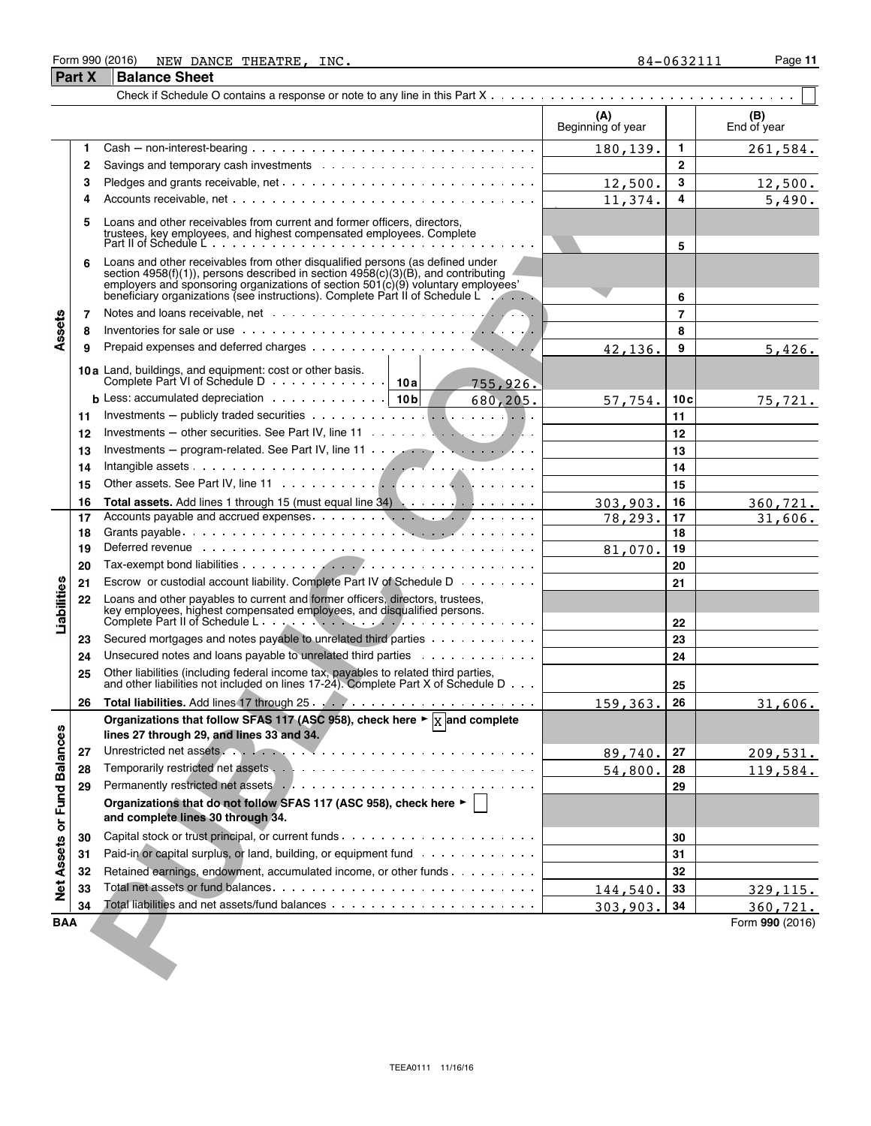#### Form 990 (2016) Page **11** NEW DANCE THEATRE, INC. **84-0632111**

|                             | <b>Part X</b> | <b>Balance Sheet</b>                                                                                                                                                                                                                                                                                                                                     |                          |                |                             |
|-----------------------------|---------------|----------------------------------------------------------------------------------------------------------------------------------------------------------------------------------------------------------------------------------------------------------------------------------------------------------------------------------------------------------|--------------------------|----------------|-----------------------------|
|                             |               |                                                                                                                                                                                                                                                                                                                                                          |                          |                |                             |
|                             |               |                                                                                                                                                                                                                                                                                                                                                          | (A)<br>Beginning of year |                | (B)<br>End of year          |
|                             | 1.            |                                                                                                                                                                                                                                                                                                                                                          | 180,139.                 | 1.             | 261,584.                    |
|                             | 2             |                                                                                                                                                                                                                                                                                                                                                          |                          | 2              |                             |
|                             | 3             |                                                                                                                                                                                                                                                                                                                                                          | 12,500.                  | 3              | 12,500.                     |
|                             | 4             |                                                                                                                                                                                                                                                                                                                                                          | 11,374.                  | 4              | 5,490.                      |
|                             | 5             | Loans and other receivables from current and former officers, directors,<br>trustees, key employees, and highest compensated employees. Complete<br>Part II of Schedule L                                                                                                                                                                                |                          |                |                             |
|                             |               |                                                                                                                                                                                                                                                                                                                                                          |                          | 5              |                             |
|                             | 6             | Loans and other receivables from other disqualified persons (as defined under<br>section 4958(f)(1)), persons described in section $4958(c)(3)(\dot{B})$ , and contributing<br>employers and sponsoring organizations of section $501(c)(9)$ voluntary employees'<br>beneficiary organizations (see instructions). Complete Part II of Schedule Lewisser |                          | 6              |                             |
|                             | 7             |                                                                                                                                                                                                                                                                                                                                                          |                          | $\overline{7}$ |                             |
| Assets                      | 8             | Inventories for sale or use contract to contract the contract of the sale of the sale of the sale of the sale of the sale of the sale of the sale of the sale of the sale of the sale of the sale of the sale of the sale of t                                                                                                                           |                          | 8              |                             |
|                             | 9             |                                                                                                                                                                                                                                                                                                                                                          | 42,136.                  | 9              | 5,426.                      |
|                             |               |                                                                                                                                                                                                                                                                                                                                                          |                          |                |                             |
|                             |               | 10a Land, buildings, and equipment: cost or other basis.<br>755,926.                                                                                                                                                                                                                                                                                     |                          |                |                             |
|                             |               | <b>b</b> Less: accumulated depreciation $\cdots$ $\cdots$ $\cdots$ $\cdots$   10 <b>b</b><br>680,205.                                                                                                                                                                                                                                                    | 57,754.                  | 10c            | 75,721.                     |
|                             | 11            | Investments – publicly traded securities $\cdots$ , , , , , , ,                                                                                                                                                                                                                                                                                          |                          | 11             |                             |
|                             | 12            | Investments – other securities. See Part IV, line 11 $\dots \dots \dots \dots \dots \dots$                                                                                                                                                                                                                                                               |                          | 12             |                             |
|                             | 13            |                                                                                                                                                                                                                                                                                                                                                          |                          | 13             |                             |
|                             | 14            |                                                                                                                                                                                                                                                                                                                                                          |                          | 14             |                             |
|                             | 15            |                                                                                                                                                                                                                                                                                                                                                          |                          | 15             |                             |
|                             | 16            | Total assets. Add lines 1 through 15 (must equal line 34)                                                                                                                                                                                                                                                                                                | 303,903.                 | 16             | 360,721.                    |
|                             | 17            | Accounts payable and accrued expenses.                                                                                                                                                                                                                                                                                                                   | 78,293.                  | 17             | 31,606.                     |
|                             | 18            |                                                                                                                                                                                                                                                                                                                                                          |                          | 18             |                             |
|                             | 19            | Deferred revenue www.communicationshipsers and contact the contact of the contact of the contact of the contact of the contact of the contact of the contact of the contact of the contact of the contact of the contact of th                                                                                                                           | 81,070.                  | 19             |                             |
|                             | 20            |                                                                                                                                                                                                                                                                                                                                                          |                          | 20             |                             |
|                             | 21            | Escrow or custodial account liability. Complete Part IV of Schedule D                                                                                                                                                                                                                                                                                    |                          | 21             |                             |
| Liabilities                 | 22            | Loans and other payables to current and former officers, directors, trustees,<br>key employees, highest compensated employees, and disqualified persons.<br>Complete Part II of Schedule L                                                                                                                                                               |                          | 22             |                             |
|                             | 23            | Secured mortgages and notes payable to unrelated third parties                                                                                                                                                                                                                                                                                           |                          | 23             |                             |
|                             | 24            | Unsecured notes and loans payable to unrelated third parties                                                                                                                                                                                                                                                                                             |                          | 24             |                             |
|                             | 25            | Other liabilities (including federal income tax, payables to related third parties,<br>and other liabilities not included on lines 17-24). Complete Part X of Schedule D                                                                                                                                                                                 |                          | 25             |                             |
|                             | 26            |                                                                                                                                                                                                                                                                                                                                                          | 159,363.                 | 26             | 31,606.                     |
|                             |               | Organizations that follow SFAS 117 (ASC 958), check here $\blacktriangleright \boxed{X}$ and complete<br>lines 27 through 29, and lines 33 and 34.                                                                                                                                                                                                       |                          |                |                             |
|                             | 27            |                                                                                                                                                                                                                                                                                                                                                          |                          | 27             | 209,531.                    |
|                             | 28            |                                                                                                                                                                                                                                                                                                                                                          | 89,740.<br>54,800.       | 28             | 119,584.                    |
|                             | 29            |                                                                                                                                                                                                                                                                                                                                                          |                          | 29             |                             |
| Net Assets or Fund Balances |               | Organizations that do not follow SFAS 117 (ASC 958), check here ►  <br>and complete lines 30 through 34.                                                                                                                                                                                                                                                 |                          |                |                             |
|                             |               |                                                                                                                                                                                                                                                                                                                                                          |                          |                |                             |
|                             | 30            | Paid-in or capital surplus, or land, building, or equipment fund                                                                                                                                                                                                                                                                                         |                          | 30             |                             |
|                             | 31            | Retained earnings, endowment, accumulated income, or other funds                                                                                                                                                                                                                                                                                         |                          | 31<br>32       |                             |
|                             | 32            |                                                                                                                                                                                                                                                                                                                                                          |                          |                |                             |
|                             | 33<br>34      |                                                                                                                                                                                                                                                                                                                                                          | 144,540.                 | 33<br>34       | 329, 115.                   |
| BAA                         |               |                                                                                                                                                                                                                                                                                                                                                          | 303,903.                 |                | 360,721.<br>Form 990 (2016) |
|                             |               |                                                                                                                                                                                                                                                                                                                                                          |                          |                |                             |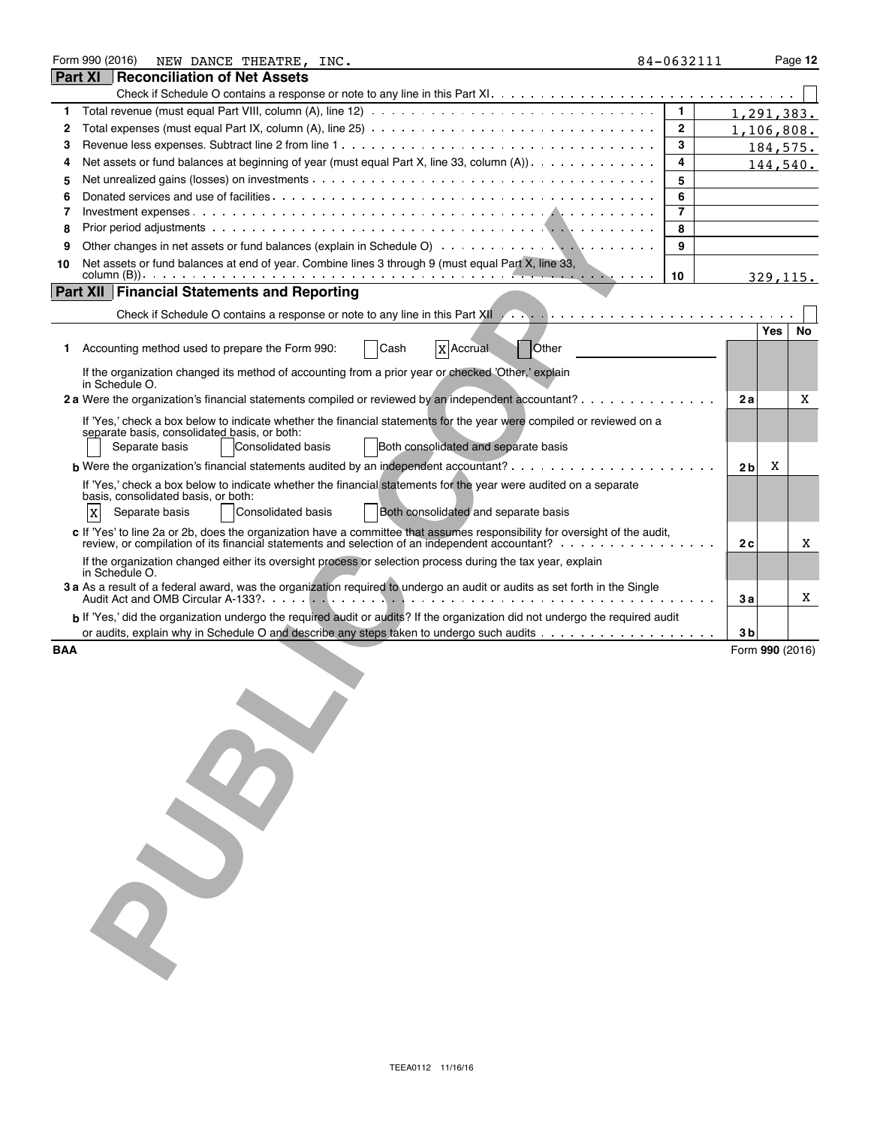|            | Form 990 (2016)<br>NEW DANCE THEATRE, INC.                                                                                                                                                                                     | 84-0632111   |                                   | Page 12  |
|------------|--------------------------------------------------------------------------------------------------------------------------------------------------------------------------------------------------------------------------------|--------------|-----------------------------------|----------|
|            | Part XI<br>Reconciliation of Net Assets                                                                                                                                                                                        |              |                                   |          |
|            |                                                                                                                                                                                                                                |              |                                   |          |
| 1          | Total revenue (must equal Part VIII, column (A), line 12) $\ldots \ldots \ldots \ldots \ldots \ldots \ldots \ldots \ldots \ldots \ldots$                                                                                       | $\mathbf{1}$ | 1,291,383.                        |          |
| 2          |                                                                                                                                                                                                                                | $\mathbf{2}$ | 1,106,808.                        |          |
| 3          |                                                                                                                                                                                                                                | 3            |                                   | 184,575. |
| 4          | Net assets or fund balances at beginning of year (must equal Part X, line 33, column (A))                                                                                                                                      | 4            |                                   | 144,540. |
| 5          |                                                                                                                                                                                                                                | 5            |                                   |          |
| 6          |                                                                                                                                                                                                                                | 6            |                                   |          |
| 7          |                                                                                                                                                                                                                                | 7            |                                   |          |
| 8          |                                                                                                                                                                                                                                | 8            |                                   |          |
| 9          |                                                                                                                                                                                                                                | 9            |                                   |          |
| 10         | Net assets or fund balances at end of year. Combine lines 3 through 9 (must equal Part X, line 33,                                                                                                                             | 10           |                                   | 329,115. |
|            | <b>Part XII Financial Statements and Reporting</b>                                                                                                                                                                             |              |                                   |          |
|            | Check if Schedule O contains a response or note to any line in this Part XII. And a contact of Schedule O contains a response or note to any line in this Part XII. And a contact of the state of the state of the Schedule of |              |                                   |          |
|            |                                                                                                                                                                                                                                |              | <b>Yes</b>                        | No       |
|            | 1 Accounting method used to prepare the Form 990:<br>Cash<br><b>X</b> Accrual<br>Other                                                                                                                                         |              |                                   |          |
|            |                                                                                                                                                                                                                                |              |                                   |          |
|            | If the organization changed its method of accounting from a prior year or checked 'Other,' explain<br>in Schedule O.                                                                                                           |              |                                   |          |
|            | 2a Were the organization's financial statements compiled or reviewed by an independent accountant?                                                                                                                             |              | 2a                                | X        |
|            | If 'Yes,' check a box below to indicate whether the financial statements for the year were compiled or reviewed on a<br>separate basis, consolidated basis, or both:                                                           |              |                                   |          |
|            | Consolidated basis<br>Both consolidated and separate basis<br>Separate basis                                                                                                                                                   |              |                                   |          |
|            |                                                                                                                                                                                                                                |              | X<br>2 <sub>b</sub>               |          |
|            | If 'Yes,' check a box below to indicate whether the financial statements for the year were audited on a separate<br>basis, consolidated basis, or both:                                                                        |              |                                   |          |
|            | Both consolidated and separate basis<br><b>Consolidated basis</b><br>$\mathbf X$<br>Separate basis                                                                                                                             |              |                                   |          |
|            | c If 'Yes' to line 2a or 2b, does the organization have a committee that assumes responsibility for oversight of the audit,<br>review, or compilation of its financial statements and selection of an independent accountant?  |              | 2 с                               | Χ        |
|            | If the organization changed either its oversight process or selection process during the tax year, explain<br>in Schedule O.                                                                                                   |              |                                   |          |
|            | 3 a As a result of a federal award, was the organization required to undergo an audit or audits as set forth in the Single                                                                                                     |              | 3а                                | X        |
|            | b If 'Yes,' did the organization undergo the required audit or audits? If the organization did not undergo the required audit                                                                                                  |              |                                   |          |
| <b>BAA</b> | or audits, explain why in Schedule O and describe any steps taken to undergo such audits                                                                                                                                       |              | 3 <sub>b</sub><br>Form 990 (2016) |          |
|            |                                                                                                                                                                                                                                |              |                                   |          |
|            |                                                                                                                                                                                                                                |              |                                   |          |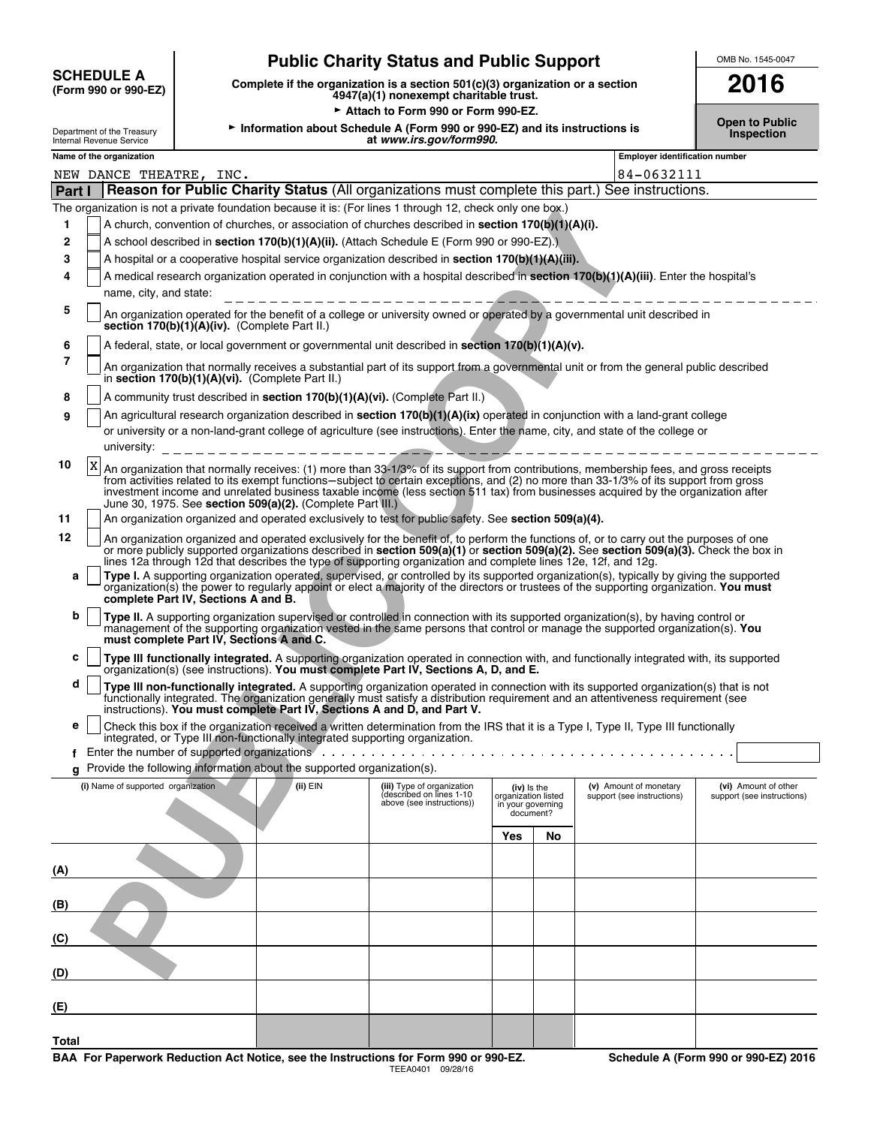| <b>SCHEDULE A</b>    |
|----------------------|
| (Form 990 or 990-EZ) |

**(E)**

## **Public Charity Status and Public Support** OMB No. 1545-0047

|             | <b>SCHEDULE A</b><br>(Form 990 or 990-EZ)              |                                               |                                                                                    | Complete if the organization is a section 501(c)(3) organization or a section<br>4947(a)(1) nonexempt charitable trust.                                                                                                                                                                                                                                                                                            |                                                                        |    |                                | 2016                                |
|-------------|--------------------------------------------------------|-----------------------------------------------|------------------------------------------------------------------------------------|--------------------------------------------------------------------------------------------------------------------------------------------------------------------------------------------------------------------------------------------------------------------------------------------------------------------------------------------------------------------------------------------------------------------|------------------------------------------------------------------------|----|--------------------------------|-------------------------------------|
|             | Department of the Treasury<br>Internal Revenue Service |                                               |                                                                                    | Attach to Form 990 or Form 990-EZ.<br>Information about Schedule A (Form 990 or 990-EZ) and its instructions is<br>at www.irs.gov/form990.                                                                                                                                                                                                                                                                         |                                                                        |    |                                | <b>Open to Public</b><br>Inspection |
|             | Name of the organization                               |                                               |                                                                                    |                                                                                                                                                                                                                                                                                                                                                                                                                    |                                                                        |    | Employer identification number |                                     |
|             | NEW DANCE THEATRE, INC.                                |                                               |                                                                                    |                                                                                                                                                                                                                                                                                                                                                                                                                    |                                                                        |    | 84-0632111                     |                                     |
| Part I      |                                                        |                                               |                                                                                    | Reason for Public Charity Status (All organizations must complete this part.) See instructions.                                                                                                                                                                                                                                                                                                                    |                                                                        |    |                                |                                     |
|             |                                                        |                                               |                                                                                    | The organization is not a private foundation because it is: (For lines 1 through 12, check only one box.)                                                                                                                                                                                                                                                                                                          |                                                                        |    |                                |                                     |
| 1           |                                                        |                                               |                                                                                    | A church, convention of churches, or association of churches described in <b>section 170(b)(1)(A)(i).</b>                                                                                                                                                                                                                                                                                                          |                                                                        |    |                                |                                     |
| $\mathbf 2$ |                                                        |                                               |                                                                                    | A school described in section 170(b)(1)(A)(ii). (Attach Schedule E (Form 990 or 990-EZ).)                                                                                                                                                                                                                                                                                                                          |                                                                        |    |                                |                                     |
| 3           |                                                        |                                               |                                                                                    | A hospital or a cooperative hospital service organization described in section $170(b)(1)(A)(iii)$ .                                                                                                                                                                                                                                                                                                               |                                                                        |    |                                |                                     |
| 4           | name, city, and state:                                 |                                               | . <u>.</u> .                                                                       | A medical research organization operated in conjunction with a hospital described in section 170(b)(1)(A)(iii). Enter the hospital's                                                                                                                                                                                                                                                                               |                                                                        |    |                                |                                     |
| 5           |                                                        | section 170(b)(1)(A)(iv). (Complete Part II.) |                                                                                    | An organization operated for the benefit of a college or university owned or operated by a governmental unit described in                                                                                                                                                                                                                                                                                          |                                                                        |    |                                |                                     |
| 6           |                                                        |                                               |                                                                                    | A federal, state, or local government or governmental unit described in section $170(b)(1)(A)(v)$ .                                                                                                                                                                                                                                                                                                                |                                                                        |    |                                |                                     |
| 7           |                                                        |                                               | in section 170(b)(1)(A)(vi). (Complete Part II.)                                   | An organization that normally receives a substantial part of its support from a governmental unit or from the general public described                                                                                                                                                                                                                                                                             |                                                                        |    |                                |                                     |
| 8           |                                                        |                                               |                                                                                    | A community trust described in section 170(b)(1)(A)(vi). (Complete Part II.)                                                                                                                                                                                                                                                                                                                                       |                                                                        |    |                                |                                     |
| 9           | university:                                            |                                               |                                                                                    | An agricultural research organization described in section 170(b)(1)(A)(ix) operated in conjunction with a land-grant college<br>or university or a non-land-grant college of agriculture (see instructions). Enter the name, city, and state of the college or                                                                                                                                                    |                                                                        |    |                                |                                     |
| 10          | X                                                      |                                               | June 30, 1975. See section 509(a)(2). (Complete Part III.)                         | An organization that normally receives: (1) more than 33-1/3% of its support from contributions, membership fees, and gross receipts<br>from activities related to its exempt functions—subject to certain exceptions, and (2) no more than 33-1/3% of its support from gross<br>investment income and unrelated business taxable income (less section 511 tax) from businesses acquired by the organization after |                                                                        |    |                                |                                     |
| 11          |                                                        |                                               |                                                                                    | An organization organized and operated exclusively to test for public safety. See section 509(a)(4).                                                                                                                                                                                                                                                                                                               |                                                                        |    |                                |                                     |
| 12          |                                                        |                                               |                                                                                    | An organization organized and operated exclusively for the benefit of, to perform the functions of, or to carry out the purposes of one<br>or more publicly supported organizations described in section 509(a)(1) or section 509(a)(2). See section 509(a)(3). Check the box in<br>lines 12a through 12d that describes the type of supporting organization and complete lines 12e, 12f, and 12g.                 |                                                                        |    |                                |                                     |
| a           |                                                        | complete Part IV, Sections A and B.           |                                                                                    | Type I. A supporting organization operated, supervised, or controlled by its supported organization(s), typically by giving the supported<br>organization(s) the power to regularly appoint or elect a majority of the directors or trustees of the supporting organization. You must                                                                                                                              |                                                                        |    |                                |                                     |
| b           |                                                        | must complete Part IV, Sections A and C.      |                                                                                    | Type II. A supporting organization supervised or controlled in connection with its supported organization(s), by having control or<br>management of the supporting organization vested in the same persons that control or manage the supported organization(s). You                                                                                                                                               |                                                                        |    |                                |                                     |
| с           |                                                        |                                               |                                                                                    | Type III functionally integrated. A supporting organization operated in connection with, and functionally integrated with, its supported<br>organization(s) (see instructions). You must complete Part IV, Sections A, D, and E.                                                                                                                                                                                   |                                                                        |    |                                |                                     |
| d           |                                                        |                                               |                                                                                    | Type III non-functionally integrated. A supporting organization operated in connection with its supported organization(s) that is not<br>functionally integrated. The organization generally must satisfy a distribution requirement and an attentiveness requirement (see<br>instructions). You must complete Part IV, Sections A and D, and Part V.                                                              |                                                                        |    |                                |                                     |
| е           |                                                        |                                               | integrated, or Type III non-functionally integrated supporting organization.       | Check this box if the organization received a written determination from the IRS that it is a Type I, Type II, Type III functionally                                                                                                                                                                                                                                                                               |                                                                        |    |                                |                                     |
| f           |                                                        |                                               |                                                                                    |                                                                                                                                                                                                                                                                                                                                                                                                                    |                                                                        |    |                                |                                     |
| g           | (i) Name of supported organization                     |                                               | Provide the following information about the supported organization(s).<br>(ii) EIN | (iii) Type of organization                                                                                                                                                                                                                                                                                                                                                                                         |                                                                        |    | (v) Amount of monetary         | (vi) Amount of other                |
|             |                                                        |                                               |                                                                                    | described on lines 1-10<br>above (see instructions))                                                                                                                                                                                                                                                                                                                                                               | $(iv)$ is the<br>organization listed<br>in your governing<br>document? |    | support (see instructions)     | support (see instructions)          |
|             |                                                        |                                               |                                                                                    |                                                                                                                                                                                                                                                                                                                                                                                                                    | Yes                                                                    | No |                                |                                     |
| (A)         |                                                        |                                               |                                                                                    |                                                                                                                                                                                                                                                                                                                                                                                                                    |                                                                        |    |                                |                                     |
| (B)         |                                                        |                                               |                                                                                    |                                                                                                                                                                                                                                                                                                                                                                                                                    |                                                                        |    |                                |                                     |
| (C)         |                                                        |                                               |                                                                                    |                                                                                                                                                                                                                                                                                                                                                                                                                    |                                                                        |    |                                |                                     |
| (D)         |                                                        |                                               |                                                                                    |                                                                                                                                                                                                                                                                                                                                                                                                                    |                                                                        |    |                                |                                     |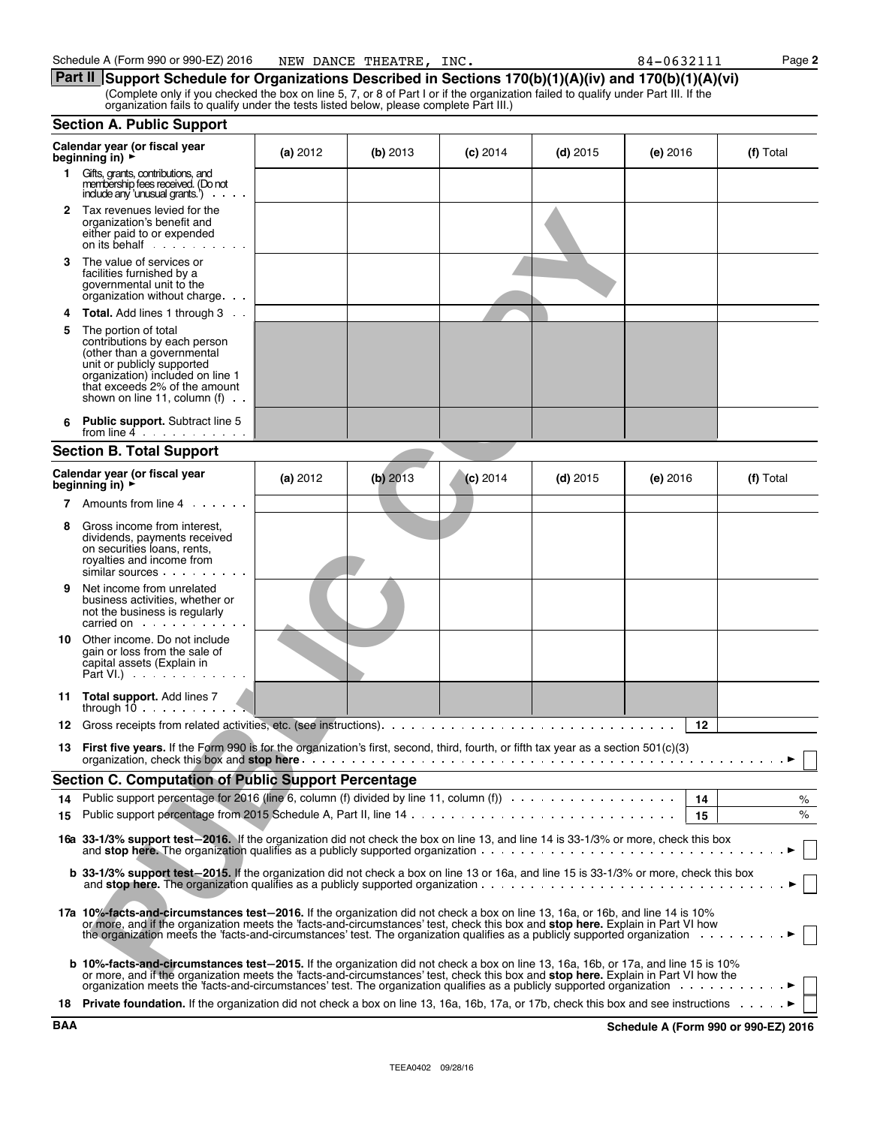|            | Calendar year (or fiscal year<br>beginning in) $\rightarrow$                                                                                                                                                                                                                                                                                                                                                                                                                               | (a) 2012 | (b) 2013 | $(c)$ 2014 | $(d)$ 2015 | (e) 2016   | (f) Total                            |
|------------|--------------------------------------------------------------------------------------------------------------------------------------------------------------------------------------------------------------------------------------------------------------------------------------------------------------------------------------------------------------------------------------------------------------------------------------------------------------------------------------------|----------|----------|------------|------------|------------|--------------------------------------|
| 1.         | Gifts, grants, contributions, and<br>membership fees received. (Do not<br>include any 'unusual grants')                                                                                                                                                                                                                                                                                                                                                                                    |          |          |            |            |            |                                      |
|            | 2 Tax revenues levied for the<br>organization's benefit and<br>either paid to or expended<br>on its behalf                                                                                                                                                                                                                                                                                                                                                                                 |          |          |            |            |            |                                      |
| 3          | The value of services or<br>facilities furnished by a<br>governmental unit to the<br>organization without charge                                                                                                                                                                                                                                                                                                                                                                           |          |          |            |            |            |                                      |
| 4          | <b>Total.</b> Add lines 1 through 3                                                                                                                                                                                                                                                                                                                                                                                                                                                        |          |          |            |            |            |                                      |
| 5          | The portion of total<br>contributions by each person<br>(other than a governmental<br>unit or publicly supported<br>organization) included on line 1<br>that exceeds 2% of the amount<br>shown on line 11, column (f) $\cdots$                                                                                                                                                                                                                                                             |          |          |            |            |            |                                      |
| 6          | <b>Public support.</b> Subtract line 5<br>from line $4 \cdot \cdot \cdot \cdot \cdot \cdot \cdot$                                                                                                                                                                                                                                                                                                                                                                                          |          |          |            |            |            |                                      |
|            | <b>Section B. Total Support</b>                                                                                                                                                                                                                                                                                                                                                                                                                                                            |          |          |            |            |            |                                      |
|            | Calendar year (or fiscal year<br>beginning in) $\rightarrow$                                                                                                                                                                                                                                                                                                                                                                                                                               | (a) 2012 | (b) 2013 | $(c)$ 2014 | $(d)$ 2015 | $(e)$ 2016 | (f) Total                            |
| 7          | Amounts from line 4                                                                                                                                                                                                                                                                                                                                                                                                                                                                        |          |          |            |            |            |                                      |
| 8          | Gross income from interest.<br>dividends, payments received<br>on securities loans, rents,<br>royalties and income from<br>similar sources                                                                                                                                                                                                                                                                                                                                                 |          |          |            |            |            |                                      |
| 9          | Net income from unrelated<br>business activities, whether or<br>not the business is regularly<br>carried on the carried on the care of the care of the care of the care of the care of the care of the care of the care of the care of the care of the care of the care of the care of the care of the care of the care of the                                                                                                                                                             |          |          |            |            |            |                                      |
| 10         | Other income. Do not include<br>gain or loss from the sale of<br>capital assets (Explain in<br>Part VI.) $\cdots$                                                                                                                                                                                                                                                                                                                                                                          |          |          |            |            |            |                                      |
|            | 11 Total support. Add lines 7<br>through $10 \ldots \ldots$                                                                                                                                                                                                                                                                                                                                                                                                                                |          |          |            |            |            |                                      |
| 12         |                                                                                                                                                                                                                                                                                                                                                                                                                                                                                            |          |          |            |            | 12         |                                      |
| 13         | First five years. If the Form 990 is for the organization's first, second, third, fourth, or fifth tax year as a section 501(c)(3)                                                                                                                                                                                                                                                                                                                                                         |          |          |            |            |            |                                      |
|            | <b>Section C. Computation of Public Support Percentage</b>                                                                                                                                                                                                                                                                                                                                                                                                                                 |          |          |            |            |            |                                      |
| 14         | Public support percentage for 2016 (line 6, column (f) divided by line 11, column (f) $\cdots$                                                                                                                                                                                                                                                                                                                                                                                             |          |          |            |            | 14         | %                                    |
| 15         |                                                                                                                                                                                                                                                                                                                                                                                                                                                                                            |          |          |            |            | 15         | $\%$                                 |
|            | 16a 33-1/3% support test-2016. If the organization did not check the box on line 13, and line 14 is 33-1/3% or more, check this box<br>and stop here. The organization qualifies as a publicly supported organization with the content of the content o                                                                                                                                                                                                                                    |          |          |            |            |            |                                      |
|            | <b>b</b> 33-1/3% support test-2015. If the organization did not check a box on line 13 or 16a, and line 15 is 33-1/3% or more, check this box                                                                                                                                                                                                                                                                                                                                              |          |          |            |            |            |                                      |
|            | 17a 10%-facts-and-circumstances test-2016. If the organization did not check a box on line 13, 16a, or 16b, and line 14 is 10%<br>or more, and if the organization meets the 'facts-and-circumstances' test, check this box and stop here. Explain in Part VI how<br>the organization meets the 'facts-and-circumstances' test. The organization qualifies as a publicly supported organization                                                                                            |          |          |            |            |            |                                      |
|            | <b>b 10%-facts-and-circumstances test-2015.</b> If the organization did not check a box on line 13, 16a, 16b, or 17a, and line 15 is 10%<br>or more, and if the organization meets the 'facts-and-circumstances' test, check this box and stop here. Explain in Part VI how the<br>organization meets the 'facts-and-circumstances' test. The organization qualifies as a publicly supported organization meets the 'facts-and-circumstances' test. The organization meets the 'facts-and- |          |          |            |            |            |                                      |
|            | 18 Private foundation. If the organization did not check a box on line 13, 16a, 16b, 17a, or 17b, check this box and see instructions ▶                                                                                                                                                                                                                                                                                                                                                    |          |          |            |            |            |                                      |
| <b>BAA</b> |                                                                                                                                                                                                                                                                                                                                                                                                                                                                                            |          |          |            |            |            | Schedule A (Form 990 or 990-EZ) 2016 |

| Schedule A (Form 990 or 990-EZ) 2016 | NEW DANCE THEATRE, INC.                                                                                | Page 2<br>84-0632111 |  |
|--------------------------------------|--------------------------------------------------------------------------------------------------------|----------------------|--|
|                                      | Part II Support Schedule for Organizations Described in Sections 170(b)(1)(A)(iv) and 170(b)(1)(A)(vi) |                      |  |

(Complete only if you checked the box on line 5, 7, or 8 of Part I or if the organization failed to qualify under Part III. If the organization fails to qualify under the tests listed below, please complete Part III.)

### **Section A. Public Support**

| $\overline{\phantom{a}}$ |                                |  |  |  |                         |  |  |  |  |
|--------------------------|--------------------------------|--|--|--|-------------------------|--|--|--|--|
|                          | Ie A (Form 990 or 990-EZ) 2016 |  |  |  | NEW DANCE THEATRE, INC. |  |  |  |  |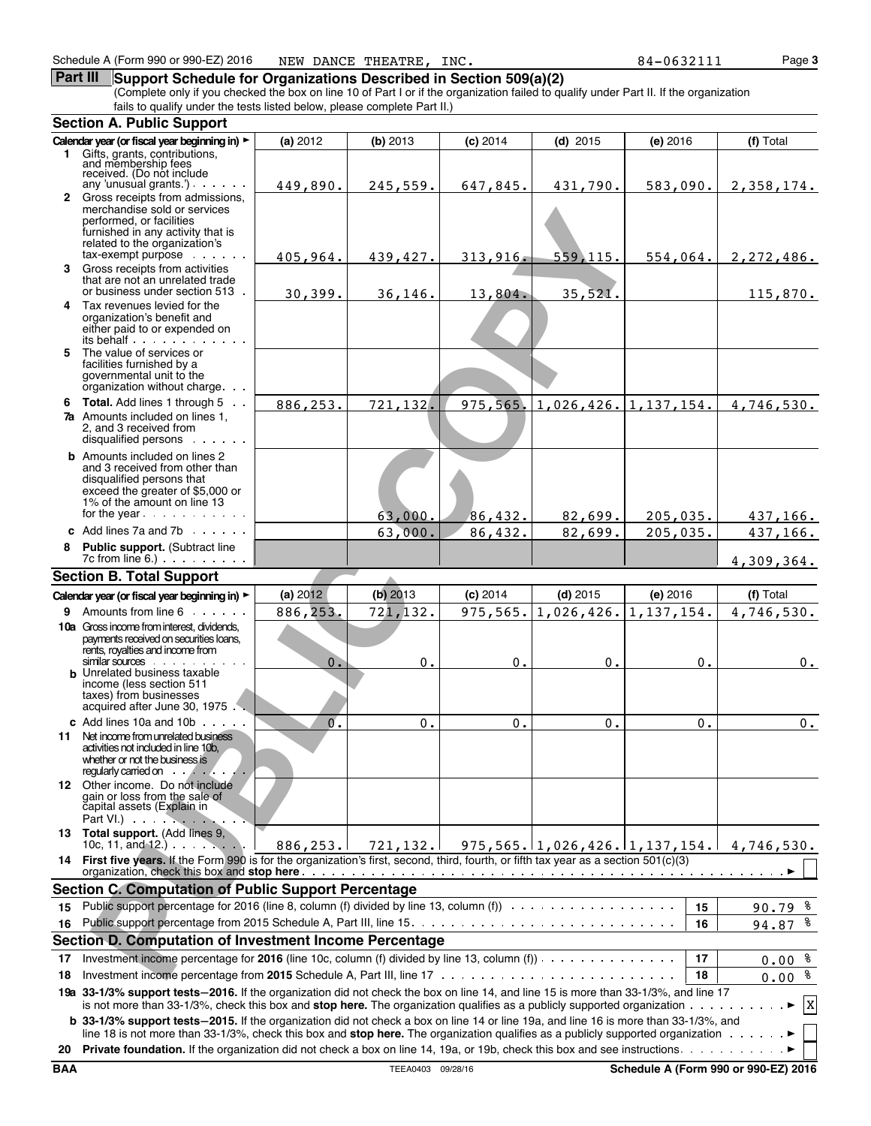(Complete only if you checked the box on line 10 of Part I or if the organization failed to qualify under Part II. If the organization fails to qualify under the tests listed below, please complete Part II.)

|    | <b>Section A. Public Support</b>                                                                                                                                                                                                                                                                                                                                                        |            |           |            |                                      |                           |              |
|----|-----------------------------------------------------------------------------------------------------------------------------------------------------------------------------------------------------------------------------------------------------------------------------------------------------------------------------------------------------------------------------------------|------------|-----------|------------|--------------------------------------|---------------------------|--------------|
|    | Calendar year (or fiscal year beginning in) >                                                                                                                                                                                                                                                                                                                                           | (a) 2012   | (b) 2013  | $(c)$ 2014 | $(d)$ 2015                           | (e) 2016                  | (f) Total    |
|    | 1 Gifts, grants, contributions,<br>and membership fees<br>received. (Do not include                                                                                                                                                                                                                                                                                                     |            |           |            |                                      |                           |              |
|    | any 'unusual grants').                                                                                                                                                                                                                                                                                                                                                                  | 449,890.   | 245,559.  | 647,845.   | 431,790.                             | 583,090.                  | 2,358,174.   |
|    | 2 Gross receipts from admissions,<br>merchandise sold or services<br>performed, or facilities<br>furnished in any activity that is<br>related to the organization's<br>$tax$ -exempt purpose $\ldots$                                                                                                                                                                                   | 405,964.   | 439,427.  | 313,916.   | 559,115.                             | 554,064.                  | 2, 272, 486. |
|    | <b>3</b> Gross receipts from activities<br>that are not an unrelated trade<br>or business under section 513.                                                                                                                                                                                                                                                                            |            |           |            |                                      |                           |              |
|    | 4 Tax revenues levied for the<br>organization's benefit and<br>either paid to or expended on<br>its behalf                                                                                                                                                                                                                                                                              | 30,399.    | 36,146.   | 13,804.    | 35,521.                              |                           | 115,870.     |
|    | 5 The value of services or<br>facilities furnished by a<br>governmental unit to the<br>organization without charge.                                                                                                                                                                                                                                                                     |            |           |            |                                      |                           |              |
|    | 6 Total. Add lines 1 through 5<br>$\sim$ $\sim$<br><b>7a</b> Amounts included on lines 1,<br>2. and 3 received from<br>disqualified persons                                                                                                                                                                                                                                             | 886,253.   | 721,132.  | 975,565.   |                                      | $1,026,426.$ 1, 137, 154. | 4,746,530.   |
|    | <b>b</b> Amounts included on lines 2<br>and 3 received from other than<br>disqualified persons that<br>exceed the greater of \$5,000 or<br>1% of the amount on line 13<br>for the year                                                                                                                                                                                                  |            | 63,000.   | 86,432.    | 82,699.                              | 205,035.                  | 437,166.     |
|    | c Add lines 7a and 7b $\cdots$                                                                                                                                                                                                                                                                                                                                                          |            |           |            |                                      |                           |              |
|    | 8 Public support. (Subtract line                                                                                                                                                                                                                                                                                                                                                        |            | 63,000.   | 86,432.    | 82,699.                              | 205,035.                  | 437, 166.    |
|    | <b>Section B. Total Support</b>                                                                                                                                                                                                                                                                                                                                                         |            |           |            |                                      |                           | 4,309,364.   |
|    |                                                                                                                                                                                                                                                                                                                                                                                         |            |           |            |                                      |                           |              |
|    | Calendar year (or fiscal year beginning in) >                                                                                                                                                                                                                                                                                                                                           | (a) 2012   | (b) 2013  | $(c)$ 2014 | $(d)$ 2015                           | (e) 2016                  | (f) Total    |
|    | 9 Amounts from line 6                                                                                                                                                                                                                                                                                                                                                                   | 886,253.   | 721,132.  | 975,565.   | $1,026,426.$ 1, 137, 154.            |                           | 4,746,530.   |
|    | <b>10a</b> Gross income from interest, dividends,<br>payments received on securities loans,<br>rents, royalties and income from<br>similar sources                                                                                                                                                                                                                                      | 0.         | 0.        | 0.         | 0.                                   | 0.                        | $0$ .        |
|    | <b>b</b> Unrelated business taxable<br>income (less section 511<br>taxes) from businesses<br>acquired after June 30, 1975.                                                                                                                                                                                                                                                              |            |           |            |                                      |                           |              |
|    | c Add lines $10a$ and $10b \ldots$<br>11 Net income from unrelated business<br>activities not included in line 10b.<br>whether or not the business is<br>regularly carried on the contract of the contract of the contract of the contract of the contract of the contract of the contract of the contract of the contract of the contract of the contract of the contract of the contr | $\sigma$ . | 0.        | 0.         | 0.                                   | 0.                        | $0$ .        |
|    | 12 Other income. Do not include<br>gain or loss from the sale of<br>capital assets (Explain in<br>Part VI.                                                                                                                                                                                                                                                                              |            |           |            |                                      |                           |              |
|    | 13 Total support. (Add lines 9,<br>10c, 11, and $12$ ) $\cdots$<br>14 First five years. If the Form 990 is for the organization's first, second, third, fourth, or fifth tax year as a section 501(c)(3)                                                                                                                                                                                | 886, 253.  | 721, 132. |            | 975, 565.11, 026, 426.11, 137, 154.1 |                           | 4,746,530.   |
|    |                                                                                                                                                                                                                                                                                                                                                                                         |            |           |            |                                      |                           |              |
|    | <b>Section C. Computation of Public Support Percentage</b>                                                                                                                                                                                                                                                                                                                              |            |           |            |                                      |                           |              |
| 15 | Public support percentage for 2016 (line 8, column (f) divided by line 13, column (f))                                                                                                                                                                                                                                                                                                  |            |           |            |                                      | 15                        | 90.79%       |
| 16 |                                                                                                                                                                                                                                                                                                                                                                                         |            |           |            |                                      | 16                        | $94.87$ $%$  |
|    | Section D. Computation of Investment Income Percentage                                                                                                                                                                                                                                                                                                                                  |            |           |            |                                      |                           |              |
| 17 | Investment income percentage for 2016 (line 10c, column (f) divided by line 13, column (f) $\dots \dots \dots \dots$                                                                                                                                                                                                                                                                    |            |           |            |                                      | 17                        | ႜ<br>0.00    |
| 18 |                                                                                                                                                                                                                                                                                                                                                                                         |            |           |            |                                      | 18                        | $0.00$ $8$   |
|    | 19a 33-1/3% support tests-2016. If the organization did not check the box on line 14, and line 15 is more than 33-1/3%, and line 17                                                                                                                                                                                                                                                     |            |           |            |                                      |                           | $\mathbf{X}$ |
| 20 | b 33-1/3% support tests-2015. If the organization did not check a box on line 14 or line 19a, and line 16 is more than 33-1/3%, and<br>line 18 is not more than 33-1/3%, check this box and stop here. The organization qualifies as a publicly supported organization $\cdots \cdots$                                                                                                  |            |           |            |                                      |                           |              |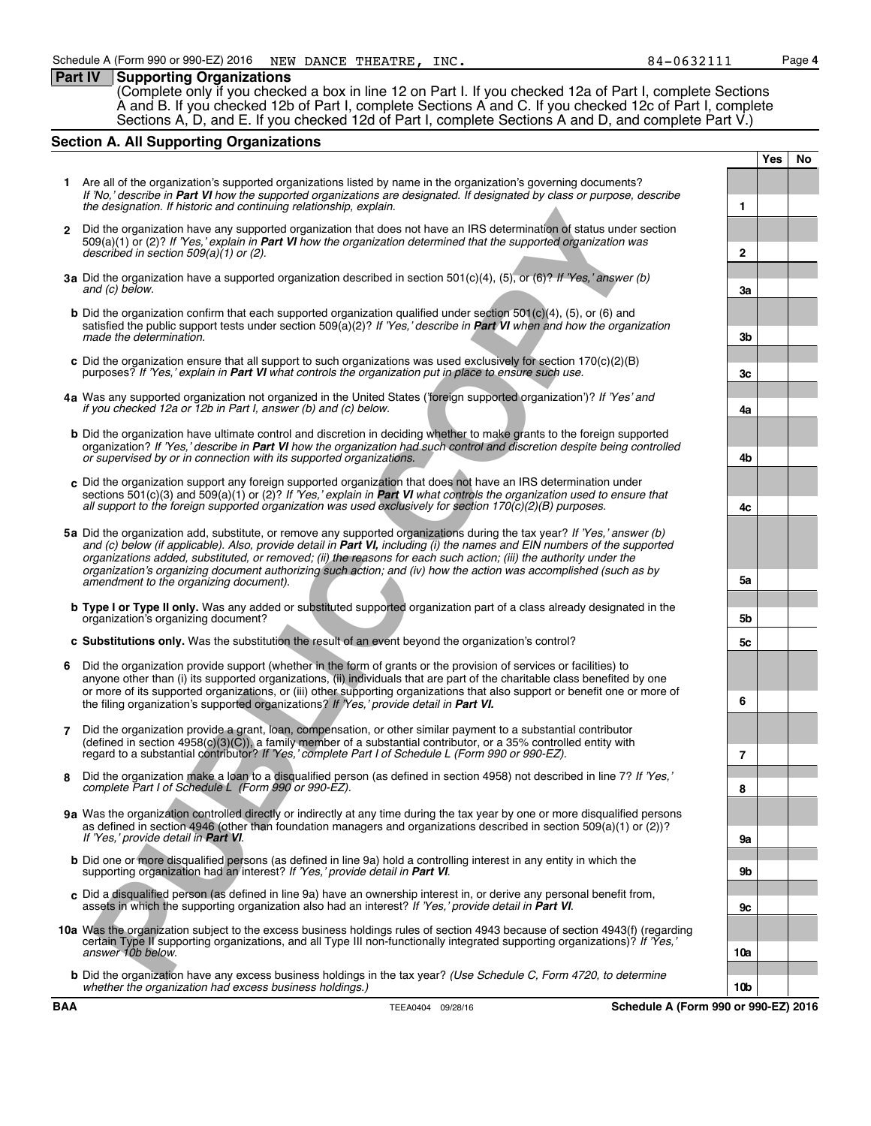### **Part IV Supporting Organizations**

(Complete only if you checked a box in line 12 on Part I. If you checked 12a of Part I, complete Sections A and B. If you checked 12b of Part I, complete Sections A and C. If you checked 12c of Part I, complete Sections A, D, and E. If you checked 12d of Part I, complete Sections A and D, and complete Part V.)

### **Section A. All Supporting Organizations**

- **1** Are all of the organization's supported organizations listed by name in the organization's governing documents? *If 'No,' describe in Part VI how the supported organizations are designated. If designated by class or purpose, describe the designation. If historic and continuing relationship, explain.* **1**
- **2** Did the organization have any supported organization that does not have an IRS determination of status under section 509(a)(1) or (2)? *If 'Yes,' explain in Part VI how the organization determined that the supported organization was described in section 509(a)(1) or (2).* **2**
- **3a** Did the organization have a supported organization described in section 501(c)(4), (5), or (6)? *If 'Yes,' answer (b) and (c) below.* **3a**
- **b** Did the organization confirm that each supported organization qualified under section 501(c)(4), (5), or (6) and satisfied the public support tests under section 509(a)(2)? *If 'Yes,' describe in Part VI when and how the organization made the determination.* **3b**
- **c** Did the organization ensure that all support to such organizations was used exclusively for section 170(c)(2)(B) purposes? *If 'Yes,' explain in Part VI* what controls the organization put in place to ensure such use.
- **4a** Was any supported organization not organized in the United States ('foreign supported organization')? *If 'Yes' and if you checked 12a or 12b in Part I, answer (b) and (c) below.* **4a**
- **b** Did the organization have ultimate control and discretion in deciding whether to make grants to the foreign supported organization? *If 'Yes,' describe in Part VI how the organization had such control and discretion despite being controlled or supervised by or in connection with its supported organizations.* **4b**
- **c** Did the organization support any foreign supported organization that does not have an IRS determination under sections 501(c)(3) and 509(a)(1) or (2)? *If 'Yes,' explain in Part VI what controls the organization used to ensure that all support to the foreign supported organization was used exclusively for section 170(c)(2)(B) purposes.* **4c**
- the experimental in the control of the control of the specific stress. We all the control of the specific of the control of the specific of the specific of the specific of the specific of the specific of the specific of th **5a** Did the organization add, substitute, or remove any supported organizations during the tax year? *If 'Yes,' answer (b) and (c) below (if applicable). Also, provide detail in Part VI, including (i) the names and EIN numbers of the supported organizations added, substituted, or removed; (ii) the reasons for each such action; (iii) the authority under the organization's organizing document authorizing such action; and (iv) how the action was accomplished (such as by amendment to the organizing document).* **5a**
- **b Type I or Type II only.** Was any added or substituted supported organization part of a class already designated in the organization's organizing document? **5b**
- **c Substitutions only.** Was the substitution the result of an event beyond the organization's control? **5c**
- **6** Did the organization provide support (whether in the form of grants or the provision of services or facilities) to anyone other than (i) its supported organizations, (ii) individuals that are part of the charitable class benefited by one or more of its supported organizations, or (iii) other supporting organizations that also support or benefit one or more of the filing organization's supported organizations? *If 'Yes,' provide detail in Part VI.* **6**
- **7** Did the organization provide a grant, loan, compensation, or other similar payment to a substantial contributor  $($ defined in section 4958 $($ c $)(3)(\tilde{C}$ )), a family member of a substantial contributor, or a 35% controlled entity with regard to a substantial contributor? *If 'Yes,' complete Part I of Schedule L (Form 990 or 990-EZ).* **7**
- **8** Did the organization make a loan to a disqualified person (as defined in section 4958) not described in line 7? *If 'Yes,' complete Part I of Schedule L (Form 990 or 990-EZ).* **8**
- **9a** Was the organization controlled directly or indirectly at any time during the tax year by one or more disqualified persons as defined in section 4946 (other than foundation managers and organizations described in section 509(a)(1) or (2))? *If 'Yes,' provide detail in Part VI*. **9a**
- **b** Did one or more disqualified persons (as defined in line 9a) hold a controlling interest in any entity in which the supporting organization had an interest? *If 'Yes,' provide detail in Part VI*. **9b**
- **c** Did a disqualified person (as defined in line 9a) have an ownership interest in, or derive any personal benefit from, assets in which the supporting organization also had an interest? *If 'Yes,' provide detail in Part VI*. **9c**
- **10a** Was the organization subject to the excess business holdings rules of section 4943 because of section 4943(f) (regarding certain Type II supporting organizations, and all Type III non-functionally integrated supporting organizations)? *If 'Yes,' answer 10b below.* **10a**
	- **b** Did the organization have any excess business holdings in the tax year? *(Use Schedule C, Form 4720, to determine whether the organization had excess business holdings.)* **10b**

**Yes No**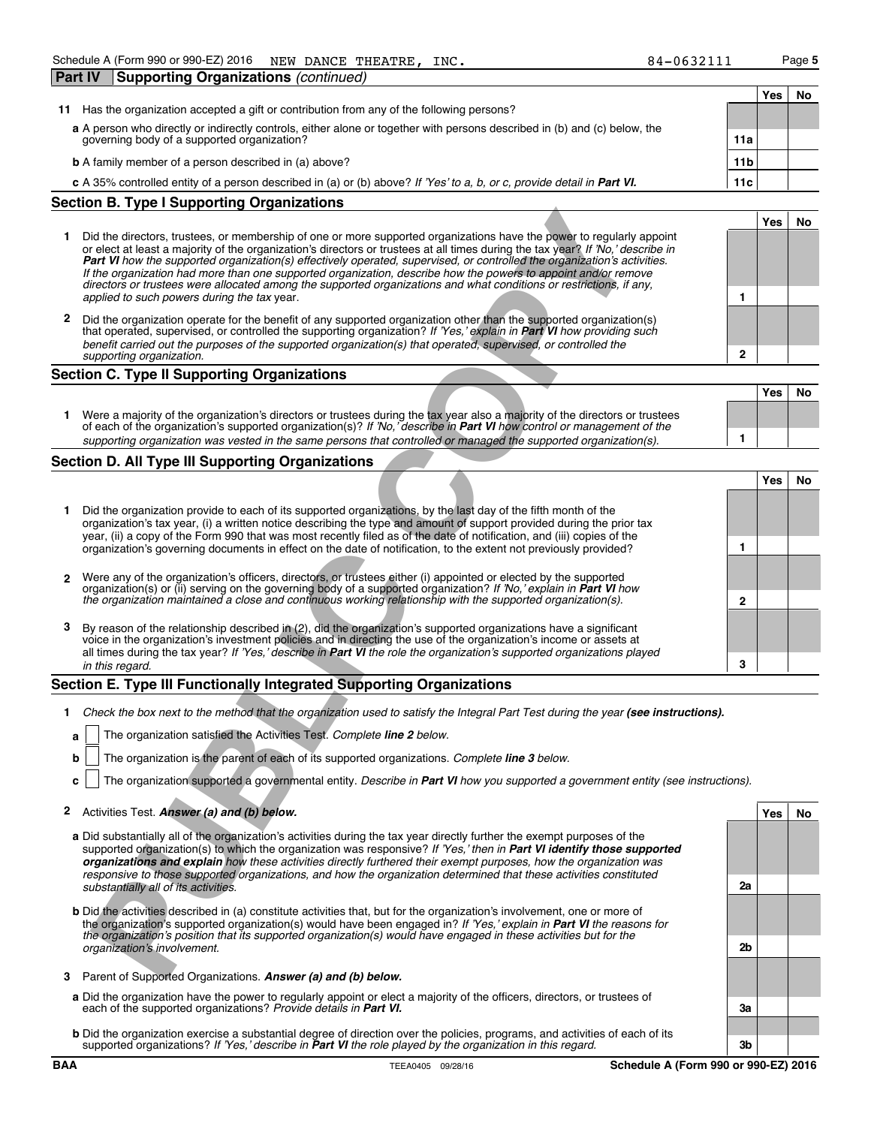| <b>Part IV</b> | <b>Supporting Organizations (continued)</b>                                                                               |                 |     |    |
|----------------|---------------------------------------------------------------------------------------------------------------------------|-----------------|-----|----|
|                |                                                                                                                           |                 | Yes | No |
| 11             | Has the organization accepted a gift or contribution from any of the following persons?                                   |                 |     |    |
|                | a A person who directly or indirectly controls, either alone or together with persons described in (b) and (c) below, the |                 |     |    |
|                | governing body of a supported organization?                                                                               | 11a             |     |    |
|                | <b>b</b> A family member of a person described in (a) above?                                                              | 11 <sub>b</sub> |     |    |
|                | c A 35% controlled entity of a person described in (a) or (b) above? If 'Yes' to a, b, or c, provide detail in Part VI.   | 11c             |     |    |
|                | <b>Section B. Type I Supporting Organizations</b>                                                                         |                 |     |    |

|   |                                                                                                                                                                                                                                                                                                                                                                                                                                                                                                                                                                                                                               | Yes⊦ |  |
|---|-------------------------------------------------------------------------------------------------------------------------------------------------------------------------------------------------------------------------------------------------------------------------------------------------------------------------------------------------------------------------------------------------------------------------------------------------------------------------------------------------------------------------------------------------------------------------------------------------------------------------------|------|--|
|   | Did the directors, trustees, or membership of one or more supported organizations have the power to regularly appoint<br>or elect at least a majority of the organization's directors or trustees at all times during the tax year? If 'No,' describe in<br>Part VI how the supported organization(s) effectively operated, supervised, or controlled the organization's activities.<br>If the organization had more than one supported organization, describe how the powers to appoint and/or remove<br>directors or trustees were allocated among the supported organizations and what conditions or restrictions, if any, |      |  |
|   | applied to such powers during the tax year.                                                                                                                                                                                                                                                                                                                                                                                                                                                                                                                                                                                   |      |  |
| 2 | Did the organization operate for the benefit of any supported organization other than the supported organization(s)<br>that operated, supervised, or controlled the supporting organization? If 'Yes,' explain in Part VI how providing such<br>benefit carried out the purposes of the supported organization(s) that operated, supervised, or controlled the                                                                                                                                                                                                                                                                |      |  |
|   | supporting organization.                                                                                                                                                                                                                                                                                                                                                                                                                                                                                                                                                                                                      |      |  |

#### **Section C. Type II Supporting Organizations**

|                                                                                                                                                                                                                                                       | Yes. | No |
|-------------------------------------------------------------------------------------------------------------------------------------------------------------------------------------------------------------------------------------------------------|------|----|
| Were a majority of the organization's directors or trustees during the tax year also a majority of the directors or trustees<br>of each of the organization's supported organization(s)? If 'No, describe in Part VI how control or management of the |      |    |
| supporting organization was vested in the same persons that controlled or managed the supported organization(s).                                                                                                                                      |      |    |

#### **Section D. All Type III Supporting Organizations**

|             |                                                                                                                                                                                                                                                                                                                                                                                                                                                                                                                                                                                                                                      |              | Yes | No  |
|-------------|--------------------------------------------------------------------------------------------------------------------------------------------------------------------------------------------------------------------------------------------------------------------------------------------------------------------------------------------------------------------------------------------------------------------------------------------------------------------------------------------------------------------------------------------------------------------------------------------------------------------------------------|--------------|-----|-----|
|             | Did the directors, trustees, or membership of one or more supported organizations have the power to regularly appoint<br>or elect at least a majority of the organization's directors or trustees at all times during the tax year? If 'No,' describe in<br><b>Part VI</b> how the supported organization(s) effectively operated, supervised, or controlled the organization's activities.<br>If the organization had more than one supported organization, describe how the powers to appoint and/or remove<br>directors or trustees were allocated among the supported organizations and what conditions or restrictions, if any, |              |     |     |
|             | applied to such powers during the tax year.                                                                                                                                                                                                                                                                                                                                                                                                                                                                                                                                                                                          | 1            |     |     |
| 2           | Did the organization operate for the benefit of any supported organization other than the supported organization(s)<br>that operated, supervised, or controlled the supporting organization? If 'Yes,' explain in <b>Part VI</b> how providing such<br>benefit carried out the purposes of the supported organization(s) that operated, supervised, or controlled the<br>supporting organization.                                                                                                                                                                                                                                    | $\mathbf{2}$ |     |     |
|             | Section C. Type II Supporting Organizations                                                                                                                                                                                                                                                                                                                                                                                                                                                                                                                                                                                          |              |     |     |
|             |                                                                                                                                                                                                                                                                                                                                                                                                                                                                                                                                                                                                                                      |              | Yes | No  |
|             | 1 Were a majority of the organization's directors or trustees during the tax year also a majority of the directors or trustees<br>of each of the organization's supported organization(s)? If 'No, describe in Part VI how control or management of the                                                                                                                                                                                                                                                                                                                                                                              | 1            |     |     |
|             | supporting organization was vested in the same persons that controlled or managed the supported organization(s).                                                                                                                                                                                                                                                                                                                                                                                                                                                                                                                     |              |     |     |
|             | Section D. All Type III Supporting Organizations                                                                                                                                                                                                                                                                                                                                                                                                                                                                                                                                                                                     |              |     |     |
|             |                                                                                                                                                                                                                                                                                                                                                                                                                                                                                                                                                                                                                                      |              | Yes | No. |
| 1           | Did the organization provide to each of its supported organizations, by the last day of the fifth month of the<br>organization's tax year, (i) a written notice describing the type and amount of support provided during the prior tax<br>year, (ii) a copy of the Form 990 that was most recently filed as of the date of notification, and (iii) copies of the                                                                                                                                                                                                                                                                    |              |     |     |
|             | organization's governing documents in effect on the date of notification, to the extent not previously provided?                                                                                                                                                                                                                                                                                                                                                                                                                                                                                                                     | 1            |     |     |
| $\mathbf 2$ | Were any of the organization's officers, directors, or trustees either (i) appointed or elected by the supported<br>organization(s) or (ii) serving on the governing body of a supported organization? If 'No,' explain in Part VI how                                                                                                                                                                                                                                                                                                                                                                                               |              |     |     |
|             | the organization maintained a close and continuous working relationship with the supported organization(s).                                                                                                                                                                                                                                                                                                                                                                                                                                                                                                                          | $\mathbf{2}$ |     |     |
| 3           | By reason of the relationship described in (2), did the organization's supported organizations have a significant<br>voice in the organization's investment policies and in directing the use of the organization's income or assets at                                                                                                                                                                                                                                                                                                                                                                                              |              |     |     |
|             | all times during the tax year? If 'Yes,' describe in Part VI the role the organization's supported organizations played<br>in this regard.                                                                                                                                                                                                                                                                                                                                                                                                                                                                                           | 3            |     |     |
|             | Section E. Type III Functionally Integrated Supporting Organizations                                                                                                                                                                                                                                                                                                                                                                                                                                                                                                                                                                 |              |     |     |
| 1.          | Check the box next to the method that the organization used to satisfy the Integral Part Test during the year (see instructions).                                                                                                                                                                                                                                                                                                                                                                                                                                                                                                    |              |     |     |
|             | The organization satisfied the Activities Test. Complete line 2 below.<br>a                                                                                                                                                                                                                                                                                                                                                                                                                                                                                                                                                          |              |     |     |
|             | The organization is the parent of each of its supported organizations. Complete line 3 below.<br>b                                                                                                                                                                                                                                                                                                                                                                                                                                                                                                                                   |              |     |     |
|             | The organization supported a governmental entity. Describe in Part VI how you supported a government entity (see instructions).                                                                                                                                                                                                                                                                                                                                                                                                                                                                                                      |              |     |     |
|             | 2 Activities Test. Answer (a) and (b) below.                                                                                                                                                                                                                                                                                                                                                                                                                                                                                                                                                                                         |              | Yes | No  |
|             | a Did substantially all of the organization's activities during the tax year directly further the exempt purposes of the<br>supported organization(s) to which the organization was responsive? If 'Yes,' then in Part VI identify those supported<br><b>organizations and explain</b> how these activities directly furthered their exempt purposes, how the organization was<br>responsive to those supported organizations, and how the organization determined that these activities constituted                                                                                                                                 |              |     |     |
|             | substantially all of its activities.                                                                                                                                                                                                                                                                                                                                                                                                                                                                                                                                                                                                 | 2a           |     |     |
|             | <b>b</b> Did the activities described in (a) constitute activities that, but for the organization's involvement, one or more of<br>the organization's supported organization(s) would have been engaged in? If 'Yes,' explain in Part VI the reasons for<br>the organization's position that its supported organization(s) would have engaged in these activities but for the                                                                                                                                                                                                                                                        |              |     |     |
|             | organization's involvement.                                                                                                                                                                                                                                                                                                                                                                                                                                                                                                                                                                                                          | 2b           |     |     |
|             | 3 Parent of Supported Organizations. Answer (a) and (b) below.                                                                                                                                                                                                                                                                                                                                                                                                                                                                                                                                                                       |              |     |     |

#### **Section E. Type III Functionally Integrated Supporting Organizations**

- **1** Check the box next to the method that the organization used to satisfy the Integral Part Test during the year (see instructions).
	- **a** The organization satisfied the Activities Test. *Complete line 2 below.*
	- **b** The organization is the parent of each of its supported organizations. *Complete line 3 below.*
	- **c** The organization supported a governmental entity. *Describe in Part VI how you supported a government entity (see instructions).*

#### **2** Activities Test. *Answer (a) and (b) below.* **Yes No**

- **a** Did substantially all of the organization's activities during the tax year directly further the exempt purposes of the supported organization(s) to which the organization was responsive? *If 'Yes,' then in Part VI identify those supported organizations and explain how these activities directly furthered their exempt purposes, how the organization was responsive to those supported organizations, and how the organization determined that these activities constituted substantially all of its activities.* **2a**
- **b** Did the activities described in (a) constitute activities that, but for the organization's involvement, one or more of the organization's supported organization(s) would have been engaged in? *If 'Yes,' explain in Part VI the reasons for the organization's position that its supported organization(s) would have engaged in these activities but for the organization's involvement.* **2b**
- **3** Parent of Supported Organizations. *Answer (a) and (b) below.*
- **a** Did the organization have the power to regularly appoint or elect a majority of the officers, directors, or trustees of each of the supported organizations? *Provide details in Part VI.* **3a**
- **b** Did the organization exercise a substantial degree of direction over the policies, programs, and activities of each of its supported organizations? *If 'Yes,' describe in Part VI the role played by the organization in this regard.* **3b**

**BAA TEEA0405 09/28/16 Schedule A (Form 990 or 990-EZ) 2016**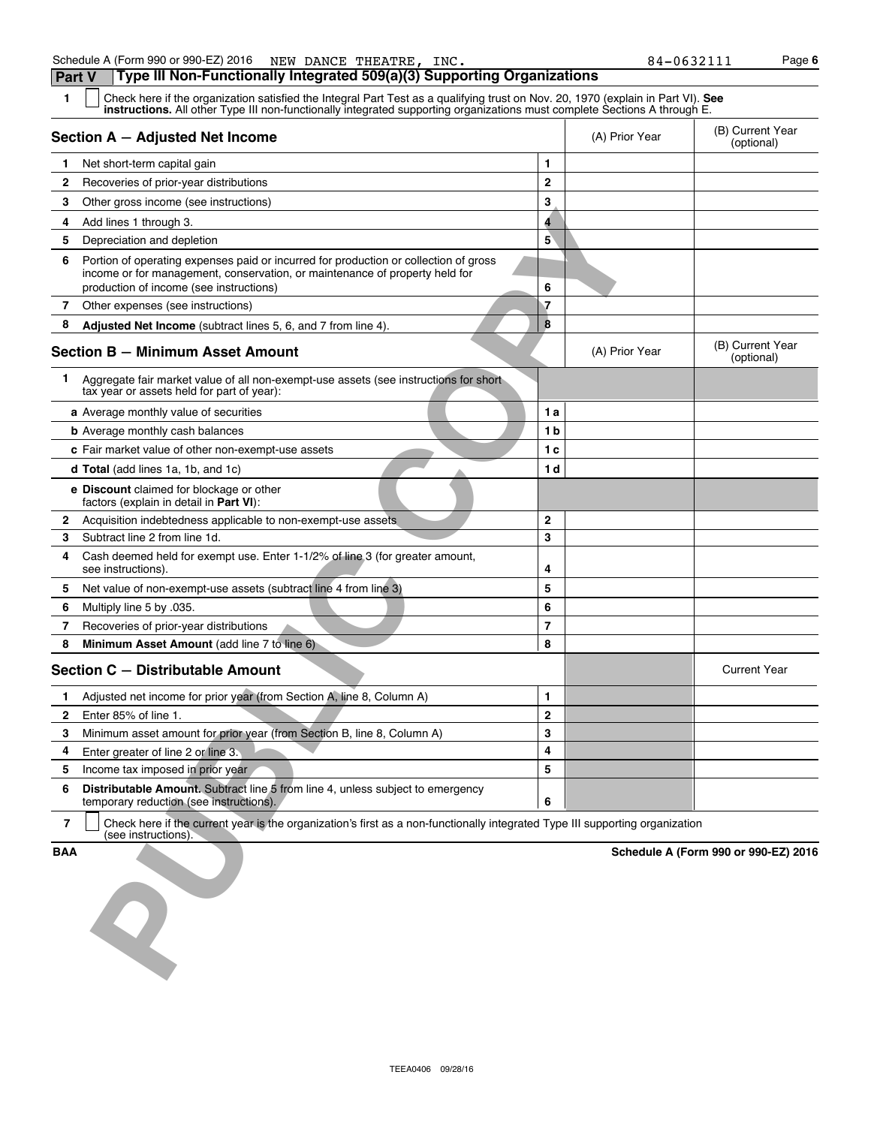| 1.             | Check here if the organization satisfied the Integral Part Test as a qualifying trust on Nov. 20, 1970 (explain in Part VI). See<br>instructions. All other Type III non-functionally integrated supporting organizations must complete Sections A through E. |                |                |                                      |
|----------------|---------------------------------------------------------------------------------------------------------------------------------------------------------------------------------------------------------------------------------------------------------------|----------------|----------------|--------------------------------------|
|                | Section A - Adjusted Net Income                                                                                                                                                                                                                               |                | (A) Prior Year | (B) Current Year<br>(optional)       |
| 1.             | Net short-term capital gain                                                                                                                                                                                                                                   | 1              |                |                                      |
| 2              | Recoveries of prior-year distributions                                                                                                                                                                                                                        | $\mathbf 2$    |                |                                      |
| 3              | Other gross income (see instructions)                                                                                                                                                                                                                         | 3              |                |                                      |
| 4              | Add lines 1 through 3.                                                                                                                                                                                                                                        | 4              |                |                                      |
| 5.             | Depreciation and depletion                                                                                                                                                                                                                                    | 5              |                |                                      |
| 6              | Portion of operating expenses paid or incurred for production or collection of gross<br>income or for management, conservation, or maintenance of property held for<br>production of income (see instructions)                                                | 6              |                |                                      |
| 7              | Other expenses (see instructions)                                                                                                                                                                                                                             | 7              |                |                                      |
| 8              | <b>Adjusted Net Income</b> (subtract lines 5, 6, and 7 from line 4).                                                                                                                                                                                          | 8              |                |                                      |
|                | <b>Section B - Minimum Asset Amount</b>                                                                                                                                                                                                                       |                | (A) Prior Year | (B) Current Year<br>(optional)       |
| 1              | Aggregate fair market value of all non-exempt-use assets (see instructions for short<br>tax year or assets held for part of year):                                                                                                                            |                |                |                                      |
|                | a Average monthly value of securities                                                                                                                                                                                                                         | 1а             |                |                                      |
|                | <b>b</b> Average monthly cash balances                                                                                                                                                                                                                        | 1 b            |                |                                      |
|                | c Fair market value of other non-exempt-use assets                                                                                                                                                                                                            | 1 c            |                |                                      |
|                | d Total (add lines 1a, 1b, and 1c)                                                                                                                                                                                                                            | 1 d            |                |                                      |
|                | <b>e Discount</b> claimed for blockage or other<br>factors (explain in detail in Part VI):                                                                                                                                                                    |                |                |                                      |
| 2              | Acquisition indebtedness applicable to non-exempt-use assets                                                                                                                                                                                                  | $\overline{2}$ |                |                                      |
| 3              | Subtract line 2 from line 1d.                                                                                                                                                                                                                                 | 3              |                |                                      |
| 4              | Cash deemed held for exempt use. Enter 1-1/2% of line 3 (for greater amount,<br>see instructions).                                                                                                                                                            | 4              |                |                                      |
| 5              | Net value of non-exempt-use assets (subtract line 4 from line 3)                                                                                                                                                                                              | 5              |                |                                      |
| 6              | Multiply line 5 by .035.                                                                                                                                                                                                                                      | 6              |                |                                      |
| 7              | Recoveries of prior-year distributions                                                                                                                                                                                                                        | 7              |                |                                      |
| 8              | Minimum Asset Amount (add line 7 to line 6)                                                                                                                                                                                                                   | 8              |                |                                      |
|                | Section C - Distributable Amount                                                                                                                                                                                                                              |                |                | <b>Current Year</b>                  |
| 1.             | Adjusted net income for prior year (from Section A, line 8, Column A)                                                                                                                                                                                         | 1              |                |                                      |
| 2              | Enter 85% of line 1.                                                                                                                                                                                                                                          | $\mathbf{2}$   |                |                                      |
| 3              | Minimum asset amount for prior year (from Section B, line 8, Column A)                                                                                                                                                                                        | 3              |                |                                      |
| 4              | Enter greater of line 2 or line 3.                                                                                                                                                                                                                            | 4              |                |                                      |
| 5              | Income tax imposed in prior year                                                                                                                                                                                                                              | 5              |                |                                      |
| 6              | Distributable Amount. Subtract line 5 from line 4, unless subject to emergency<br>temporary reduction (see instructions).                                                                                                                                     | 6              |                |                                      |
| $\overline{7}$ | Check here if the current year is the organization's first as a non-functionally integrated Type III supporting organization<br>(see instructions).                                                                                                           |                |                |                                      |
| <b>BAA</b>     |                                                                                                                                                                                                                                                               |                |                | Schedule A (Form 990 or 990-EZ) 2016 |
|                |                                                                                                                                                                                                                                                               |                |                |                                      |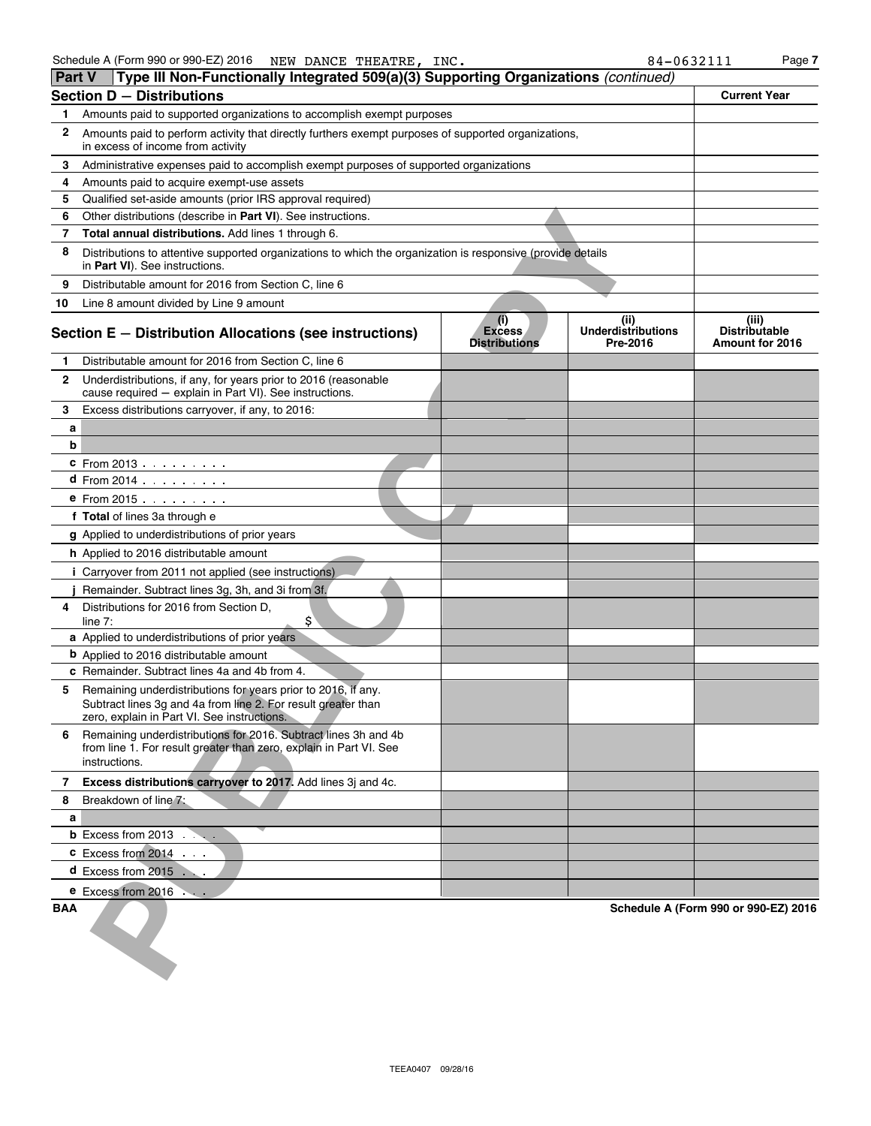| <b>Part V</b> | Type III Non-Functionally Integrated 509(a)(3) Supporting Organizations (continued)                                                                                           |                                              |                                               |                                                  |
|---------------|-------------------------------------------------------------------------------------------------------------------------------------------------------------------------------|----------------------------------------------|-----------------------------------------------|--------------------------------------------------|
|               | Section D - Distributions                                                                                                                                                     |                                              |                                               | <b>Current Year</b>                              |
| 1.            | Amounts paid to supported organizations to accomplish exempt purposes                                                                                                         |                                              |                                               |                                                  |
| 2             | Amounts paid to perform activity that directly furthers exempt purposes of supported organizations,<br>in excess of income from activity                                      |                                              |                                               |                                                  |
| 3             | Administrative expenses paid to accomplish exempt purposes of supported organizations                                                                                         |                                              |                                               |                                                  |
| 4             | Amounts paid to acquire exempt-use assets                                                                                                                                     |                                              |                                               |                                                  |
| 5             | Qualified set-aside amounts (prior IRS approval required)                                                                                                                     |                                              |                                               |                                                  |
| 6             | Other distributions (describe in Part VI). See instructions.                                                                                                                  |                                              |                                               |                                                  |
| 7             | Total annual distributions. Add lines 1 through 6.                                                                                                                            |                                              |                                               |                                                  |
| 8             | Distributions to attentive supported organizations to which the organization is responsive (provide details<br>in Part VI). See instructions.                                 |                                              |                                               |                                                  |
| 9             | Distributable amount for 2016 from Section C, line 6                                                                                                                          |                                              |                                               |                                                  |
| 10            | Line 8 amount divided by Line 9 amount                                                                                                                                        |                                              |                                               |                                                  |
|               | Section E - Distribution Allocations (see instructions)                                                                                                                       | (i)<br><b>Excess</b><br><b>Distributions</b> | (ii)<br><b>Underdistributions</b><br>Pre-2016 | (iii)<br><b>Distributable</b><br>Amount for 2016 |
| 1             | Distributable amount for 2016 from Section C. line 6                                                                                                                          |                                              |                                               |                                                  |
| $\mathbf{2}$  | Underdistributions, if any, for years prior to 2016 (reasonable<br>cause required - explain in Part VI). See instructions.                                                    |                                              |                                               |                                                  |
| 3             | Excess distributions carryover, if any, to 2016:                                                                                                                              |                                              |                                               |                                                  |
| а             |                                                                                                                                                                               |                                              |                                               |                                                  |
| b             |                                                                                                                                                                               |                                              |                                               |                                                  |
|               | <b>c</b> From 2013                                                                                                                                                            |                                              |                                               |                                                  |
|               | <b>d</b> From 2014 $\ldots$ $\ldots$                                                                                                                                          |                                              |                                               |                                                  |
|               | <b>e</b> From 2015 $\cdots$ $\cdots$                                                                                                                                          |                                              |                                               |                                                  |
|               | f Total of lines 3a through e                                                                                                                                                 |                                              |                                               |                                                  |
|               | g Applied to underdistributions of prior years                                                                                                                                |                                              |                                               |                                                  |
|               | h Applied to 2016 distributable amount                                                                                                                                        |                                              |                                               |                                                  |
|               | <i>i</i> Carryover from 2011 not applied (see instructions)                                                                                                                   |                                              |                                               |                                                  |
|               | Remainder. Subtract lines 3g, 3h, and 3i from 3f.                                                                                                                             |                                              |                                               |                                                  |
| 4             | Distributions for 2016 from Section D,<br>\$<br>line $7:$                                                                                                                     |                                              |                                               |                                                  |
|               | a Applied to underdistributions of prior years                                                                                                                                |                                              |                                               |                                                  |
|               | <b>b</b> Applied to 2016 distributable amount                                                                                                                                 |                                              |                                               |                                                  |
|               | c Remainder. Subtract lines 4a and 4b from 4.                                                                                                                                 |                                              |                                               |                                                  |
| 5             | Remaining underdistributions for years prior to 2016, if any.<br>Subtract lines 3g and 4a from line 2. For result greater than<br>zero, explain in Part VI. See instructions. |                                              |                                               |                                                  |
| 6             | Remaining underdistributions for 2016. Subtract lines 3h and 4b<br>from line 1. For result greater than zero, explain in Part VI. See<br>instructions.                        |                                              |                                               |                                                  |
|               | 7 Excess distributions carryover to 2017. Add lines 3j and 4c.                                                                                                                |                                              |                                               |                                                  |
| 8             | Breakdown of line 7:                                                                                                                                                          |                                              |                                               |                                                  |
| a             |                                                                                                                                                                               |                                              |                                               |                                                  |
|               | <b>b</b> Excess from $2013$ .<br>$\sim$ 10 $\pm$                                                                                                                              |                                              |                                               |                                                  |
|               | <b>c</b> Excess from $2014$                                                                                                                                                   |                                              |                                               |                                                  |
|               | $d$ Excess from 2015 $\ldots$                                                                                                                                                 |                                              |                                               |                                                  |
|               | <b>e</b> Excess from $2016$                                                                                                                                                   |                                              |                                               |                                                  |
| <b>BAA</b>    |                                                                                                                                                                               |                                              |                                               | Schedule A (Form 990 or 990-EZ) 2016             |
|               |                                                                                                                                                                               |                                              |                                               |                                                  |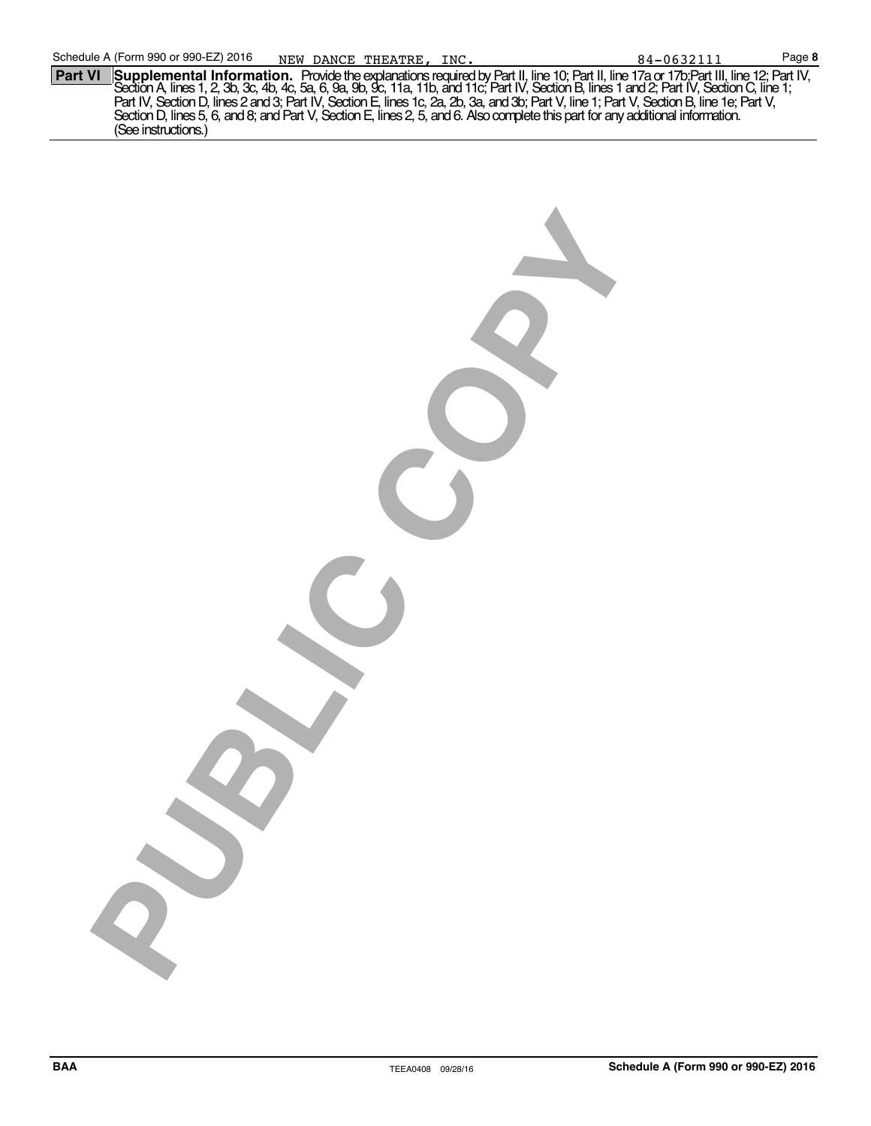| <b>Part VI</b> |                     |                                                                                                                                 | <b>Supplemental Information.</b> Provide the explanations required by Part II, line 10; Part II, line 17a or 17b;Part III, line 12; Part IV,<br>Dection A, lines 1, 2, 3b, 3c, 4b, 4c, 5a, 6, 9a, 9b, 9c, 11a, 11b, and 11c; Part IV, |  |
|----------------|---------------------|---------------------------------------------------------------------------------------------------------------------------------|---------------------------------------------------------------------------------------------------------------------------------------------------------------------------------------------------------------------------------------|--|
|                |                     |                                                                                                                                 | Part IV, Section D, lines 2 and 3; Part IV, Section E, lines 1c, 2a, 2b, 3a, and 3b; Part V, line 1; Part V, Section B, line 1e; Part V,                                                                                              |  |
|                |                     | Section D, lines 5, 6, and 8; and Part V, Section E, lines 2, 5, and 6. Also complete this part for any additional information. |                                                                                                                                                                                                                                       |  |
|                | (See instructions.) |                                                                                                                                 |                                                                                                                                                                                                                                       |  |

**PUBLIC COPY**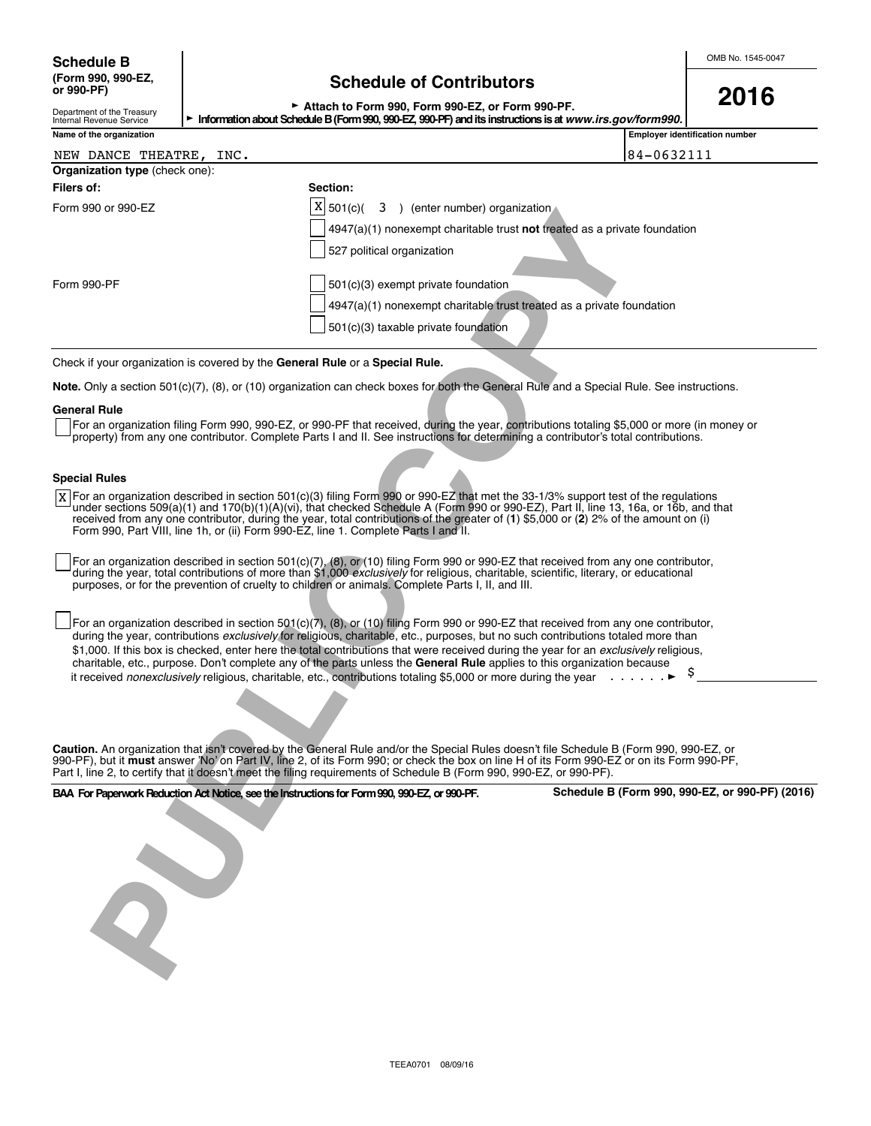Department of the Treasury

## **(Form 990, 990-EZ, Schedule of Contributors or 990-PF)**

Attach to Form 990, Form 990-EZ, or Form 990-PF. Information about Schedule B (Form 990, 990-EZ, 990-PF) and its instructions is at *www.irs.gov/form990.* 

| × | × |
|---|---|
|   |   |

| Internal Revenue Service |  |
|--------------------------|--|
| Name of the organization |  |

| illielijal Develius osi vice                                                                                                                                                                                                                                                                                                                                                                                 | <u>""O "But it about the require D (I GITTS SO, SSO LET SSO FT ) and its insulations is at WWW. II S. QOW TO MISSO.</u>                                                                                                                                                                                                                                                                                                                                                                                                                                                                                                                                      |                                                                                                                                            |
|--------------------------------------------------------------------------------------------------------------------------------------------------------------------------------------------------------------------------------------------------------------------------------------------------------------------------------------------------------------------------------------------------------------|--------------------------------------------------------------------------------------------------------------------------------------------------------------------------------------------------------------------------------------------------------------------------------------------------------------------------------------------------------------------------------------------------------------------------------------------------------------------------------------------------------------------------------------------------------------------------------------------------------------------------------------------------------------|--------------------------------------------------------------------------------------------------------------------------------------------|
| Name of the organization                                                                                                                                                                                                                                                                                                                                                                                     |                                                                                                                                                                                                                                                                                                                                                                                                                                                                                                                                                                                                                                                              | <b>Employer identification number</b>                                                                                                      |
| NEW DANCE THEATRE,<br>INC.                                                                                                                                                                                                                                                                                                                                                                                   |                                                                                                                                                                                                                                                                                                                                                                                                                                                                                                                                                                                                                                                              | 84-0632111                                                                                                                                 |
| Organization type (check one):                                                                                                                                                                                                                                                                                                                                                                               |                                                                                                                                                                                                                                                                                                                                                                                                                                                                                                                                                                                                                                                              |                                                                                                                                            |
| Filers of:                                                                                                                                                                                                                                                                                                                                                                                                   | <b>Section:</b>                                                                                                                                                                                                                                                                                                                                                                                                                                                                                                                                                                                                                                              |                                                                                                                                            |
| Form 990 or 990-EZ                                                                                                                                                                                                                                                                                                                                                                                           | $X \mid 501(c)$<br>3 ) (enter number) organization                                                                                                                                                                                                                                                                                                                                                                                                                                                                                                                                                                                                           |                                                                                                                                            |
|                                                                                                                                                                                                                                                                                                                                                                                                              | $4947(a)(1)$ nonexempt charitable trust not treated as a private foundation                                                                                                                                                                                                                                                                                                                                                                                                                                                                                                                                                                                  |                                                                                                                                            |
|                                                                                                                                                                                                                                                                                                                                                                                                              | 527 political organization                                                                                                                                                                                                                                                                                                                                                                                                                                                                                                                                                                                                                                   |                                                                                                                                            |
| Form 990-PF                                                                                                                                                                                                                                                                                                                                                                                                  | 501(c)(3) exempt private foundation                                                                                                                                                                                                                                                                                                                                                                                                                                                                                                                                                                                                                          |                                                                                                                                            |
|                                                                                                                                                                                                                                                                                                                                                                                                              | 4947(a)(1) nonexempt charitable trust treated as a private foundation                                                                                                                                                                                                                                                                                                                                                                                                                                                                                                                                                                                        |                                                                                                                                            |
|                                                                                                                                                                                                                                                                                                                                                                                                              | 501(c)(3) taxable private foundation                                                                                                                                                                                                                                                                                                                                                                                                                                                                                                                                                                                                                         |                                                                                                                                            |
|                                                                                                                                                                                                                                                                                                                                                                                                              |                                                                                                                                                                                                                                                                                                                                                                                                                                                                                                                                                                                                                                                              |                                                                                                                                            |
| Check if your organization is covered by the General Rule or a Special Rule.                                                                                                                                                                                                                                                                                                                                 |                                                                                                                                                                                                                                                                                                                                                                                                                                                                                                                                                                                                                                                              |                                                                                                                                            |
| Note. Only a section 501(c)(7), (8), or (10) organization can check boxes for both the General Rule and a Special Rule. See instructions.                                                                                                                                                                                                                                                                    |                                                                                                                                                                                                                                                                                                                                                                                                                                                                                                                                                                                                                                                              |                                                                                                                                            |
| <b>General Rule</b>                                                                                                                                                                                                                                                                                                                                                                                          |                                                                                                                                                                                                                                                                                                                                                                                                                                                                                                                                                                                                                                                              |                                                                                                                                            |
|                                                                                                                                                                                                                                                                                                                                                                                                              | property) from any one contributor. Complete Parts I and II. See instructions for determining a contributor's total contributions.                                                                                                                                                                                                                                                                                                                                                                                                                                                                                                                           | For an organization filing Form 990, 990-EZ, or 990-PF that received, during the year, contributions totaling \$5,000 or more (in money or |
|                                                                                                                                                                                                                                                                                                                                                                                                              |                                                                                                                                                                                                                                                                                                                                                                                                                                                                                                                                                                                                                                                              |                                                                                                                                            |
| <b>Special Rules</b>                                                                                                                                                                                                                                                                                                                                                                                         |                                                                                                                                                                                                                                                                                                                                                                                                                                                                                                                                                                                                                                                              |                                                                                                                                            |
| X<br>Form 990, Part VIII, line 1h, or (ii) Form 990-EZ, line 1. Complete Parts I and II.                                                                                                                                                                                                                                                                                                                     | For an organization described in section 501(c)(3) filing Form 990 or 990-EZ that met the 33-1/3% support test of the regulations<br>under sections 509(a)(1) and 170(b)(1)(A)(vi), that checked Schedule A (Form 990 or 990-EZ), Part II, line 13, 16a, or 16b, and that<br>received from any one contributor, during the year, total contributions of the greater of (1) \$5,000 or (2) 2% of the amount on (i)                                                                                                                                                                                                                                            |                                                                                                                                            |
|                                                                                                                                                                                                                                                                                                                                                                                                              | For an organization described in section $501(c)(7)$ , (8), or (10) filing Form 990 or 990-EZ that received from any one contributor,<br>during the year, total contributions of more than \$1,000 exclusively for religious, charitable, scientific, literary, or educational<br>purposes, or for the prevention of cruelty to children or animals. Complete Parts I, II, and III.                                                                                                                                                                                                                                                                          |                                                                                                                                            |
|                                                                                                                                                                                                                                                                                                                                                                                                              | For an organization described in section 501(c)(7), (8), or (10) filing Form 990 or 990-EZ that received from any one contributor,<br>during the year, contributions exclusively for religious, charitable, etc., purposes, but no such contributions totaled more than<br>\$1,000. If this box is checked, enter here the total contributions that were received during the year for an exclusively religious,<br>charitable, etc., purpose. Don't complete any of the parts unless the General Rule applies to this organization because<br>it received nonexclusively religious, charitable, etc., contributions totaling \$5,000 or more during the year |                                                                                                                                            |
|                                                                                                                                                                                                                                                                                                                                                                                                              |                                                                                                                                                                                                                                                                                                                                                                                                                                                                                                                                                                                                                                                              |                                                                                                                                            |
| Caution. An organization that isn't covered by the General Rule and/or the Special Rules doesn't file Schedule B (Form 990, 990-EZ, or<br>990-PF), but it must answer 'No' on Part IV, line 2, of its Form 990; or check the box on line H of its Form 990-EZ or on its Form 990-PF,<br>Part I, line 2, to certify that it doesn't meet the filing requirements of Schedule B (Form 990, 990-EZ, or 990-PF). |                                                                                                                                                                                                                                                                                                                                                                                                                                                                                                                                                                                                                                                              |                                                                                                                                            |
| BAA For Paperwork Reduction Act Notice, see the Instructions for Form 990, 990-EZ, or 990-PF.                                                                                                                                                                                                                                                                                                                |                                                                                                                                                                                                                                                                                                                                                                                                                                                                                                                                                                                                                                                              | Schedule B (Form 990, 990-EZ, or 990-PF) (2016                                                                                             |
|                                                                                                                                                                                                                                                                                                                                                                                                              |                                                                                                                                                                                                                                                                                                                                                                                                                                                                                                                                                                                                                                                              |                                                                                                                                            |
|                                                                                                                                                                                                                                                                                                                                                                                                              |                                                                                                                                                                                                                                                                                                                                                                                                                                                                                                                                                                                                                                                              |                                                                                                                                            |

#### **General Rule**

#### **Special Rules**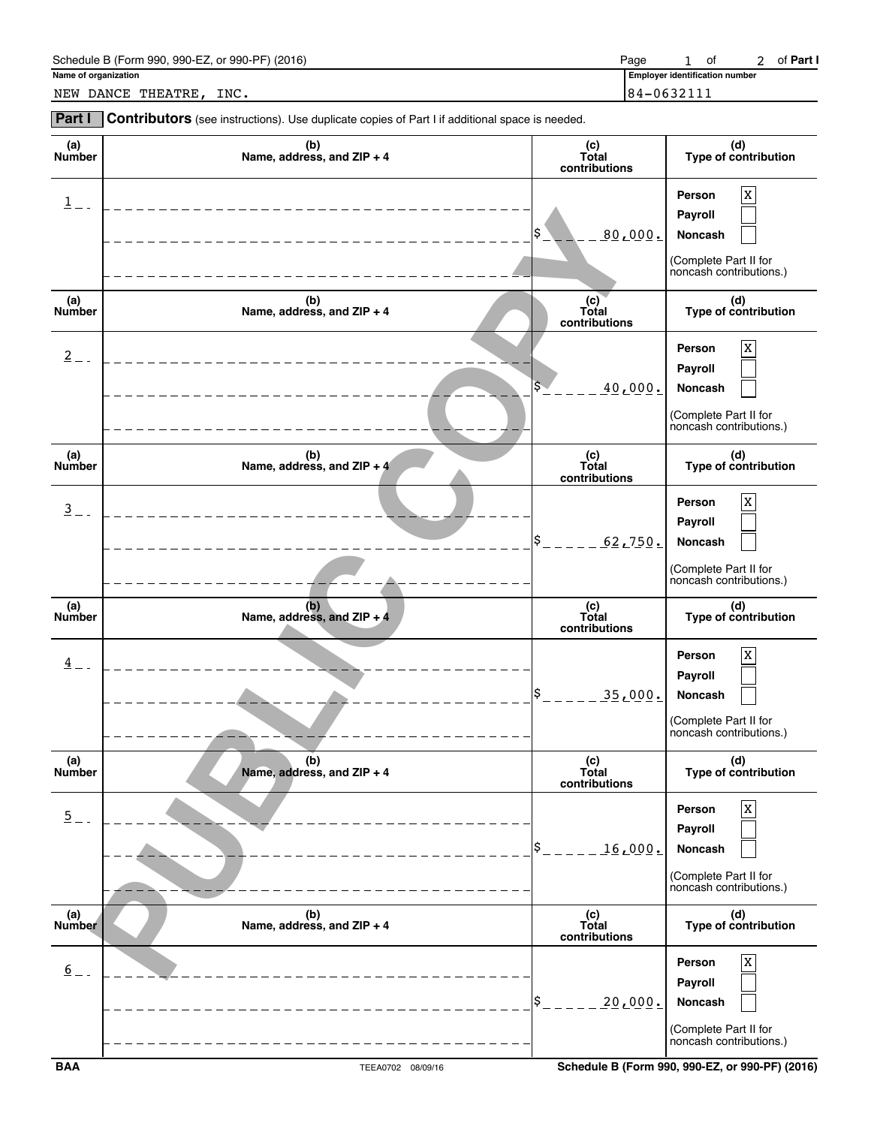| 990-PF<br>990-EZ<br>Schedule B (<br>(2016)<br>990<br>Form) د<br>. or : | Page |  | Οl | Part<br>ОΤ |
|------------------------------------------------------------------------|------|--|----|------------|
|------------------------------------------------------------------------|------|--|----|------------|

**Name of organization Employer identification number Employer identification number** 1 of 2 of Part I

NEW DANCE THEATRE, INC. 84-0632111

**Part I** Contributors (see instructions). Use duplicate copies of Part I if additional space is needed.

| (a)<br>Number        | (b)<br>Name, address, and ZIP + 4         | (c)<br>Total<br>contributions | (d)<br>Type of contribution                                                                            |
|----------------------|-------------------------------------------|-------------------------------|--------------------------------------------------------------------------------------------------------|
| $1$ $-$              |                                           | \$<br>80,000.                 | $\mathbf X$<br>Person<br><b>Payroll</b><br>Noncash<br>(Complete Part II for<br>noncash contributions.) |
| (a)<br>Number        | (b)<br>Name, address, and ZIP + 4         | (c)<br>Total<br>contributions | (d)<br>Type of contribution                                                                            |
| $2 - 1$              |                                           | 40,000.                       | Χ<br>Person<br><b>Payroll</b><br>Noncash<br>(Complete Part II for<br>noncash contributions.)           |
| (a)<br><b>Number</b> | (b)<br>Name, address, and ZIP + $4$       | (c)<br>Total<br>contributions | (d)<br>Type of contribution                                                                            |
| $\frac{3}{2}$ -      |                                           | \$<br>62,750.                 | $\mathbf X$<br>Person<br>Payroll<br>Noncash<br>(Complete Part II for<br>noncash contributions.)        |
| (a)<br>Number        | (b)<br>Name, address, and ZIP + 4         | (c)<br>Total<br>contributions | (d)<br>Type of contribution                                                                            |
| $\frac{4}{ }$ – –    |                                           | $ s_{---}$<br>35,000.         | $\rm X$<br>Person<br><b>Payroll</b><br>Noncash<br>(Complete Part II for<br>noncash contributions.)     |
| (a)<br>Number        | (b)<br>Name, address, and ZIP + 4         | (c)<br>Total<br>contributions | (d)<br><b>Type of contribution</b>                                                                     |
| $\overline{5}$ =     | ______________                            | \$<br>16,000.                 | $\mathbf X$<br>Person<br>Payroll<br>Noncash<br>(Complete Part II for<br>noncash contributions.)        |
| (a)<br>Number        | (b)<br>Name, address, and ZIP + 4         | (c)<br>Total<br>contributions | (d)<br>Type of contribution                                                                            |
| $\underline{6}$ –    | ____________________<br>$- - - - - - - -$ | \$<br><u>20,000.</u>          | $\mathbf x$<br>Person<br>Payroll<br>Noncash<br>(Complete Part II for<br>noncash contributions.)        |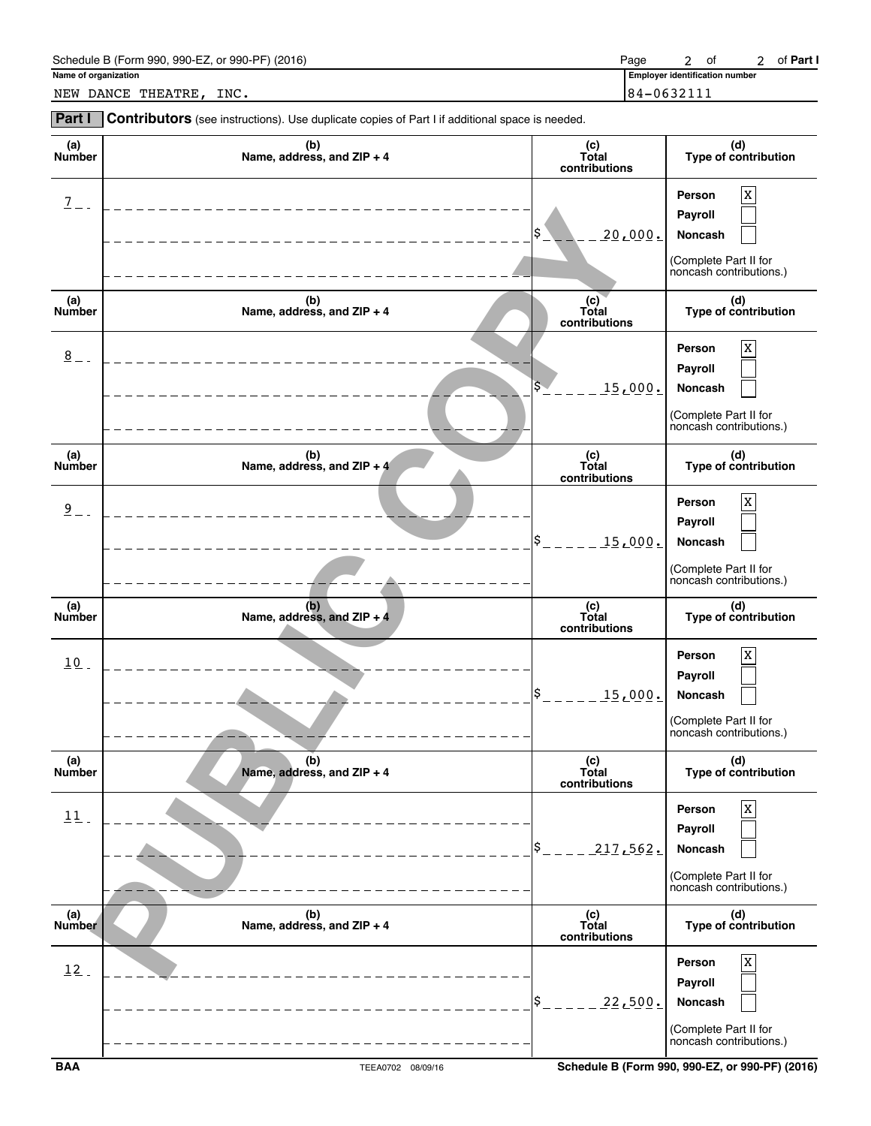| 990-PF<br>990-EZ<br>Schedule B (<br>(2016)<br>990<br>Form) ر<br>. or : | Page |  | Οl | ОΤ | Part |
|------------------------------------------------------------------------|------|--|----|----|------|
|------------------------------------------------------------------------|------|--|----|----|------|

**Name of organization Employer identification number Employer identification number** 2 of 2 of Part I

NEW DANCE THEATRE, INC. 84-0632111

**Part I** Contributors (see instructions). Use duplicate copies of Part I if additional space is needed.

| (a)<br>Number        | (b)<br>Name, address, and ZIP + 4   | (c)<br>Total<br>contributions | (d)<br>Type of contribution                                                                     |
|----------------------|-------------------------------------|-------------------------------|-------------------------------------------------------------------------------------------------|
| $\frac{7}{2}$ -      |                                     | \$<br>20,000.                 | Χ<br>Person<br>Payroll<br><b>Noncash</b><br>(Complete Part II for<br>noncash contributions.)    |
| (a)<br>Number        | (b)<br>Name, address, and ZIP + 4   | (c)<br>Total<br>contributions | (d)<br>Type of contribution                                                                     |
| $\frac{8}{2}$ -      |                                     | 15,000.                       | Χ<br>Person<br><b>Payroll</b><br>Noncash<br>(Complete Part II for<br>noncash contributions.)    |
| (a)<br><b>Number</b> | (b)<br>Name, address, and ZIP + 4   | (c)<br>Total<br>contributions | (d)<br>Type of contribution                                                                     |
| $2 -$                |                                     | \$<br>15,000.                 | Χ<br>Person<br>Payroll<br>Noncash<br>(Complete Part II for<br>noncash contributions.)           |
| (a)<br><b>Number</b> | (b)<br>Name, address, and $ZIP + 4$ | (c)<br>Total<br>contributions | (d)<br>Type of contribution                                                                     |
| 10                   |                                     | \$<br>15,000.                 | Χ<br>Person<br>Payroll<br>Noncash<br>(Complete Part II for<br>noncash contributions.)           |
| (a)<br><b>Number</b> | (b)<br>Name, address, and ZIP + 4   | (c)<br>Total<br>contributions | (d)<br>Type of contribution                                                                     |
| $11$ .               |                                     | \$<br>217,562.                | $\mathbf X$<br>Person<br>Payroll<br>Noncash<br>(Complete Part II for<br>noncash contributions.) |
| (a)<br>Number        | (b)<br>Name, address, and ZIP + 4   | (c)<br>Total<br>contributions | (d)<br>Type of contribution                                                                     |
| 12                   |                                     |                               | $\mathbf x$<br>Person<br>Payroll                                                                |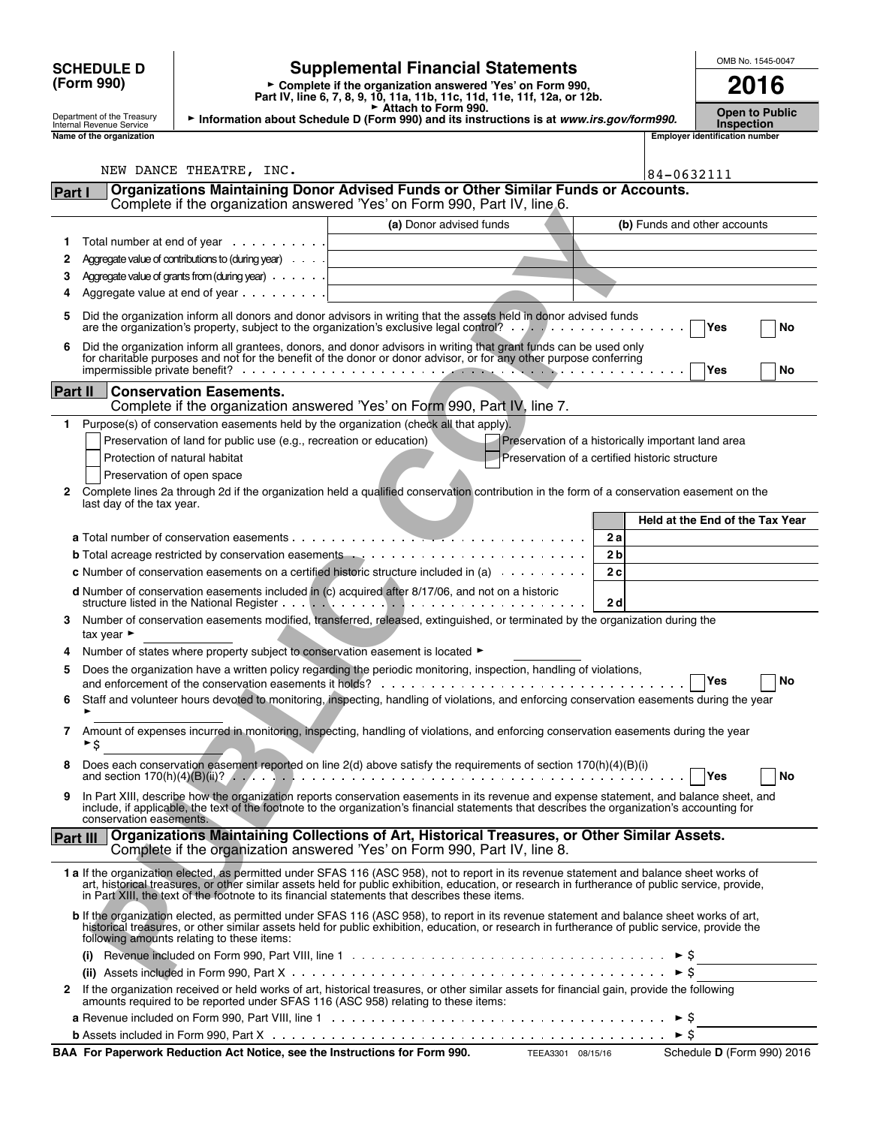| <b>SCHEDULE D</b> |                                                                                    |                                                                                  | <b>Supplemental Financial Statements</b>                                                                                                                                                                                                                                                                                                                                                                                                                      |                                                     | OMB No. 1545-0047                                          |  |
|-------------------|------------------------------------------------------------------------------------|----------------------------------------------------------------------------------|---------------------------------------------------------------------------------------------------------------------------------------------------------------------------------------------------------------------------------------------------------------------------------------------------------------------------------------------------------------------------------------------------------------------------------------------------------------|-----------------------------------------------------|------------------------------------------------------------|--|
|                   | (Form 990)                                                                         | ► Complete if the organization answered 'Yes' on Form 990,                       | 2016                                                                                                                                                                                                                                                                                                                                                                                                                                                          |                                                     |                                                            |  |
|                   |                                                                                    | Part IV, line 6, 7, 8, 9, 10, 11a, 11b, 11c, 11d, 11e, 11f, 12a, or 12b.         | <b>Open to Public</b>                                                                                                                                                                                                                                                                                                                                                                                                                                         |                                                     |                                                            |  |
|                   | Department of the Treasury<br>Internal Revenue Service<br>Name of the organization |                                                                                  | Information about Schedule D (Form 990) and its instructions is at www.irs.gov/form990.                                                                                                                                                                                                                                                                                                                                                                       |                                                     | <b>Inspection</b><br><b>Emplover identification number</b> |  |
|                   |                                                                                    |                                                                                  |                                                                                                                                                                                                                                                                                                                                                                                                                                                               |                                                     |                                                            |  |
|                   |                                                                                    | NEW DANCE THEATRE, INC.                                                          |                                                                                                                                                                                                                                                                                                                                                                                                                                                               | 84-0632111                                          |                                                            |  |
| Part I            | Organizations Maintaining Donor Advised Funds or Other Similar Funds or Accounts.  |                                                                                  |                                                                                                                                                                                                                                                                                                                                                                                                                                                               |                                                     |                                                            |  |
|                   |                                                                                    |                                                                                  | Complete if the organization answered 'Yes' on Form 990, Part IV, line 6.                                                                                                                                                                                                                                                                                                                                                                                     |                                                     |                                                            |  |
|                   |                                                                                    |                                                                                  | (a) Donor advised funds                                                                                                                                                                                                                                                                                                                                                                                                                                       |                                                     | (b) Funds and other accounts                               |  |
| 1.<br>2           |                                                                                    | Total number at end of year<br>Aggregate value of contributions to (during year) |                                                                                                                                                                                                                                                                                                                                                                                                                                                               |                                                     |                                                            |  |
| 3                 |                                                                                    | Aggregate value of grants from (during year)                                     |                                                                                                                                                                                                                                                                                                                                                                                                                                                               |                                                     |                                                            |  |
| 4                 |                                                                                    | Aggregate value at end of year                                                   |                                                                                                                                                                                                                                                                                                                                                                                                                                                               |                                                     |                                                            |  |
|                   |                                                                                    |                                                                                  | Did the organization inform all donors and donor advisors in writing that the assets held in donor advised funds<br>are the organization's property, subject to the organization's exclusive legal control? $\ldots$ ,                                                                                                                                                                                                                                        |                                                     | Yes<br>No                                                  |  |
| 6                 |                                                                                    |                                                                                  | Did the organization inform all grantees, donors, and donor advisors in writing that grant funds can be used only<br>for charitable purposes and not for the benefit of the donor or donor advisor, or for any other purpose conferring                                                                                                                                                                                                                       |                                                     |                                                            |  |
|                   |                                                                                    |                                                                                  |                                                                                                                                                                                                                                                                                                                                                                                                                                                               |                                                     | Yes<br>No                                                  |  |
|                   |                                                                                    | <b>Part II</b> Conservation Easements.                                           | Complete if the organization answered 'Yes' on Form 990, Part IV, line 7.                                                                                                                                                                                                                                                                                                                                                                                     |                                                     |                                                            |  |
| 1.                |                                                                                    |                                                                                  | Purpose(s) of conservation easements held by the organization (check all that apply).                                                                                                                                                                                                                                                                                                                                                                         |                                                     |                                                            |  |
|                   |                                                                                    | Preservation of land for public use (e.g., recreation or education)              | Preservation of a historically important land area                                                                                                                                                                                                                                                                                                                                                                                                            |                                                     |                                                            |  |
|                   | Protection of natural habitat                                                      |                                                                                  | Preservation of a certified historic structure                                                                                                                                                                                                                                                                                                                                                                                                                |                                                     |                                                            |  |
| 2                 | Preservation of open space                                                         |                                                                                  | Complete lines 2a through 2d if the organization held a qualified conservation contribution in the form of a conservation easement on the                                                                                                                                                                                                                                                                                                                     |                                                     |                                                            |  |
|                   | last day of the tax year.                                                          |                                                                                  |                                                                                                                                                                                                                                                                                                                                                                                                                                                               |                                                     |                                                            |  |
|                   |                                                                                    |                                                                                  |                                                                                                                                                                                                                                                                                                                                                                                                                                                               |                                                     | Held at the End of the Tax Year                            |  |
|                   |                                                                                    |                                                                                  |                                                                                                                                                                                                                                                                                                                                                                                                                                                               | 2а                                                  |                                                            |  |
|                   |                                                                                    |                                                                                  |                                                                                                                                                                                                                                                                                                                                                                                                                                                               | 2 b                                                 |                                                            |  |
|                   |                                                                                    |                                                                                  | <b>c</b> Number of conservation easements on a certified historic structure included in (a) $\ldots \ldots \ldots$                                                                                                                                                                                                                                                                                                                                            | 2c                                                  |                                                            |  |
|                   |                                                                                    |                                                                                  | d Number of conservation easements included in (c) acquired after 8/17/06, and not on a historic                                                                                                                                                                                                                                                                                                                                                              | 2d                                                  |                                                            |  |
| 3                 | tax year $\blacktriangleright$                                                     |                                                                                  | Number of conservation easements modified, transferred, released, extinguished, or terminated by the organization during the                                                                                                                                                                                                                                                                                                                                  |                                                     |                                                            |  |
|                   |                                                                                    |                                                                                  | Number of states where property subject to conservation easement is located ►                                                                                                                                                                                                                                                                                                                                                                                 |                                                     |                                                            |  |
| 5                 |                                                                                    |                                                                                  | Does the organization have a written policy regarding the periodic monitoring, inspection, handling of violations,                                                                                                                                                                                                                                                                                                                                            |                                                     | <b>PYes</b><br>No                                          |  |
| 6                 |                                                                                    |                                                                                  | Staff and volunteer hours devoted to monitoring, inspecting, handling of violations, and enforcing conservation easements during the year                                                                                                                                                                                                                                                                                                                     |                                                     |                                                            |  |
| 7                 | ►\$                                                                                |                                                                                  | Amount of expenses incurred in monitoring, inspecting, handling of violations, and enforcing conservation easements during the year                                                                                                                                                                                                                                                                                                                           |                                                     |                                                            |  |
| 8                 |                                                                                    |                                                                                  | Does each conservation easement reported on line 2(d) above satisfy the requirements of section 170(h)(4)(B)(i)<br>and section 170(h)(4)(B)(ii)? $\ldots$ , $\ldots$ , $\ldots$ , $\ldots$ , $\ldots$ , $\ldots$ , $\ldots$ , $\ldots$ , $\ldots$ , $\ldots$ , $\ldots$ , $\ldots$ , $\ldots$ , $\ldots$ , $\ldots$ , $\ldots$ , $\ldots$ , $\ldots$ , $\ldots$ , $\ldots$ , $\ldots$ , $\ldots$ , $\ldots$ , $\ldots$ , $\ldots$ , $\ldots$ , $\ldots$ , $\$ |                                                     | │ Yes<br>No                                                |  |
| 9                 | conservation easements.                                                            |                                                                                  | In Part XIII, describe how the organization reports conservation easements in its revenue and expense statement, and balance sheet, and<br>include, if applicable, the text of the footnote to the organization's financial statements that describes the organization's accounting for                                                                                                                                                                       |                                                     |                                                            |  |
|                   |                                                                                    |                                                                                  | Part III   Organizations Maintaining Collections of Art, Historical Treasures, or Other Similar Assets.<br>Complete if the organization answered 'Yes' on Form 990, Part IV, line 8.                                                                                                                                                                                                                                                                          |                                                     |                                                            |  |
|                   |                                                                                    |                                                                                  | 1a If the organization elected, as permitted under SFAS 116 (ASC 958), not to report in its revenue statement and balance sheet works of<br>art, historical treasures, or other similar assets held for public exhibition, education, or research in furtherance of public service, provide,<br>in Part XIII, the text of the footnote to its financial statements that describes these items.                                                                |                                                     |                                                            |  |
|                   |                                                                                    | following amounts relating to these items:                                       | b If the organization elected, as permitted under SFAS 116 (ASC 958), to report in its revenue statement and balance sheet works of art,<br>historical treasures, or other similar assets held for public exhibition, education, or research in furtherance of public service, provide the                                                                                                                                                                    |                                                     |                                                            |  |
|                   |                                                                                    |                                                                                  |                                                                                                                                                                                                                                                                                                                                                                                                                                                               |                                                     |                                                            |  |
|                   |                                                                                    |                                                                                  |                                                                                                                                                                                                                                                                                                                                                                                                                                                               | ► S                                                 |                                                            |  |
| 2                 |                                                                                    |                                                                                  | If the organization received or held works of art, historical treasures, or other similar assets for financial gain, provide the following<br>amounts required to be reported under SFAS 116 (ASC 958) relating to these items:                                                                                                                                                                                                                               |                                                     |                                                            |  |
|                   |                                                                                    |                                                                                  |                                                                                                                                                                                                                                                                                                                                                                                                                                                               | $\blacktriangleright$ \$<br>$\blacktriangleright$ S |                                                            |  |

| BAA For Paperwork Reduction Act Notice, see the Instructions for Form 990.<br>TEEA3301 08/15/16 | Sched |
|-------------------------------------------------------------------------------------------------|-------|
|-------------------------------------------------------------------------------------------------|-------|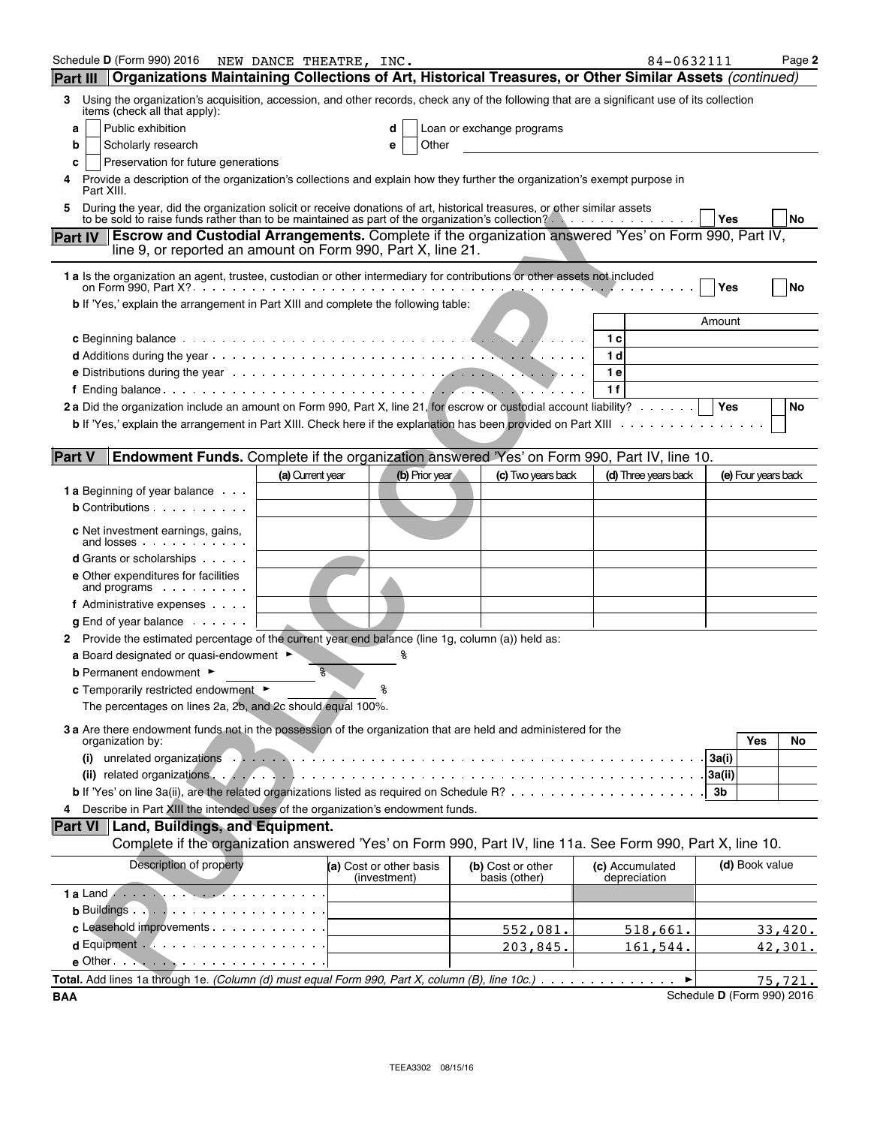| Schedule D (Form 990) 2016                                                                                                                                                                                                            | NEW DANCE THEATRE, INC. |                         |                           | 84-0632111           |        |                     | Page 2    |
|---------------------------------------------------------------------------------------------------------------------------------------------------------------------------------------------------------------------------------------|-------------------------|-------------------------|---------------------------|----------------------|--------|---------------------|-----------|
| Organizations Maintaining Collections of Art, Historical Treasures, or Other Similar Assets (continued)<br><b>Part III</b>                                                                                                            |                         |                         |                           |                      |        |                     |           |
| Using the organization's acquisition, accession, and other records, check any of the following that are a significant use of its collection<br>3<br>items (check all that apply):                                                     |                         |                         |                           |                      |        |                     |           |
| Public exhibition<br>a                                                                                                                                                                                                                |                         |                         | Loan or exchange programs |                      |        |                     |           |
| Scholarly research<br>b                                                                                                                                                                                                               |                         | Other<br>e              |                           |                      |        |                     |           |
| Preservation for future generations<br>c                                                                                                                                                                                              |                         |                         |                           |                      |        |                     |           |
| Provide a description of the organization's collections and explain how they further the organization's exempt purpose in<br>Part XIII.                                                                                               |                         |                         |                           |                      |        |                     |           |
| During the year, did the organization solicit or receive donations of art, historical treasures, or other similar assets<br>to be sold to raise funds rather than to be maintained as part of the organization's collection?          |                         |                         |                           |                      | Yes    |                     | <b>No</b> |
| <b>Escrow and Custodial Arrangements.</b> Complete if the organization answered 'Yes' on Form 990, Part IV,<br><b>Part IV</b>                                                                                                         |                         |                         |                           |                      |        |                     |           |
| line 9, or reported an amount on Form 990, Part X, line 21.                                                                                                                                                                           |                         |                         |                           |                      |        |                     |           |
| 1 a Is the organization an agent, trustee, custodian or other intermediary for contributions or other assets not included                                                                                                             |                         |                         |                           |                      |        |                     |           |
|                                                                                                                                                                                                                                       |                         |                         |                           |                      | Yes    |                     | <b>No</b> |
| b If 'Yes,' explain the arrangement in Part XIII and complete the following table:                                                                                                                                                    |                         |                         |                           |                      |        |                     |           |
|                                                                                                                                                                                                                                       |                         |                         |                           |                      | Amount |                     |           |
|                                                                                                                                                                                                                                       |                         |                         |                           | 1 c<br>1 d           |        |                     |           |
|                                                                                                                                                                                                                                       |                         |                         |                           | 1 e                  |        |                     |           |
|                                                                                                                                                                                                                                       |                         |                         |                           | 1 f                  |        |                     |           |
| 2 a Did the organization include an amount on Form 990, Part X, line 21, for escrow or custodial account liability?                                                                                                                   |                         |                         |                           |                      | Yes    |                     | No        |
| <b>b</b> If 'Yes,' explain the arrangement in Part XIII. Check here if the explanation has been provided on Part XIII                                                                                                                 |                         |                         |                           |                      |        |                     |           |
|                                                                                                                                                                                                                                       |                         |                         |                           |                      |        |                     |           |
| <b>Endowment Funds.</b> Complete if the organization answered "Yes' on Form 990, Part IV, line 10.<br><b>Part V</b>                                                                                                                   |                         |                         |                           |                      |        |                     |           |
|                                                                                                                                                                                                                                       | (a) Current year        | (b) Prior year          | (c) Two years back        | (d) Three years back |        | (e) Four years back |           |
| <b>1 a</b> Beginning of year balance                                                                                                                                                                                                  |                         |                         |                           |                      |        |                     |           |
| <b>b</b> Contributions $\cdots$                                                                                                                                                                                                       |                         |                         |                           |                      |        |                     |           |
| c Net investment earnings, gains,<br>and losses expansion and losses                                                                                                                                                                  |                         |                         |                           |                      |        |                     |           |
| <b>d</b> Grants or scholarships                                                                                                                                                                                                       |                         |                         |                           |                      |        |                     |           |
| e Other expenditures for facilities<br>and programs $\cdots$                                                                                                                                                                          |                         |                         |                           |                      |        |                     |           |
| f Administrative expenses                                                                                                                                                                                                             |                         |                         |                           |                      |        |                     |           |
| $g$ End of year balance $\cdots$                                                                                                                                                                                                      |                         |                         |                           |                      |        |                     |           |
| 2 Provide the estimated percentage of the current year end balance (line 1g, column (a)) held as:                                                                                                                                     |                         |                         |                           |                      |        |                     |           |
| a Board designated or quasi-endowment $\blacktriangleright$                                                                                                                                                                           |                         |                         |                           |                      |        |                     |           |
| <b>b</b> Permanent endowment ►                                                                                                                                                                                                        | g.                      |                         |                           |                      |        |                     |           |
| c Temporarily restricted endowment ▶                                                                                                                                                                                                  |                         |                         |                           |                      |        |                     |           |
| The percentages on lines 2a, 2b, and 2c should equal 100%.                                                                                                                                                                            |                         |                         |                           |                      |        |                     |           |
| 3 a Are there endowment funds not in the possession of the organization that are held and administered for the<br>organization by:                                                                                                    |                         |                         |                           |                      |        | Yes                 | No        |
| unrelated organizations in the contract of the contract of the contract of the contract of the contract of the contract of the contract of the contract of the contract of the contract of the contract of the contract of the<br>(i) |                         |                         |                           |                      | 3a(i)  |                     |           |
| (ii) related organizations (etc. a) and contact and contact and contact and contact and contact and contact and contact and contact and contact and contact and contact and contact and contact and contact and contact and co        |                         |                         |                           |                      |        |                     |           |
|                                                                                                                                                                                                                                       |                         |                         |                           |                      | 3b     |                     |           |
| Describe in Part XIII the intended uses of the organization's endowment funds.<br>4                                                                                                                                                   |                         |                         |                           |                      |        |                     |           |
| Part VI Land, Buildings, and Equipment.                                                                                                                                                                                               |                         |                         |                           |                      |        |                     |           |
| Complete if the organization answered 'Yes' on Form 990, Part IV, line 11a. See Form 990, Part X, line 10.                                                                                                                            |                         |                         |                           |                      |        |                     |           |
| Description of property                                                                                                                                                                                                               |                         | (a) Cost or other basis | (b) Cost or other         | (c) Accumulated      |        | (d) Book value      |           |
|                                                                                                                                                                                                                                       |                         | (investment)            | basis (other)             | depreciation         |        |                     |           |
|                                                                                                                                                                                                                                       |                         |                         |                           |                      |        |                     |           |
|                                                                                                                                                                                                                                       |                         |                         |                           |                      |        |                     |           |
|                                                                                                                                                                                                                                       |                         |                         | 552,081.                  | 518,661.             |        |                     | 33,420.   |
|                                                                                                                                                                                                                                       |                         |                         | 203,845.                  | 161,544.             |        |                     | 42,301.   |
| $e$ Other $\cdots$ $\cdots$ $\cdots$ $\cdots$ $\cdots$ $\cdots$                                                                                                                                                                       |                         |                         |                           |                      |        |                     |           |
| Total. Add lines 1a through 1e. (Column (d) must equal Form 990, Part X, column (B), line 10c.)                                                                                                                                       |                         |                         |                           | ۲                    |        |                     | 75, 721.  |

**BAA** Schedule **D** (Form 990) 2016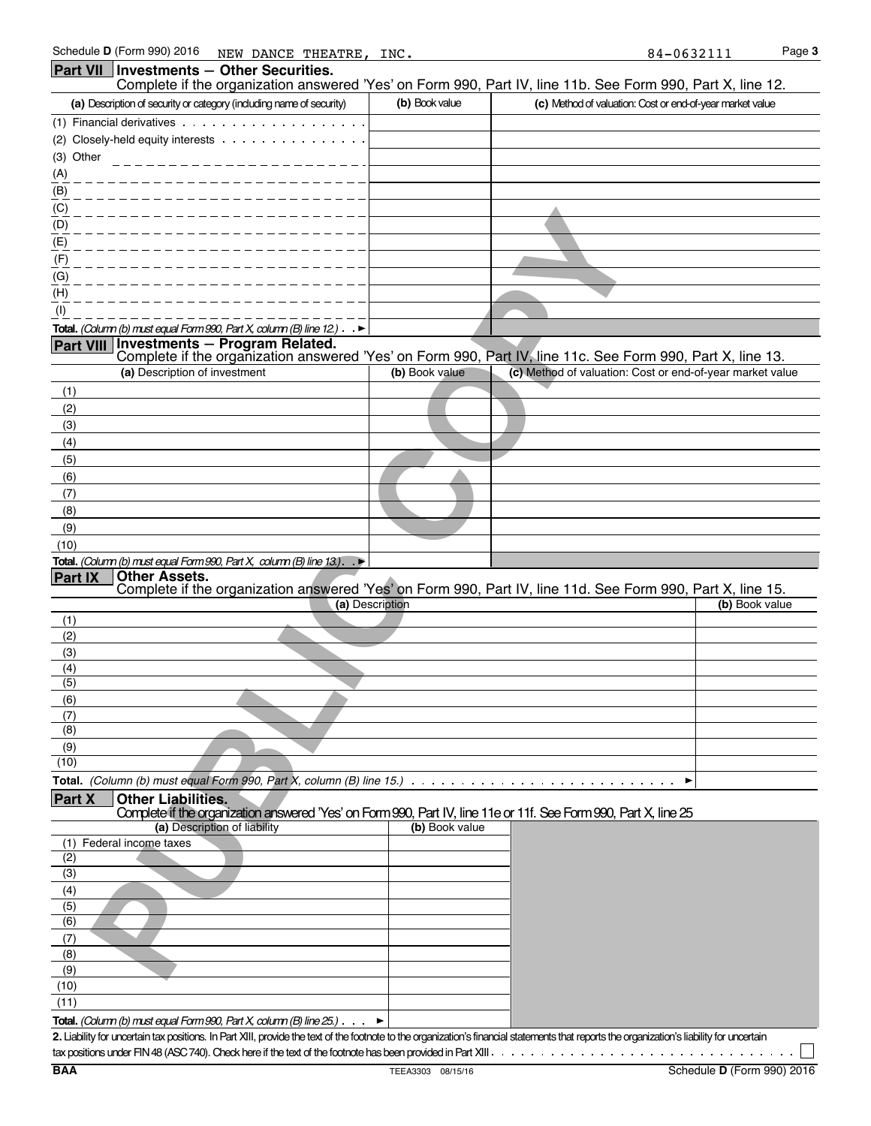|                  | Schedule D (Form 990) 2016<br>NEW DANCE THEATRE, INC.                                                                                            |                 | 84-0632111                                                                                                 | Page 3 |
|------------------|--------------------------------------------------------------------------------------------------------------------------------------------------|-----------------|------------------------------------------------------------------------------------------------------------|--------|
|                  | Part VII   Investments - Other Securities.                                                                                                       |                 |                                                                                                            |        |
|                  |                                                                                                                                                  |                 | Complete if the organization answered 'Yes' on Form 990, Part IV, line 11b. See Form 990, Part X, line 12. |        |
|                  | (a) Description of security or category (including name of security)                                                                             | (b) Book value  | (c) Method of valuation: Cost or end-of-year market value                                                  |        |
|                  | (1) Financial derivatives                                                                                                                        |                 |                                                                                                            |        |
|                  | (2) Closely-held equity interests                                                                                                                |                 |                                                                                                            |        |
| (3) Other        |                                                                                                                                                  |                 |                                                                                                            |        |
| (A)              |                                                                                                                                                  |                 |                                                                                                            |        |
| (B)              |                                                                                                                                                  |                 |                                                                                                            |        |
| (C)              |                                                                                                                                                  |                 |                                                                                                            |        |
| (D)              |                                                                                                                                                  |                 |                                                                                                            |        |
| (E)              |                                                                                                                                                  |                 |                                                                                                            |        |
| (F)              |                                                                                                                                                  |                 |                                                                                                            |        |
| (G)              |                                                                                                                                                  |                 |                                                                                                            |        |
| (H)              |                                                                                                                                                  |                 |                                                                                                            |        |
| (1)              |                                                                                                                                                  |                 |                                                                                                            |        |
|                  | Total. (Column (b) must equal Form 990, Part X, column (B) line 12.) $\rightarrow$                                                               |                 |                                                                                                            |        |
| <b>Part VIII</b> | <b>Investments - Program Related.</b>                                                                                                            |                 | Complete if the organization answered 'Yes' on Form 990, Part IV, line 11c. See Form 990, Part X, line 13. |        |
|                  | (a) Description of investment                                                                                                                    | (b) Book value  | (c) Method of valuation: Cost or end-of-year market value                                                  |        |
| (1)              |                                                                                                                                                  |                 |                                                                                                            |        |
| (2)              |                                                                                                                                                  |                 |                                                                                                            |        |
| (3)              |                                                                                                                                                  |                 |                                                                                                            |        |
| (4)              |                                                                                                                                                  |                 |                                                                                                            |        |
| (5)              |                                                                                                                                                  |                 |                                                                                                            |        |
| (6)              |                                                                                                                                                  |                 |                                                                                                            |        |
| (7)              |                                                                                                                                                  |                 |                                                                                                            |        |
| (8)              |                                                                                                                                                  |                 |                                                                                                            |        |
| (9)              |                                                                                                                                                  |                 |                                                                                                            |        |
| (10)             |                                                                                                                                                  |                 |                                                                                                            |        |
|                  | Total. (Column (b) must equal Form 990, Part X, column (B) line 13.). $\blacktriangleright$                                                      |                 |                                                                                                            |        |
| <b>Part IX</b>   | <b>Other Assets.</b>                                                                                                                             |                 |                                                                                                            |        |
|                  |                                                                                                                                                  |                 | Complete if the organization answered 'Yes' on Form 990, Part IV, line 11d. See Form 990, Part X, line 15. |        |
|                  |                                                                                                                                                  | (a) Description | (b) Book value                                                                                             |        |
| (1)<br>(2)       |                                                                                                                                                  |                 |                                                                                                            |        |
| (3)              |                                                                                                                                                  |                 |                                                                                                            |        |
| (4)              |                                                                                                                                                  |                 |                                                                                                            |        |
| (5)              |                                                                                                                                                  |                 |                                                                                                            |        |
| (6)              |                                                                                                                                                  |                 |                                                                                                            |        |
| (7)              |                                                                                                                                                  |                 |                                                                                                            |        |
| (8)              |                                                                                                                                                  |                 |                                                                                                            |        |
| (9)              |                                                                                                                                                  |                 |                                                                                                            |        |
| (10)             |                                                                                                                                                  |                 |                                                                                                            |        |
|                  | Total. (Column (b) must equal Form 990, Part X, column (B) line 15.) $\ldots \ldots \ldots \ldots$                                               |                 |                                                                                                            |        |
| <b>Part X</b>    | <b>Other Liabilities.</b>                                                                                                                        |                 |                                                                                                            |        |
|                  | Complete if the organization answered 'Yes' on Form 990, Part IV, line 11e or 11f. See Form 990, Part X, line 25<br>(a) Description of liability | (b) Book value  |                                                                                                            |        |
|                  | (1) Federal income taxes                                                                                                                         |                 |                                                                                                            |        |
| (2)              |                                                                                                                                                  |                 |                                                                                                            |        |
| (3)              |                                                                                                                                                  |                 |                                                                                                            |        |
| (4)              |                                                                                                                                                  |                 |                                                                                                            |        |
| (5)              |                                                                                                                                                  |                 |                                                                                                            |        |
| (6)              |                                                                                                                                                  |                 |                                                                                                            |        |
| (7)              |                                                                                                                                                  |                 |                                                                                                            |        |
| (8)              |                                                                                                                                                  |                 |                                                                                                            |        |
| (9)              |                                                                                                                                                  |                 |                                                                                                            |        |

- (9) (10) (11)
	- **Total.** *(Column (b) must equal Form 990, Part X, column (B) line 25.)*

2. Liability for uncertain tax positions. In Part XIII, provide the text of the footnote to the organization's financial statements that reports the organization's liability for uncertain tax positions under FIN 48 (ASC 740). Check here if the text of the footnote has been provided in Part XIII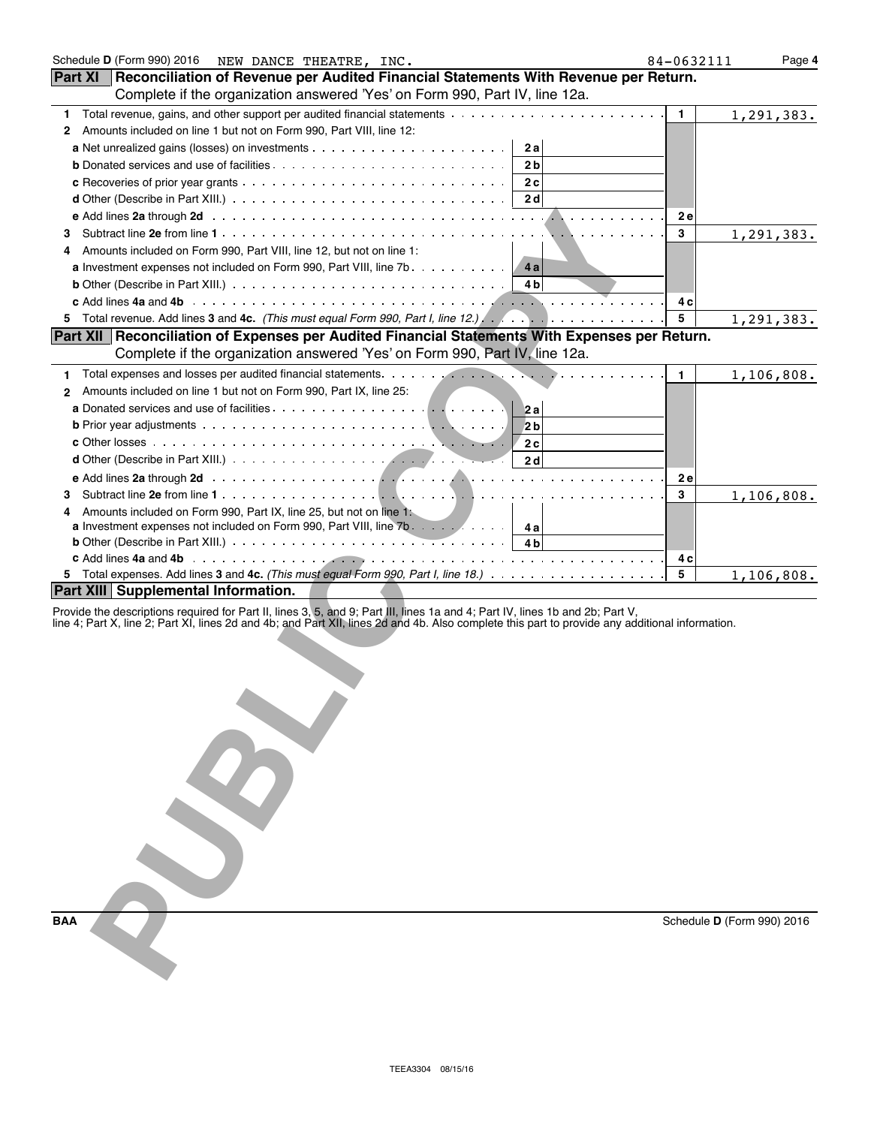| Schedule D (Form 990) 2016<br>NEW DANCE THEATRE, INC.                                                                                                                                                                                                                            | 84-0632111                 | Page 4       |
|----------------------------------------------------------------------------------------------------------------------------------------------------------------------------------------------------------------------------------------------------------------------------------|----------------------------|--------------|
| <b>Part XI</b><br>Reconciliation of Revenue per Audited Financial Statements With Revenue per Return.                                                                                                                                                                            |                            |              |
| Complete if the organization answered 'Yes' on Form 990, Part IV, line 12a.                                                                                                                                                                                                      |                            |              |
| Total revenue, gains, and other support per audited financial statements<br>1.                                                                                                                                                                                                   | 1.                         | 1, 291, 383. |
| Amounts included on line 1 but not on Form 990, Part VIII, line 12:<br>2                                                                                                                                                                                                         |                            |              |
| 2a                                                                                                                                                                                                                                                                               |                            |              |
| 2 <sub>b</sub>                                                                                                                                                                                                                                                                   |                            |              |
| 2c                                                                                                                                                                                                                                                                               |                            |              |
| 2 <sub>d</sub>                                                                                                                                                                                                                                                                   |                            |              |
|                                                                                                                                                                                                                                                                                  | 2 e                        |              |
| 3                                                                                                                                                                                                                                                                                | 3                          | 1, 291, 383. |
| Amounts included on Form 990, Part VIII, line 12, but not on line 1:                                                                                                                                                                                                             |                            |              |
| a Investment expenses not included on Form 990, Part VIII, line 7b.<br>4a                                                                                                                                                                                                        |                            |              |
| <b>b</b> Other (Describe in Part XIII.) $\ldots$ $\ldots$ $\ldots$ $\ldots$ $\ldots$ $\ldots$ $\ldots$ $\ldots$ $\ldots$ $\ldots$<br>4 b                                                                                                                                         |                            |              |
|                                                                                                                                                                                                                                                                                  | 4 c                        |              |
| 5.                                                                                                                                                                                                                                                                               | 5                          | 1, 291, 383. |
| Part XII   Reconciliation of Expenses per Audited Financial Statements With Expenses per Return.                                                                                                                                                                                 |                            |              |
| Complete if the organization answered 'Yes' on Form 990, Part IV, line 12a.                                                                                                                                                                                                      |                            |              |
|                                                                                                                                                                                                                                                                                  |                            |              |
| 1                                                                                                                                                                                                                                                                                | 1.                         | 1,106,808.   |
| Amounts included on line 1 but not on Form 990, Part IX, line 25:<br>2                                                                                                                                                                                                           |                            |              |
| 2a                                                                                                                                                                                                                                                                               |                            |              |
| 2 <sub>b</sub>                                                                                                                                                                                                                                                                   |                            |              |
| 2c                                                                                                                                                                                                                                                                               |                            |              |
| 2d                                                                                                                                                                                                                                                                               |                            |              |
|                                                                                                                                                                                                                                                                                  | 2 e                        |              |
| 3                                                                                                                                                                                                                                                                                | 3                          | 1,106,808.   |
| Amounts included on Form 990, Part IX, line 25, but not on line 1:<br>4                                                                                                                                                                                                          |                            |              |
| 4 a                                                                                                                                                                                                                                                                              |                            |              |
| <b>b</b> Other (Describe in Part XIII.) $\ldots \ldots \ldots \ldots \ldots \ldots \ldots \ldots \ldots \ldots \ldots$<br>4 b                                                                                                                                                    |                            |              |
|                                                                                                                                                                                                                                                                                  | 4 c<br>5                   |              |
| Part XIII Supplemental Information.                                                                                                                                                                                                                                              |                            | 1,106,808.   |
|                                                                                                                                                                                                                                                                                  |                            |              |
| Provide the descriptions required for Part II, lines 3, 5, and 9; Part III, lines 1a and 4; Part IV, lines 1b and 2b; Part V,<br>line 4; Part X, line 2; Part XI, lines 2d and 4b; and Part XII, lines 2d and 4b. Also complete this part to provide any additional information. |                            |              |
| <b>BAA</b>                                                                                                                                                                                                                                                                       | Schedule D (Form 990) 2016 |              |
|                                                                                                                                                                                                                                                                                  |                            |              |
|                                                                                                                                                                                                                                                                                  |                            |              |
|                                                                                                                                                                                                                                                                                  |                            |              |

| <b>BAA</b> | Schedule D (Form 990) 2016 |
|------------|----------------------------|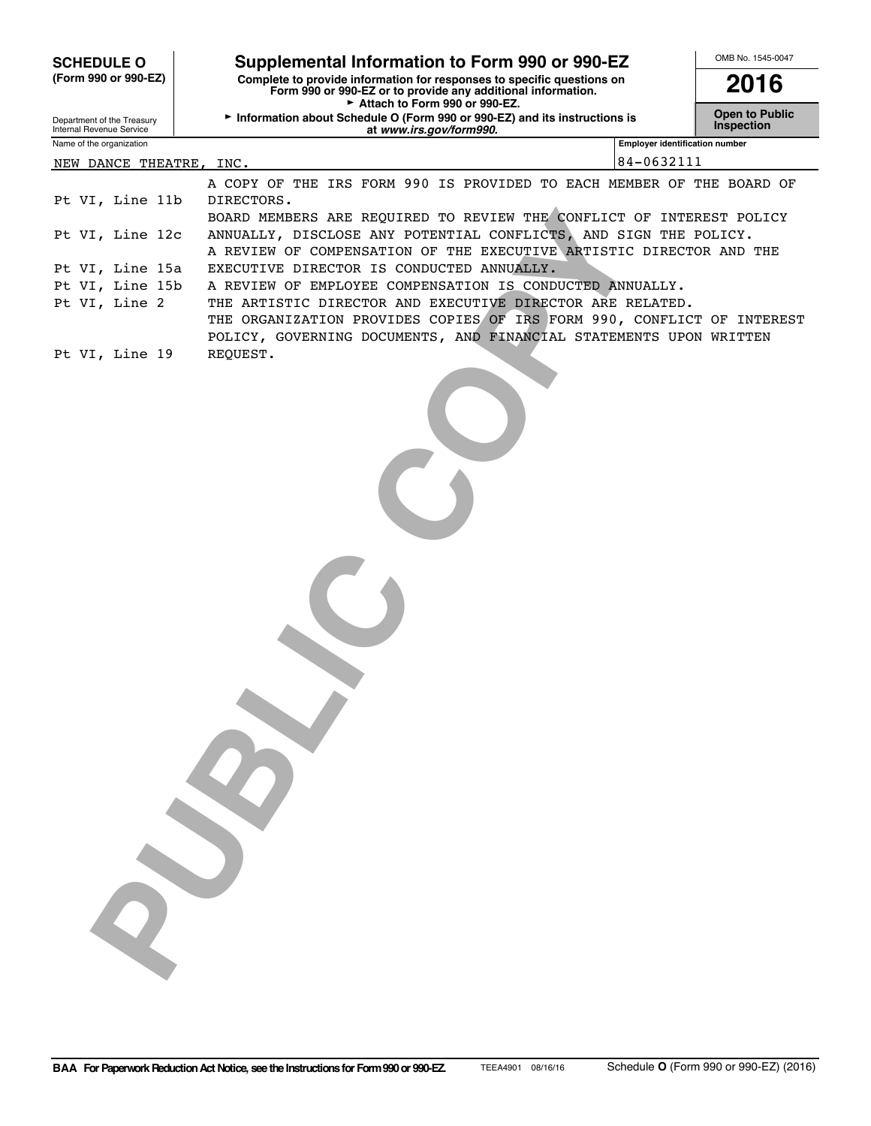|  | <b>SCHEDULE O</b>                                    |                 | Supplemental Information to Form 990 or 990-EZ                                                                                         |                                       | OMB No. 1545-0047                   |
|--|------------------------------------------------------|-----------------|----------------------------------------------------------------------------------------------------------------------------------------|---------------------------------------|-------------------------------------|
|  | (Form 990 or 990-EZ)                                 |                 | Complete to provide information for responses to specific questions on<br>Form 990 or 990-EZ or to provide any additional information. |                                       | 2016                                |
|  | Department of the Treasury                           |                 | Attach to Form 990 or 990-EZ.<br>Information about Schedule O (Form 990 or 990-EZ) and its instructions is                             |                                       | <b>Open to Public</b><br>Inspection |
|  | Internal Revenue Service<br>Name of the organization |                 | at www.irs.gov/form990.                                                                                                                | <b>Employer identification number</b> |                                     |
|  |                                                      |                 | NEW DANCE THEATRE, INC.                                                                                                                | 84-0632111                            |                                     |
|  |                                                      |                 | A COPY OF THE IRS FORM 990 IS PROVIDED TO EACH MEMBER OF THE BOARD OF                                                                  |                                       |                                     |
|  |                                                      | Pt VI, Line 11b | DIRECTORS.                                                                                                                             |                                       |                                     |
|  |                                                      |                 | BOARD MEMBERS ARE REQUIRED TO REVIEW THE CONFLICT OF INTEREST POLICY                                                                   |                                       |                                     |
|  |                                                      | Pt VI, Line 12c | ANNUALLY, DISCLOSE ANY POTENTIAL CONFLICTS, AND SIGN THE POLICY.                                                                       |                                       |                                     |
|  |                                                      |                 | A REVIEW OF COMPENSATION OF THE EXECUTIVE ARTISTIC DIRECTOR AND THE                                                                    |                                       |                                     |
|  |                                                      | Pt VI, Line 15a | EXECUTIVE DIRECTOR IS CONDUCTED ANNUALLY.                                                                                              |                                       |                                     |
|  |                                                      | Pt VI, Line 15b | A REVIEW OF EMPLOYEE COMPENSATION IS CONDUCTED ANNUALLY.                                                                               |                                       |                                     |
|  | Pt VI, Line 2                                        |                 | THE ARTISTIC DIRECTOR AND EXECUTIVE DIRECTOR ARE RELATED.                                                                              |                                       |                                     |
|  |                                                      |                 | THE ORGANIZATION PROVIDES COPIES OF IRS FORM 990, CONFLICT OF INTEREST                                                                 |                                       |                                     |
|  | Pt VI, Line 19                                       |                 | POLICY, GOVERNING DOCUMENTS, AND FINANCIAL STATEMENTS UPON WRITTEN<br>REQUEST.                                                         |                                       |                                     |
|  |                                                      |                 |                                                                                                                                        |                                       |                                     |
|  |                                                      |                 |                                                                                                                                        |                                       |                                     |
|  |                                                      |                 |                                                                                                                                        |                                       |                                     |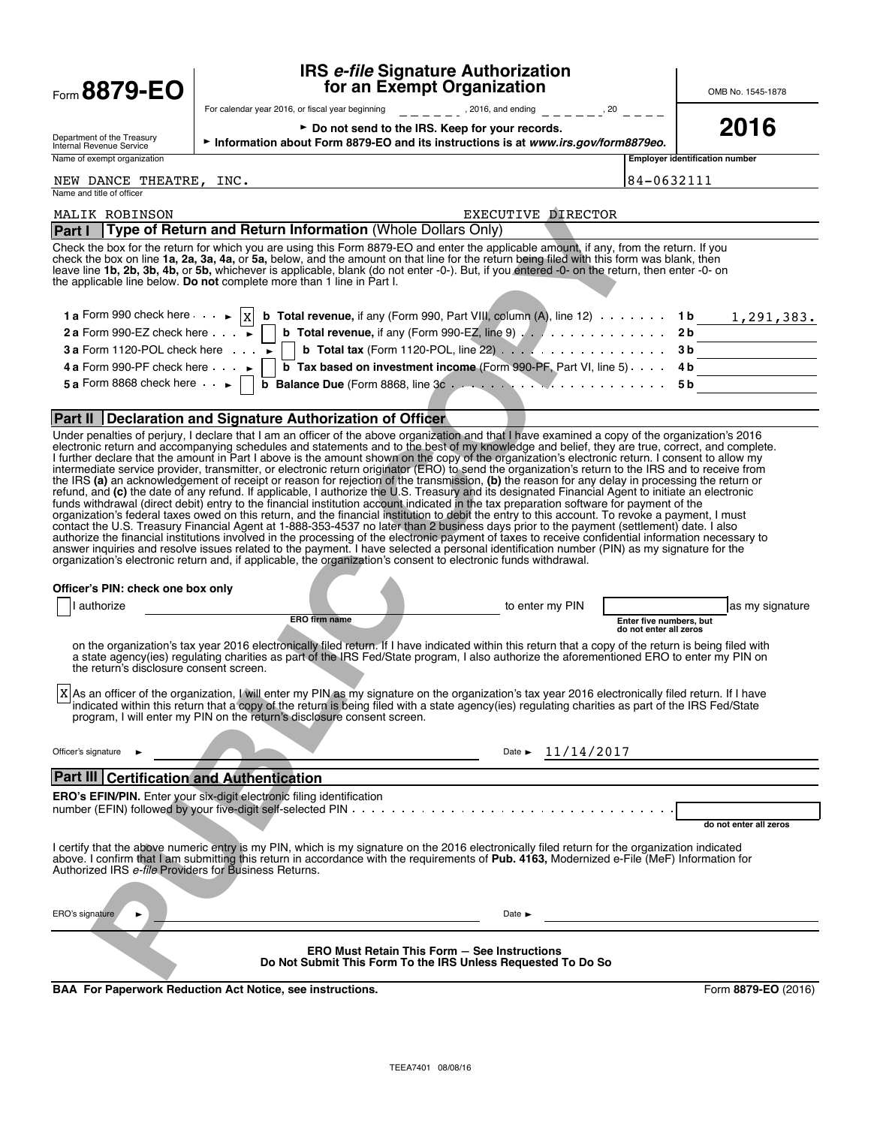| Form 8879-EO                                           | <b>IRS e-file Signature Authorization</b><br>for an Exempt Organization                                                                                                                                                                                                                                                                                                                                                                                                                                                                                                                                                                                                                                                                                                                                                                                                                                                                                                                                                                                                                                                                                                | OMB No. 1545-1878                     |
|--------------------------------------------------------|------------------------------------------------------------------------------------------------------------------------------------------------------------------------------------------------------------------------------------------------------------------------------------------------------------------------------------------------------------------------------------------------------------------------------------------------------------------------------------------------------------------------------------------------------------------------------------------------------------------------------------------------------------------------------------------------------------------------------------------------------------------------------------------------------------------------------------------------------------------------------------------------------------------------------------------------------------------------------------------------------------------------------------------------------------------------------------------------------------------------------------------------------------------------|---------------------------------------|
|                                                        | For calendar year 2016, or fiscal year beginning $      \cdot$ 2016, and ending $     \cdot$ $\cdot$ $20$ $   -$                                                                                                                                                                                                                                                                                                                                                                                                                                                                                                                                                                                                                                                                                                                                                                                                                                                                                                                                                                                                                                                       |                                       |
| Department of the Treasury<br>Internal Revenue Service | Do not send to the IRS. Keep for your records.<br>► Information about Form 8879-EO and its instructions is at www.irs.gov/form8879eo.                                                                                                                                                                                                                                                                                                                                                                                                                                                                                                                                                                                                                                                                                                                                                                                                                                                                                                                                                                                                                                  | 2016                                  |
| Name of exempt organization                            |                                                                                                                                                                                                                                                                                                                                                                                                                                                                                                                                                                                                                                                                                                                                                                                                                                                                                                                                                                                                                                                                                                                                                                        | <b>Employer identification number</b> |
| NEW DANCE THEATRE, INC.<br>Name and title of officer   | 84-0632111                                                                                                                                                                                                                                                                                                                                                                                                                                                                                                                                                                                                                                                                                                                                                                                                                                                                                                                                                                                                                                                                                                                                                             |                                       |
| MALIK ROBINSON                                         | EXECUTIVE DIRECTOR                                                                                                                                                                                                                                                                                                                                                                                                                                                                                                                                                                                                                                                                                                                                                                                                                                                                                                                                                                                                                                                                                                                                                     |                                       |
|                                                        | Part I   Type of Return and Return Information (Whole Dollars Only)                                                                                                                                                                                                                                                                                                                                                                                                                                                                                                                                                                                                                                                                                                                                                                                                                                                                                                                                                                                                                                                                                                    |                                       |
|                                                        | Check the box for the return for which you are using this Form 8879-EO and enter the applicable amount, if any, from the return. If you<br>check the box on line 1a, 2a, 3a, 4a, or 5a, below, and the amount on that line for the return being filed with this form was blank, then<br>leave line 1b, 2b, 3b, 4b, or 5b, whichever is applicable, blank (do not enter -0-). But, if you entered -0- on the return, then enter -0- on<br>the applicable line below. Do not complete more than 1 line in Part I.                                                                                                                                                                                                                                                                                                                                                                                                                                                                                                                                                                                                                                                        |                                       |
|                                                        | 1 a Form 990 check here $\cdots$  x  b Total revenue, if any (Form 990, Part VIII, column (A), line 12) $\cdots$ 1 $\cdots$ 1 b 1, 291, 383.                                                                                                                                                                                                                                                                                                                                                                                                                                                                                                                                                                                                                                                                                                                                                                                                                                                                                                                                                                                                                           |                                       |
| 2 a Form 990-EZ check here $\cdots$                    | <b>b</b> Total revenue, if any (Form 990-EZ, line 9) $\ldots$ 2b                                                                                                                                                                                                                                                                                                                                                                                                                                                                                                                                                                                                                                                                                                                                                                                                                                                                                                                                                                                                                                                                                                       |                                       |
| 3 a Form 1120 POL check here ►                         |                                                                                                                                                                                                                                                                                                                                                                                                                                                                                                                                                                                                                                                                                                                                                                                                                                                                                                                                                                                                                                                                                                                                                                        | 3 <sub>b</sub>                        |
| 4 a Form 990-PF check here $\cdots$                    | <b>b</b> Tax based on investment income (Form 990-PF, Part VI, line 5).                                                                                                                                                                                                                                                                                                                                                                                                                                                                                                                                                                                                                                                                                                                                                                                                                                                                                                                                                                                                                                                                                                | 4 b                                   |
| 5 a Form 8868 check here $\cdot\cdot\cdot$             |                                                                                                                                                                                                                                                                                                                                                                                                                                                                                                                                                                                                                                                                                                                                                                                                                                                                                                                                                                                                                                                                                                                                                                        | 5 b                                   |
|                                                        | Part II Declaration and Signature Authorization of Officer                                                                                                                                                                                                                                                                                                                                                                                                                                                                                                                                                                                                                                                                                                                                                                                                                                                                                                                                                                                                                                                                                                             |                                       |
| Officer's PIN: check one box only                      | the IRS (a) an acknowledgement of receipt or reason for rejection of the transmission, (b) the reason for any delay in processing the return or<br>refund, and (c) the date of any refund. If applicable, I authorize the U.S. Treasury and its designated Financial Agent to initiate an electronic<br>funds withdrawal (direct debit) entry to the financial institution account indicated in the tax preparation software for payment of the<br>organization's federal taxes owed on this return, and the financial institution to debit the entry to this account. To revoke a payment, I must<br>contact the U.S. Treasury Financial Agent at 1-888-353-4537 no later than 2 business days prior to the payment (settlement) date. I also<br>authorize the financial institutions involved in the processing of the electronic payment of taxes to receive confidential information necessary to<br>answer inquiries and resolve issues related to the payment. I have selected a personal identification number (PIN) as my signature for the<br>organization's electronic return and, if applicable, the organization's consent to electronic funds withdrawal. |                                       |
| authorize                                              | to enter my PIN                                                                                                                                                                                                                                                                                                                                                                                                                                                                                                                                                                                                                                                                                                                                                                                                                                                                                                                                                                                                                                                                                                                                                        | as my signature                       |
|                                                        | <b>ERO firm name</b><br>Enter five numbers, but<br>do not enter all zeros                                                                                                                                                                                                                                                                                                                                                                                                                                                                                                                                                                                                                                                                                                                                                                                                                                                                                                                                                                                                                                                                                              |                                       |
| the return's disclosure consent screen.                | on the organization's tax year 2016 electronically filed return. If I have indicated within this return that a copy of the return is being filed with<br>a state agency(ies) regulating charities as part of the IRS Fed/State program, I also authorize the aforementioned ERO to enter my PIN on                                                                                                                                                                                                                                                                                                                                                                                                                                                                                                                                                                                                                                                                                                                                                                                                                                                                     |                                       |
|                                                        | X As an officer of the organization, I will enter my PIN as my signature on the organization's tax year 2016 electronically filed return. If I have<br>indicated within this return that a copy of the return is being filed with a state agency(ies) regulating charities as part of the IRS Fed/State<br>program, I will enter my PIN on the return's disclosure consent screen.                                                                                                                                                                                                                                                                                                                                                                                                                                                                                                                                                                                                                                                                                                                                                                                     |                                       |
| Officer's signature                                    | 11/14/2017<br>Date $\blacktriangleright$                                                                                                                                                                                                                                                                                                                                                                                                                                                                                                                                                                                                                                                                                                                                                                                                                                                                                                                                                                                                                                                                                                                               |                                       |
| <b>Part III Certification and Authentication</b>       |                                                                                                                                                                                                                                                                                                                                                                                                                                                                                                                                                                                                                                                                                                                                                                                                                                                                                                                                                                                                                                                                                                                                                                        |                                       |
|                                                        | ERO's EFIN/PIN. Enter your six-digit electronic filing identification                                                                                                                                                                                                                                                                                                                                                                                                                                                                                                                                                                                                                                                                                                                                                                                                                                                                                                                                                                                                                                                                                                  |                                       |
|                                                        |                                                                                                                                                                                                                                                                                                                                                                                                                                                                                                                                                                                                                                                                                                                                                                                                                                                                                                                                                                                                                                                                                                                                                                        | do not enter all zeros                |
| Authorized IRS e-file Providers for Business Returns.  | I certify that the above numeric entry is my PIN, which is my signature on the 2016 electronically filed return for the organization indicated<br>above. I confirm that I am submitting this return in accordance with the requirements of Pub. 4163, Modernized e-File (MeF) Information for                                                                                                                                                                                                                                                                                                                                                                                                                                                                                                                                                                                                                                                                                                                                                                                                                                                                          |                                       |
| ERO's signature<br>►                                   | Date $\blacktriangleright$                                                                                                                                                                                                                                                                                                                                                                                                                                                                                                                                                                                                                                                                                                                                                                                                                                                                                                                                                                                                                                                                                                                                             |                                       |
|                                                        | <b>ERO Must Retain This Form - See Instructions</b><br>Do Not Submit This Form To the IRS Unless Requested To Do So                                                                                                                                                                                                                                                                                                                                                                                                                                                                                                                                                                                                                                                                                                                                                                                                                                                                                                                                                                                                                                                    |                                       |
|                                                        | <b>BAA For Paperwork Reduction Act Notice, see instructions.</b>                                                                                                                                                                                                                                                                                                                                                                                                                                                                                                                                                                                                                                                                                                                                                                                                                                                                                                                                                                                                                                                                                                       | Form 8879-EO (2016)                   |